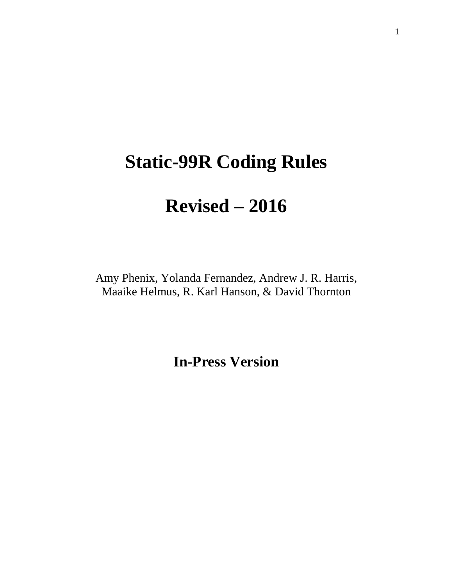# **Static-99R Coding Rules**

# **Revised – 2016**

Amy Phenix, Yolanda Fernandez, Andrew J. R. Harris, Maaike Helmus, R. Karl Hanson, & David Thornton

**In-Press Version**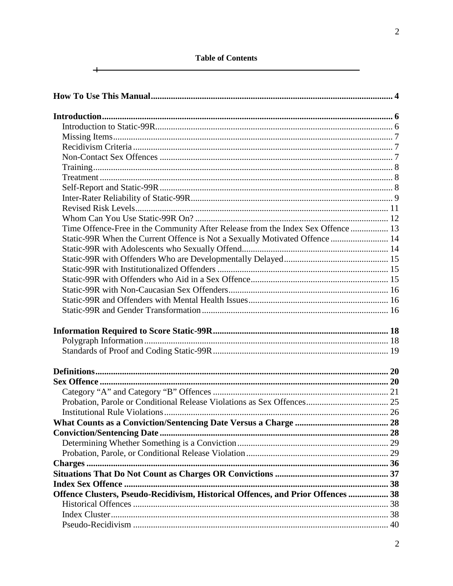# **Table of Contents**

 $\overline{+}$ 

| Time Offence-Free in the Community After Release from the Index Sex Offence  13  |  |
|----------------------------------------------------------------------------------|--|
| Static-99R When the Current Offence is Not a Sexually Motivated Offence  14      |  |
|                                                                                  |  |
|                                                                                  |  |
|                                                                                  |  |
|                                                                                  |  |
|                                                                                  |  |
|                                                                                  |  |
|                                                                                  |  |
|                                                                                  |  |
|                                                                                  |  |
|                                                                                  |  |
|                                                                                  |  |
|                                                                                  |  |
|                                                                                  |  |
|                                                                                  |  |
|                                                                                  |  |
|                                                                                  |  |
|                                                                                  |  |
|                                                                                  |  |
|                                                                                  |  |
|                                                                                  |  |
|                                                                                  |  |
|                                                                                  |  |
|                                                                                  |  |
| Offence Clusters, Pseudo-Recidivism, Historical Offences, and Prior Offences  38 |  |
|                                                                                  |  |
|                                                                                  |  |
|                                                                                  |  |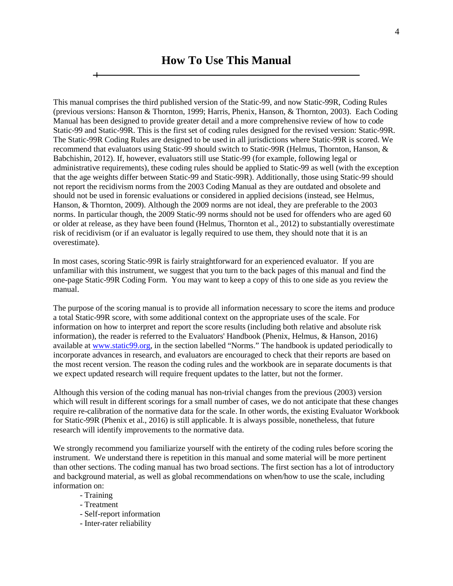<span id="page-3-0"></span>This manual comprises the third published version of the Static-99, and now Static-99R, Coding Rules (previous versions: Hanson & Thornton, 1999; Harris, Phenix, Hanson, & Thornton, 2003). Each Coding Manual has been designed to provide greater detail and a more comprehensive review of how to code Static-99 and Static-99R. This is the first set of coding rules designed for the revised version: Static-99R. The Static-99R Coding Rules are designed to be used in all jurisdictions where Static-99R is scored. We recommend that evaluators using Static-99 should switch to Static-99R (Helmus, Thornton, Hanson, & Babchishin, 2012). If, however, evaluators still use Static-99 (for example, following legal or administrative requirements), these coding rules should be applied to Static-99 as well (with the exception that the age weights differ between Static-99 and Static-99R). Additionally, those using Static-99 should not report the recidivism norms from the 2003 Coding Manual as they are outdated and obsolete and should not be used in forensic evaluations or considered in applied decisions (instead, see Helmus, Hanson, & Thornton, 2009). Although the 2009 norms are not ideal, they are preferable to the 2003 norms. In particular though, the 2009 Static-99 norms should not be used for offenders who are aged 60 or older at release, as they have been found (Helmus, Thornton et al., 2012) to substantially overestimate risk of recidivism (or if an evaluator is legally required to use them, they should note that it is an overestimate).

In most cases, scoring Static-99R is fairly straightforward for an experienced evaluator. If you are unfamiliar with this instrument, we suggest that you turn to the back pages of this manual and find the one-page Static-99R Coding Form. You may want to keep a copy of this to one side as you review the manual.

The purpose of the scoring manual is to provide all information necessary to score the items and produce a total Static-99R score, with some additional context on the appropriate uses of the scale. For information on how to interpret and report the score results (including both relative and absolute risk information), the reader is referred to the Evaluators' Handbook (Phenix, Helmus, & Hanson, 2016) available at [www.static99.org,](http://www.static99.org/) in the section labelled "Norms." The handbook is updated periodically to incorporate advances in research, and evaluators are encouraged to check that their reports are based on the most recent version. The reason the coding rules and the workbook are in separate documents is that we expect updated research will require frequent updates to the latter, but not the former.

Although this version of the coding manual has non-trivial changes from the previous (2003) version which will result in different scorings for a small number of cases, we do not anticipate that these changes require re-calibration of the normative data for the scale. In other words, the existing Evaluator Workbook for Static-99R (Phenix et al., 2016) is still applicable. It is always possible, nonetheless, that future research will identify improvements to the normative data.

We strongly recommend you familiarize yourself with the entirety of the coding rules before scoring the instrument. We understand there is repetition in this manual and some material will be more pertinent than other sections. The coding manual has two broad sections. The first section has a lot of introductory and background material, as well as global recommendations on when/how to use the scale, including information on:

- Training
- Treatment
- Self-report information
- Inter-rater reliability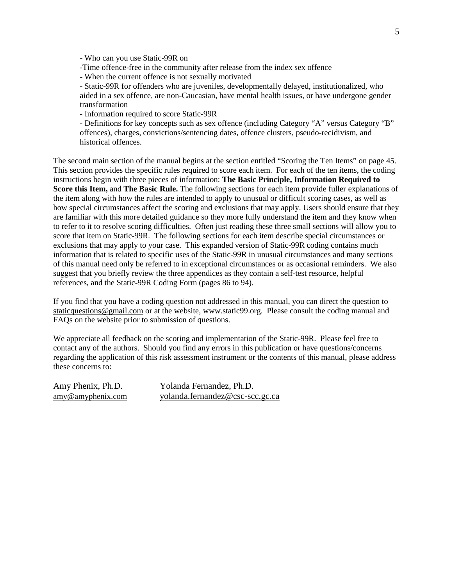- Who can you use Static-99R on

-Time offence-free in the community after release from the index sex offence

- When the current offence is not sexually motivated

- Static-99R for offenders who are juveniles, developmentally delayed, institutionalized, who aided in a sex offence, are non-Caucasian, have mental health issues, or have undergone gender transformation

- Information required to score Static-99R

- Definitions for key concepts such as sex offence (including Category "A" versus Category "B" offences), charges, convictions/sentencing dates, offence clusters, pseudo-recidivism, and historical offences.

The second main section of the manual begins at the section entitled "Scoring the Ten Items" on page 45. This section provides the specific rules required to score each item. For each of the ten items, the coding instructions begin with three pieces of information: **The Basic Principle, Information Required to Score this Item,** and **The Basic Rule.** The following sections for each item provide fuller explanations of the item along with how the rules are intended to apply to unusual or difficult scoring cases, as well as how special circumstances affect the scoring and exclusions that may apply. Users should ensure that they are familiar with this more detailed guidance so they more fully understand the item and they know when to refer to it to resolve scoring difficulties. Often just reading these three small sections will allow you to score that item on Static-99R. The following sections for each item describe special circumstances or exclusions that may apply to your case. This expanded version of Static-99R coding contains much information that is related to specific uses of the Static-99R in unusual circumstances and many sections of this manual need only be referred to in exceptional circumstances or as occasional reminders. We also suggest that you briefly review the three appendices as they contain a self-test resource, helpful references, and the Static-99R Coding Form (pages 86 to 94).

If you find that you have a coding question not addressed in this manual, you can direct the question to [staticquestions@gmail.com](mailto:staticquestions@gmail.com) or at the website, www.static99.org. Please consult the coding manual and FAQs on the website prior to submission of questions.

We appreciate all feedback on the scoring and implementation of the Static-99R. Please feel free to contact any of the authors. Should you find any errors in this publication or have questions/concerns regarding the application of this risk assessment instrument or the contents of this manual, please address these concerns to:

Amy Phenix, Ph.D. Yolanda Fernandez, Ph.D. [amy@amyphenix.com](mailto:amy@amyphenix.com) yolanda.fernandez@csc-scc.gc.ca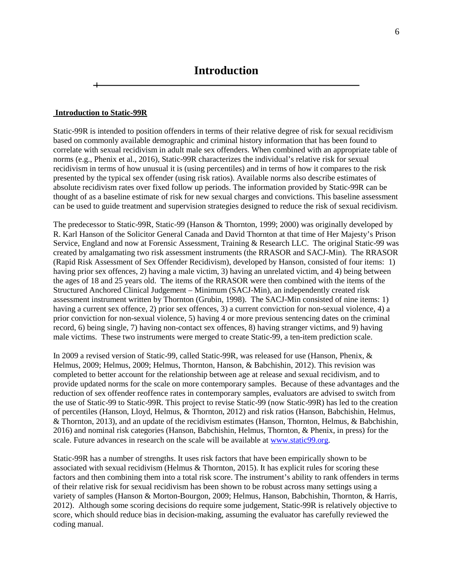#### <span id="page-5-1"></span><span id="page-5-0"></span>**Introduction to Static-99R**

Static-99R is intended to position offenders in terms of their relative degree of risk for sexual recidivism based on commonly available demographic and criminal history information that has been found to correlate with sexual recidivism in adult male sex offenders. When combined with an appropriate table of norms (e.g., Phenix et al., 2016), Static-99R characterizes the individual's relative risk for sexual recidivism in terms of how unusual it is (using percentiles) and in terms of how it compares to the risk presented by the typical sex offender (using risk ratios). Available norms also describe estimates of absolute recidivism rates over fixed follow up periods. The information provided by Static-99R can be thought of as a baseline estimate of risk for new sexual charges and convictions. This baseline assessment can be used to guide treatment and supervision strategies designed to reduce the risk of sexual recidivism.

The predecessor to Static-99R, Static-99 (Hanson & Thornton, 1999; 2000) was originally developed by R. Karl Hanson of the Solicitor General Canada and David Thornton at that time of Her Majesty's Prison Service, England and now at Forensic Assessment, Training & Research LLC. The original Static-99 was created by amalgamating two risk assessment instruments (the RRASOR and SACJ-Min). The RRASOR (Rapid Risk Assessment of Sex Offender Recidivism), developed by Hanson, consisted of four items: 1) having prior sex offences, 2) having a male victim, 3) having an unrelated victim, and 4) being between the ages of 18 and 25 years old. The items of the RRASOR were then combined with the items of the Structured Anchored Clinical Judgement – Minimum (SACJ-Min), an independently created risk assessment instrument written by Thornton (Grubin, 1998). The SACJ-Min consisted of nine items: 1) having a current sex offence, 2) prior sex offences, 3) a current conviction for non-sexual violence, 4) a prior conviction for non-sexual violence, 5) having 4 or more previous sentencing dates on the criminal record, 6) being single, 7) having non-contact sex offences, 8) having stranger victims, and 9) having male victims. These two instruments were merged to create Static-99, a ten-item prediction scale.

In 2009 a revised version of Static-99, called Static-99R, was released for use (Hanson, Phenix, & Helmus, 2009; Helmus, 2009; Helmus, Thornton, Hanson, & Babchishin, 2012). This revision was completed to better account for the relationship between age at release and sexual recidivism, and to provide updated norms for the scale on more contemporary samples. Because of these advantages and the reduction of sex offender reoffence rates in contemporary samples, evaluators are advised to switch from the use of Static-99 to Static-99R. This project to revise Static-99 (now Static-99R) has led to the creation of percentiles (Hanson, Lloyd, Helmus, & Thornton, 2012) and risk ratios (Hanson, Babchishin, Helmus, & Thornton, 2013), and an update of the recidivism estimates (Hanson, Thornton, Helmus, & Babchishin, 2016) and nominal risk categories (Hanson, Babchishin, Helmus, Thornton, & Phenix, in press) for the scale. Future advances in research on the scale will be available at [www.static99.org.](http://www.static99.org/)

Static-99R has a number of strengths. It uses risk factors that have been empirically shown to be associated with sexual recidivism (Helmus & Thornton, 2015). It has explicit rules for scoring these factors and then combining them into a total risk score. The instrument's ability to rank offenders in terms of their relative risk for sexual recidivism has been shown to be robust across many settings using a variety of samples (Hanson & Morton-Bourgon, 2009; Helmus, Hanson, Babchishin, Thornton, & Harris, 2012). Although some scoring decisions do require some judgement, Static-99R is relatively objective to score, which should reduce bias in decision-making, assuming the evaluator has carefully reviewed the coding manual.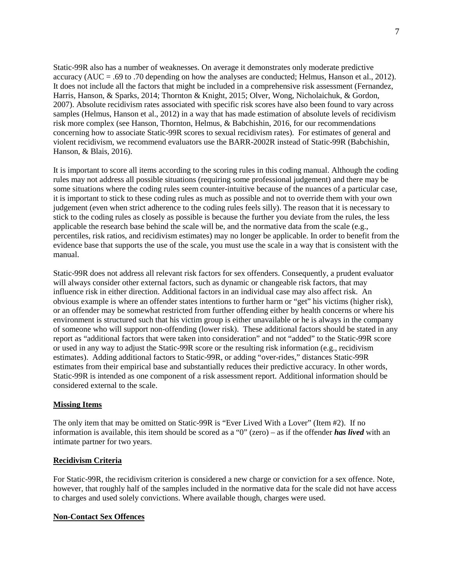Static-99R also has a number of weaknesses. On average it demonstrates only moderate predictive accuracy (AUC = .69 to .70 depending on how the analyses are conducted; Helmus, Hanson et al., 2012). It does not include all the factors that might be included in a comprehensive risk assessment (Fernandez, Harris, Hanson, & Sparks, 2014; Thornton & Knight, 2015; Olver, Wong, Nicholaichuk, & Gordon, 2007). Absolute recidivism rates associated with specific risk scores have also been found to vary across samples (Helmus, Hanson et al., 2012) in a way that has made estimation of absolute levels of recidivism risk more complex (see Hanson, Thornton, Helmus, & Babchishin, 2016, for our recommendations concerning how to associate Static-99R scores to sexual recidivism rates). For estimates of general and violent recidivism, we recommend evaluators use the BARR-2002R instead of Static-99R (Babchishin, Hanson, & Blais, 2016).

It is important to score all items according to the scoring rules in this coding manual. Although the coding rules may not address all possible situations (requiring some professional judgement) and there may be some situations where the coding rules seem counter-intuitive because of the nuances of a particular case, it is important to stick to these coding rules as much as possible and not to override them with your own judgement (even when strict adherence to the coding rules feels silly). The reason that it is necessary to stick to the coding rules as closely as possible is because the further you deviate from the rules, the less applicable the research base behind the scale will be, and the normative data from the scale (e.g., percentiles, risk ratios, and recidivism estimates) may no longer be applicable. In order to benefit from the evidence base that supports the use of the scale, you must use the scale in a way that is consistent with the manual.

Static-99R does not address all relevant risk factors for sex offenders. Consequently, a prudent evaluator will always consider other external factors, such as dynamic or changeable risk factors, that may influence risk in either direction. Additional factors in an individual case may also affect risk. An obvious example is where an offender states intentions to further harm or "get" his victims (higher risk), or an offender may be somewhat restricted from further offending either by health concerns or where his environment is structured such that his victim group is either unavailable or he is always in the company of someone who will support non-offending (lower risk). These additional factors should be stated in any report as "additional factors that were taken into consideration" and not "added" to the Static-99R score or used in any way to adjust the Static-99R score or the resulting risk information (e.g., recidivism estimates). Adding additional factors to Static-99R, or adding "over-rides," distances Static-99R estimates from their empirical base and substantially reduces their predictive accuracy. In other words, Static-99R is intended as one component of a risk assessment report. Additional information should be considered external to the scale.

# <span id="page-6-0"></span>**Missing Items**

The only item that may be omitted on Static-99R is "Ever Lived With a Lover" (Item #2). If no information is available, this item should be scored as a "0" (zero) – as if the offender *has lived* with an intimate partner for two years.

#### <span id="page-6-1"></span>**Recidivism Criteria**

For Static-99R, the recidivism criterion is considered a new charge or conviction for a sex offence. Note, however, that roughly half of the samples included in the normative data for the scale did not have access to charges and used solely convictions. Where available though, charges were used.

#### <span id="page-6-2"></span>**Non-Contact Sex Offences**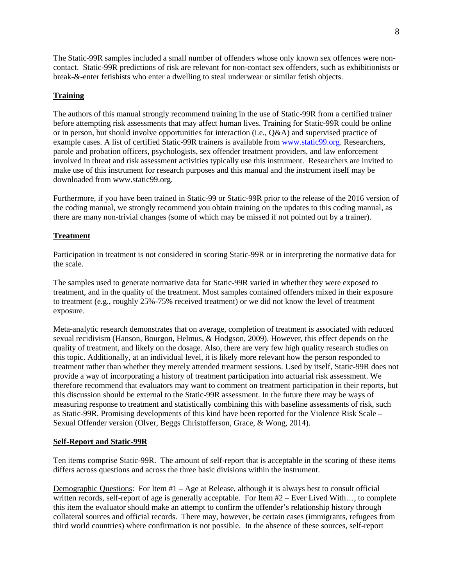The Static-99R samples included a small number of offenders whose only known sex offences were noncontact. Static-99R predictions of risk are relevant for non-contact sex offenders, such as exhibitionists or break-&-enter fetishists who enter a dwelling to steal underwear or similar fetish objects.

# <span id="page-7-0"></span>**Training**

The authors of this manual strongly recommend training in the use of Static-99R from a certified trainer before attempting risk assessments that may affect human lives. Training for Static-99R could be online or in person, but should involve opportunities for interaction (i.e., Q&A) and supervised practice of example cases. A list of certified Static-99R trainers is available from [www.static99.org.](http://www.static99.org/) Researchers, parole and probation officers, psychologists, sex offender treatment providers, and law enforcement involved in threat and risk assessment activities typically use this instrument. Researchers are invited to make use of this instrument for research purposes and this manual and the instrument itself may be downloaded from www.static99.org.

Furthermore, if you have been trained in Static-99 or Static-99R prior to the release of the 2016 version of the coding manual, we strongly recommend you obtain training on the updates to this coding manual, as there are many non-trivial changes (some of which may be missed if not pointed out by a trainer).

# <span id="page-7-1"></span>**Treatment**

Participation in treatment is not considered in scoring Static-99R or in interpreting the normative data for the scale.

The samples used to generate normative data for Static-99R varied in whether they were exposed to treatment, and in the quality of the treatment. Most samples contained offenders mixed in their exposure to treatment (e.g., roughly 25%-75% received treatment) or we did not know the level of treatment exposure.

Meta-analytic research demonstrates that on average, completion of treatment is associated with reduced sexual recidivism (Hanson, Bourgon, Helmus, & Hodgson, 2009). However, this effect depends on the quality of treatment, and likely on the dosage. Also, there are very few high quality research studies on this topic. Additionally, at an individual level, it is likely more relevant how the person responded to treatment rather than whether they merely attended treatment sessions. Used by itself, Static-99R does not provide a way of incorporating a history of treatment participation into actuarial risk assessment. We therefore recommend that evaluators may want to comment on treatment participation in their reports, but this discussion should be external to the Static-99R assessment. In the future there may be ways of measuring response to treatment and statistically combining this with baseline assessments of risk, such as Static-99R. Promising developments of this kind have been reported for the Violence Risk Scale – Sexual Offender version (Olver, Beggs Christofferson, Grace, & Wong, 2014).

# <span id="page-7-2"></span>**Self-Report and Static-99R**

Ten items comprise Static-99R. The amount of self-report that is acceptable in the scoring of these items differs across questions and across the three basic divisions within the instrument.

Demographic Questions: For Item #1 – Age at Release, although it is always best to consult official written records, self-report of age is generally acceptable. For Item #2 – Ever Lived With..., to complete this item the evaluator should make an attempt to confirm the offender's relationship history through collateral sources and official records. There may, however, be certain cases (immigrants, refugees from third world countries) where confirmation is not possible. In the absence of these sources, self-report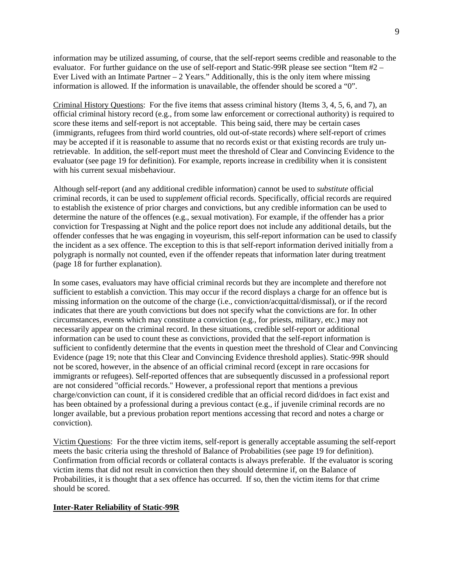information may be utilized assuming, of course, that the self-report seems credible and reasonable to the evaluator. For further guidance on the use of self-report and Static-99R please see section "Item #2 – Ever Lived with an Intimate Partner  $-2$  Years." Additionally, this is the only item where missing information is allowed. If the information is unavailable, the offender should be scored a "0".

Criminal History Questions: For the five items that assess criminal history (Items 3, 4, 5, 6, and 7), an official criminal history record (e.g., from some law enforcement or correctional authority) is required to score these items and self-report is not acceptable. This being said, there may be certain cases (immigrants, refugees from third world countries, old out-of-state records) where self-report of crimes may be accepted if it is reasonable to assume that no records exist or that existing records are truly unretrievable. In addition, the self-report must meet the threshold of Clear and Convincing Evidence to the evaluator (see page 19 for definition). For example, reports increase in credibility when it is consistent with his current sexual misbehaviour.

Although self-report (and any additional credible information) cannot be used to *substitute* official criminal records, it can be used to *supplement* official records. Specifically, official records are required to establish the existence of prior charges and convictions, but any credible information can be used to determine the nature of the offences (e.g., sexual motivation). For example, if the offender has a prior conviction for Trespassing at Night and the police report does not include any additional details, but the offender confesses that he was engaging in voyeurism, this self-report information can be used to classify the incident as a sex offence. The exception to this is that self-report information derived initially from a polygraph is normally not counted, even if the offender repeats that information later during treatment (page 18 for further explanation).

In some cases, evaluators may have official criminal records but they are incomplete and therefore not sufficient to establish a conviction. This may occur if the record displays a charge for an offence but is missing information on the outcome of the charge (i.e., conviction/acquittal/dismissal), or if the record indicates that there are youth convictions but does not specify what the convictions are for. In other circumstances, events which may constitute a conviction (e.g., for priests, military, etc.) may not necessarily appear on the criminal record. In these situations, credible self-report or additional information can be used to count these as convictions, provided that the self-report information is sufficient to confidently determine that the events in question meet the threshold of Clear and Convincing Evidence (page 19; note that this Clear and Convincing Evidence threshold applies). Static-99R should not be scored, however, in the absence of an official criminal record (except in rare occasions for immigrants or refugees). Self-reported offences that are subsequently discussed in a professional report are not considered "official records." However, a professional report that mentions a previous charge/conviction can count, if it is considered credible that an official record did/does in fact exist and has been obtained by a professional during a previous contact (e.g., if juvenile criminal records are no longer available, but a previous probation report mentions accessing that record and notes a charge or conviction).

Victim Questions: For the three victim items, self-report is generally acceptable assuming the self-report meets the basic criteria using the threshold of Balance of Probabilities (see page 19 for definition). Confirmation from official records or collateral contacts is always preferable. If the evaluator is scoring victim items that did not result in conviction then they should determine if, on the Balance of Probabilities, it is thought that a sex offence has occurred. If so, then the victim items for that crime should be scored.

#### <span id="page-8-0"></span>**Inter-Rater Reliability of Static-99R**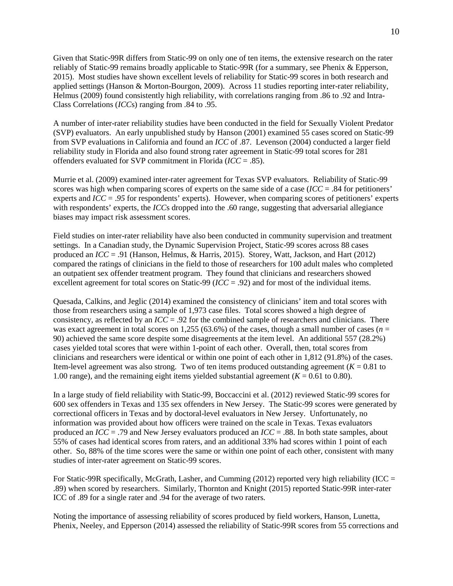Given that Static-99R differs from Static-99 on only one of ten items, the extensive research on the rater reliably of Static-99 remains broadly applicable to Static-99R (for a summary, see Phenix & Epperson, 2015). Most studies have shown excellent levels of reliability for Static-99 scores in both research and applied settings (Hanson & Morton-Bourgon, 2009). Across 11 studies reporting inter-rater reliability, Helmus (2009) found consistently high reliability, with correlations ranging from .86 to .92 and Intra-Class Correlations (*ICC*s) ranging from .84 to .95.

A number of inter-rater reliability studies have been conducted in the field for Sexually Violent Predator (SVP) evaluators. An early unpublished study by Hanson (2001) examined 55 cases scored on Static-99 from SVP evaluations in California and found an *ICC* of .87. Levenson (2004) conducted a larger field reliability study in Florida and also found strong rater agreement in Static-99 total scores for 281 offenders evaluated for SVP commitment in Florida (*ICC* = .85).

Murrie et al. (2009) examined inter-rater agreement for Texas SVP evaluators. Reliability of Static-99 scores was high when comparing scores of experts on the same side of a case (*ICC* = .84 for petitioners' experts and *ICC* = .*95* for respondents' experts). However, when comparing scores of petitioners' experts with respondents' experts, the *ICC*s dropped into the .60 range, suggesting that adversarial allegiance biases may impact risk assessment scores.

Field studies on inter-rater reliability have also been conducted in community supervision and treatment settings. In a Canadian study, the Dynamic Supervision Project, Static-99 scores across 88 cases produced an *ICC* = .91 (Hanson, Helmus, & Harris, 2015). Storey, Watt, Jackson, and Hart (2012) compared the ratings of clinicians in the field to those of researchers for 100 adult males who completed an outpatient sex offender treatment program. They found that clinicians and researchers showed excellent agreement for total scores on Static-99 (*ICC* = .92) and for most of the individual items.

Quesada, Calkins, and Jeglic (2014) examined the consistency of clinicians' item and total scores with those from researchers using a sample of 1,973 case files. Total scores showed a high degree of consistency, as reflected by an *ICC* = .92 for the combined sample of researchers and clinicians. There was exact agreement in total scores on 1,255 (63.6%) of the cases, though a small number of cases ( $n =$ 90) achieved the same score despite some disagreements at the item level. An additional 557 (28.2%) cases yielded total scores that were within 1-point of each other. Overall, then, total scores from clinicians and researchers were identical or within one point of each other in 1,812 (91.8%) of the cases. Item-level agreement was also strong. Two of ten items produced outstanding agreement  $(K = 0.81$  to 1.00 range), and the remaining eight items yielded substantial agreement  $(K = 0.61$  to 0.80).

In a large study of field reliability with Static-99, Boccaccini et al. (2012) reviewed Static-99 scores for 600 sex offenders in Texas and 135 sex offenders in New Jersey. The Static-99 scores were generated by correctional officers in Texas and by doctoral-level evaluators in New Jersey. Unfortunately, no information was provided about how officers were trained on the scale in Texas. Texas evaluators produced an *ICC* = .79 and New Jersey evaluators produced an *ICC* = .88. In both state samples, about 55% of cases had identical scores from raters, and an additional 33% had scores within 1 point of each other. So, 88% of the time scores were the same or within one point of each other, consistent with many studies of inter-rater agreement on Static-99 scores.

For Static-99R specifically, McGrath, Lasher, and Cumming (2012) reported very high reliability (ICC = .89) when scored by researchers. Similarly, Thornton and Knight (2015) reported Static-99R inter-rater ICC of .89 for a single rater and .94 for the average of two raters.

Noting the importance of assessing reliability of scores produced by field workers, Hanson, Lunetta, Phenix, Neeley, and Epperson (2014) assessed the reliability of Static-99R scores from 55 corrections and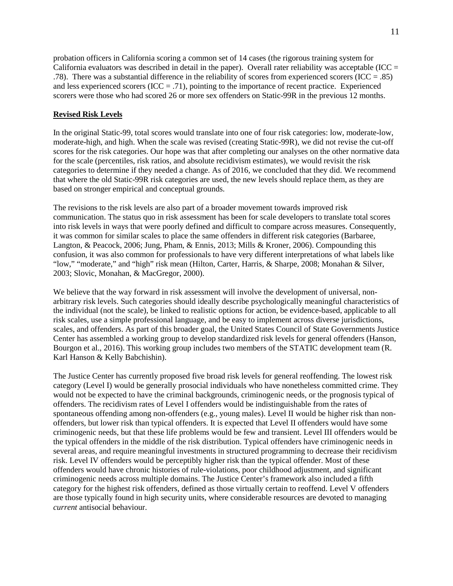probation officers in California scoring a common set of 14 cases (the rigorous training system for California evaluators was described in detail in the paper). Overall rater reliability was acceptable (ICC  $=$ .78). There was a substantial difference in the reliability of scores from experienced scorers (ICC = .85) and less experienced scorers ( $ICC = .71$ ), pointing to the importance of recent practice. Experienced scorers were those who had scored 26 or more sex offenders on Static-99R in the previous 12 months.

# <span id="page-10-0"></span>**Revised Risk Levels**

In the original Static-99, total scores would translate into one of four risk categories: low, moderate-low, moderate-high, and high. When the scale was revised (creating Static-99R), we did not revise the cut-off scores for the risk categories. Our hope was that after completing our analyses on the other normative data for the scale (percentiles, risk ratios, and absolute recidivism estimates), we would revisit the risk categories to determine if they needed a change. As of 2016, we concluded that they did. We recommend that where the old Static-99R risk categories are used, the new levels should replace them, as they are based on stronger empirical and conceptual grounds.

The revisions to the risk levels are also part of a broader movement towards improved risk communication. The status quo in risk assessment has been for scale developers to translate total scores into risk levels in ways that were poorly defined and difficult to compare across measures. Consequently, it was common for similar scales to place the same offenders in different risk categories (Barbaree, Langton, & Peacock, 2006; Jung, Pham, & Ennis, 2013; Mills & Kroner, 2006). Compounding this confusion, it was also common for professionals to have very different interpretations of what labels like "low," "moderate," and "high" risk mean (Hilton, Carter, Harris, & Sharpe, 2008; Monahan & Silver, 2003; Slovic, Monahan, & MacGregor, 2000).

We believe that the way forward in risk assessment will involve the development of universal, nonarbitrary risk levels. Such categories should ideally describe psychologically meaningful characteristics of the individual (not the scale), be linked to realistic options for action, be evidence-based, applicable to all risk scales, use a simple professional language, and be easy to implement across diverse jurisdictions, scales, and offenders. As part of this broader goal, the United States Council of State Governments Justice Center has assembled a working group to develop standardized risk levels for general offenders (Hanson, Bourgon et al., 2016). This working group includes two members of the STATIC development team (R. Karl Hanson & Kelly Babchishin).

The Justice Center has currently proposed five broad risk levels for general reoffending. The lowest risk category (Level I) would be generally prosocial individuals who have nonetheless committed crime. They would not be expected to have the criminal backgrounds, criminogenic needs, or the prognosis typical of offenders. The recidivism rates of Level I offenders would be indistinguishable from the rates of spontaneous offending among non-offenders (e.g., young males). Level II would be higher risk than nonoffenders, but lower risk than typical offenders. It is expected that Level II offenders would have some criminogenic needs, but that these life problems would be few and transient. Level III offenders would be the typical offenders in the middle of the risk distribution. Typical offenders have criminogenic needs in several areas, and require meaningful investments in structured programming to decrease their recidivism risk. Level IV offenders would be perceptibly higher risk than the typical offender. Most of these offenders would have chronic histories of rule-violations, poor childhood adjustment, and significant criminogenic needs across multiple domains. The Justice Center's framework also included a fifth category for the highest risk offenders, defined as those virtually certain to reoffend. Level V offenders are those typically found in high security units, where considerable resources are devoted to managing *current* antisocial behaviour.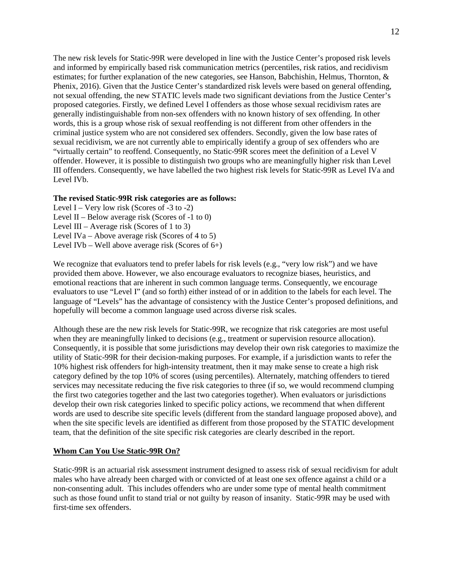The new risk levels for Static-99R were developed in line with the Justice Center's proposed risk levels and informed by empirically based risk communication metrics (percentiles, risk ratios, and recidivism estimates; for further explanation of the new categories, see Hanson, Babchishin, Helmus, Thornton, & Phenix, 2016). Given that the Justice Center's standardized risk levels were based on general offending, not sexual offending, the new STATIC levels made two significant deviations from the Justice Center's proposed categories. Firstly, we defined Level I offenders as those whose sexual recidivism rates are generally indistinguishable from non-sex offenders with no known history of sex offending. In other words, this is a group whose risk of sexual reoffending is not different from other offenders in the criminal justice system who are not considered sex offenders. Secondly, given the low base rates of sexual recidivism, we are not currently able to empirically identify a group of sex offenders who are "virtually certain" to reoffend. Consequently, no Static-99R scores meet the definition of a Level V offender. However, it is possible to distinguish two groups who are meaningfully higher risk than Level III offenders. Consequently, we have labelled the two highest risk levels for Static-99R as Level IVa and Level IVb.

#### **The revised Static-99R risk categories are as follows:**

Level I – Very low risk (Scores of -3 to -2) Level II – Below average risk (Scores of -1 to 0) Level III – Average risk (Scores of 1 to 3) Level IVa – Above average risk (Scores of 4 to 5) Level IVb – Well above average risk (Scores of  $6+$ )

We recognize that evaluators tend to prefer labels for risk levels (e.g., "very low risk") and we have provided them above. However, we also encourage evaluators to recognize biases, heuristics, and emotional reactions that are inherent in such common language terms. Consequently, we encourage evaluators to use "Level I" (and so forth) either instead of or in addition to the labels for each level. The language of "Levels" has the advantage of consistency with the Justice Center's proposed definitions, and hopefully will become a common language used across diverse risk scales.

Although these are the new risk levels for Static-99R, we recognize that risk categories are most useful when they are meaningfully linked to decisions (e.g., treatment or supervision resource allocation). Consequently, it is possible that some jurisdictions may develop their own risk categories to maximize the utility of Static-99R for their decision-making purposes. For example, if a jurisdiction wants to refer the 10% highest risk offenders for high-intensity treatment, then it may make sense to create a high risk category defined by the top 10% of scores (using percentiles). Alternately, matching offenders to tiered services may necessitate reducing the five risk categories to three (if so, we would recommend clumping the first two categories together and the last two categories together). When evaluators or jurisdictions develop their own risk categories linked to specific policy actions, we recommend that when different words are used to describe site specific levels (different from the standard language proposed above), and when the site specific levels are identified as different from those proposed by the STATIC development team, that the definition of the site specific risk categories are clearly described in the report.

#### <span id="page-11-0"></span>**Whom Can You Use Static-99R On?**

Static-99R is an actuarial risk assessment instrument designed to assess risk of sexual recidivism for adult males who have already been charged with or convicted of at least one sex offence against a child or a non-consenting adult. This includes offenders who are under some type of mental health commitment such as those found unfit to stand trial or not guilty by reason of insanity. Static-99R may be used with first-time sex offenders.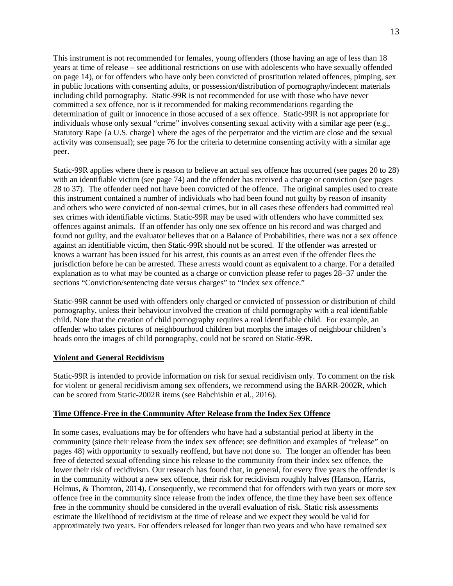This instrument is not recommended for females, young offenders (those having an age of less than 18 years at time of release – see additional restrictions on use with adolescents who have sexually offended on page 14), or for offenders who have only been convicted of prostitution related offences, pimping, sex in public locations with consenting adults, or possession/distribution of pornography/indecent materials including child pornography. Static-99R is not recommended for use with those who have never committed a sex offence, nor is it recommended for making recommendations regarding the determination of guilt or innocence in those accused of a sex offence. Static-99R is not appropriate for individuals whose only sexual "crime" involves consenting sexual activity with a similar age peer (e.g., Statutory Rape {a U.S. charge} where the ages of the perpetrator and the victim are close and the sexual activity was consensual); see page 76 for the criteria to determine consenting activity with a similar age peer.

Static-99R applies where there is reason to believe an actual sex offence has occurred (see pages 20 to 28) with an identifiable victim (see page 74) and the offender has received a charge or conviction (see pages 28 to 37). The offender need not have been convicted of the offence. The original samples used to create this instrument contained a number of individuals who had been found not guilty by reason of insanity and others who were convicted of non-sexual crimes, but in all cases these offenders had committed real sex crimes with identifiable victims. Static-99R may be used with offenders who have committed sex offences against animals. If an offender has only one sex offence on his record and was charged and found not guilty, and the evaluator believes that on a Balance of Probabilities, there was not a sex offence against an identifiable victim, then Static-99R should not be scored. If the offender was arrested or knows a warrant has been issued for his arrest, this counts as an arrest even if the offender flees the jurisdiction before he can be arrested. These arrests would count as equivalent to a charge. For a detailed explanation as to what may be counted as a charge or conviction please refer to pages 28–37 under the sections "Conviction/sentencing date versus charges" to "Index sex offence."

Static-99R cannot be used with offenders only charged or convicted of possession or distribution of child pornography, unless their behaviour involved the creation of child pornography with a real identifiable child. Note that the creation of child pornography requires a real identifiable child. For example, an offender who takes pictures of neighbourhood children but morphs the images of neighbour children's heads onto the images of child pornography, could not be scored on Static-99R.

#### **Violent and General Recidivism**

Static-99R is intended to provide information on risk for sexual recidivism only. To comment on the risk for violent or general recidivism among sex offenders, we recommend using the BARR-2002R, which can be scored from Static-2002R items (see Babchishin et al., 2016).

#### <span id="page-12-0"></span>**Time Offence-Free in the Community After Release from the Index Sex Offence**

In some cases, evaluations may be for offenders who have had a substantial period at liberty in the community (since their release from the index sex offence; see definition and examples of "release" on pages 48) with opportunity to sexually reoffend, but have not done so. The longer an offender has been free of detected sexual offending since his release to the community from their index sex offence, the lower their risk of recidivism. Our research has found that, in general, for every five years the offender is in the community without a new sex offence, their risk for recidivism roughly halves (Hanson, Harris, Helmus, & Thornton, 2014). Consequently, we recommend that for offenders with two years or more sex offence free in the community since release from the index offence, the time they have been sex offence free in the community should be considered in the overall evaluation of risk. Static risk assessments estimate the likelihood of recidivism at the time of release and we expect they would be valid for approximately two years. For offenders released for longer than two years and who have remained sex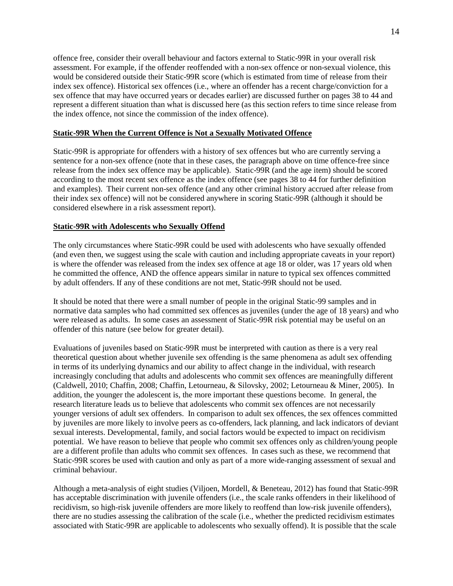offence free, consider their overall behaviour and factors external to Static-99R in your overall risk assessment. For example, if the offender reoffended with a non-sex offence or non-sexual violence, this would be considered outside their Static-99R score (which is estimated from time of release from their index sex offence). Historical sex offences (i.e., where an offender has a recent charge/conviction for a sex offence that may have occurred years or decades earlier) are discussed further on pages 38 to 44 and represent a different situation than what is discussed here (as this section refers to time since release from the index offence, not since the commission of the index offence).

#### <span id="page-13-0"></span>**Static-99R When the Current Offence is Not a Sexually Motivated Offence**

Static-99R is appropriate for offenders with a history of sex offences but who are currently serving a sentence for a non-sex offence (note that in these cases, the paragraph above on time offence-free since release from the index sex offence may be applicable). Static-99R (and the age item) should be scored according to the most recent sex offence as the index offence (see pages 38 to 44 for further definition and examples). Their current non-sex offence (and any other criminal history accrued after release from their index sex offence) will not be considered anywhere in scoring Static-99R (although it should be considered elsewhere in a risk assessment report).

#### <span id="page-13-1"></span>**Static-99R with Adolescents who Sexually Offend**

The only circumstances where Static-99R could be used with adolescents who have sexually offended (and even then, we suggest using the scale with caution and including appropriate caveats in your report) is where the offender was released from the index sex offence at age 18 or older, was 17 years old when he committed the offence, AND the offence appears similar in nature to typical sex offences committed by adult offenders. If any of these conditions are not met, Static-99R should not be used.

It should be noted that there were a small number of people in the original Static-99 samples and in normative data samples who had committed sex offences as juveniles (under the age of 18 years) and who were released as adults. In some cases an assessment of Static-99R risk potential may be useful on an offender of this nature (see below for greater detail).

Evaluations of juveniles based on Static-99R must be interpreted with caution as there is a very real theoretical question about whether juvenile sex offending is the same phenomena as adult sex offending in terms of its underlying dynamics and our ability to affect change in the individual, with research increasingly concluding that adults and adolescents who commit sex offences are meaningfully different (Caldwell, 2010; Chaffin, 2008; Chaffin, Letourneau, & Silovsky, 2002; Letourneau & Miner, 2005). In addition, the younger the adolescent is, the more important these questions become. In general, the research literature leads us to believe that adolescents who commit sex offences are not necessarily younger versions of adult sex offenders. In comparison to adult sex offences, the sex offences committed by juveniles are more likely to involve peers as co-offenders, lack planning, and lack indicators of deviant sexual interests. Developmental, family, and social factors would be expected to impact on recidivism potential. We have reason to believe that people who commit sex offences only as children/young people are a different profile than adults who commit sex offences. In cases such as these, we recommend that Static-99R scores be used with caution and only as part of a more wide-ranging assessment of sexual and criminal behaviour.

Although a meta-analysis of eight studies (Viljoen, Mordell, & Beneteau, 2012) has found that Static-99R has acceptable discrimination with juvenile offenders (i.e., the scale ranks offenders in their likelihood of recidivism, so high-risk juvenile offenders are more likely to reoffend than low-risk juvenile offenders), there are no studies assessing the calibration of the scale (i.e., whether the predicted recidivism estimates associated with Static-99R are applicable to adolescents who sexually offend). It is possible that the scale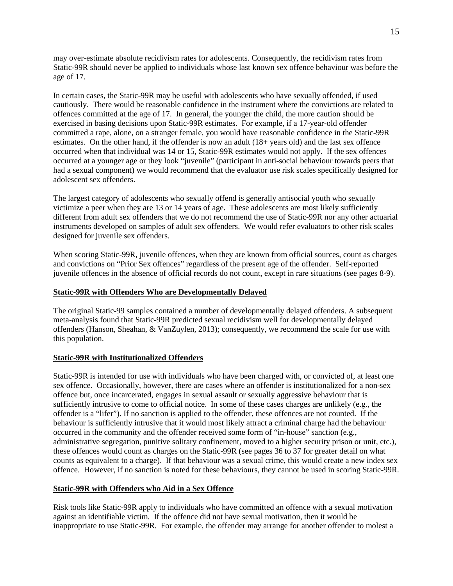may over-estimate absolute recidivism rates for adolescents. Consequently, the recidivism rates from Static-99R should never be applied to individuals whose last known sex offence behaviour was before the age of 17.

In certain cases, the Static-99R may be useful with adolescents who have sexually offended, if used cautiously. There would be reasonable confidence in the instrument where the convictions are related to offences committed at the age of 17. In general, the younger the child, the more caution should be exercised in basing decisions upon Static-99R estimates. For example, if a 17-year-old offender committed a rape, alone, on a stranger female, you would have reasonable confidence in the Static-99R estimates. On the other hand, if the offender is now an adult (18+ years old) and the last sex offence occurred when that individual was 14 or 15, Static-99R estimates would not apply. If the sex offences occurred at a younger age or they look "juvenile" (participant in anti-social behaviour towards peers that had a sexual component) we would recommend that the evaluator use risk scales specifically designed for adolescent sex offenders.

The largest category of adolescents who sexually offend is generally antisocial youth who sexually victimize a peer when they are 13 or 14 years of age. These adolescents are most likely sufficiently different from adult sex offenders that we do not recommend the use of Static-99R nor any other actuarial instruments developed on samples of adult sex offenders. We would refer evaluators to other risk scales designed for juvenile sex offenders.

When scoring Static-99R, juvenile offences, when they are known from official sources, count as charges and convictions on "Prior Sex offences" regardless of the present age of the offender. Self-reported juvenile offences in the absence of official records do not count, except in rare situations (see pages 8-9).

#### <span id="page-14-0"></span>**Static-99R with Offenders Who are Developmentally Delayed**

The original Static-99 samples contained a number of developmentally delayed offenders. A subsequent meta-analysis found that Static-99R predicted sexual recidivism well for developmentally delayed offenders (Hanson, Sheahan, & VanZuylen, 2013); consequently, we recommend the scale for use with this population.

#### <span id="page-14-1"></span>**Static-99R with Institutionalized Offenders**

Static-99R is intended for use with individuals who have been charged with, or convicted of, at least one sex offence. Occasionally, however, there are cases where an offender is institutionalized for a non-sex offence but, once incarcerated, engages in sexual assault or sexually aggressive behaviour that is sufficiently intrusive to come to official notice. In some of these cases charges are unlikely (e.g., the offender is a "lifer"). If no sanction is applied to the offender, these offences are not counted. If the behaviour is sufficiently intrusive that it would most likely attract a criminal charge had the behaviour occurred in the community and the offender received some form of "in-house" sanction (e.g., administrative segregation, punitive solitary confinement, moved to a higher security prison or unit, etc.), these offences would count as charges on the Static-99R (see pages 36 to 37 for greater detail on what counts as equivalent to a charge). If that behaviour was a sexual crime, this would create a new index sex offence. However, if no sanction is noted for these behaviours, they cannot be used in scoring Static-99R.

#### <span id="page-14-2"></span>**Static-99R with Offenders who Aid in a Sex Offence**

Risk tools like Static-99R apply to individuals who have committed an offence with a sexual motivation against an identifiable victim. If the offence did not have sexual motivation, then it would be inappropriate to use Static-99R. For example, the offender may arrange for another offender to molest a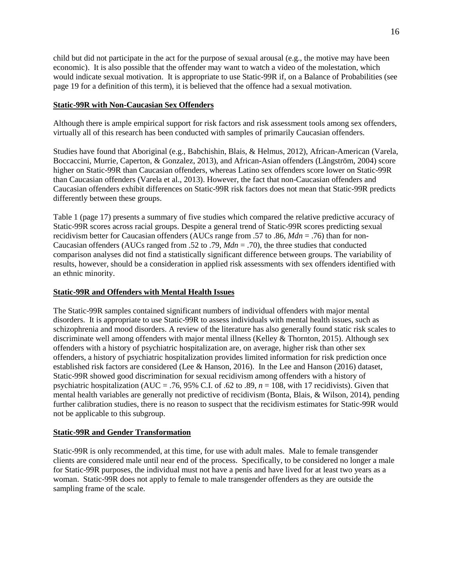child but did not participate in the act for the purpose of sexual arousal (e.g., the motive may have been economic). It is also possible that the offender may want to watch a video of the molestation, which would indicate sexual motivation. It is appropriate to use Static-99R if, on a Balance of Probabilities (see page 19 for a definition of this term), it is believed that the offence had a sexual motivation.

#### <span id="page-15-0"></span>**Static-99R with Non-Caucasian Sex Offenders**

Although there is ample empirical support for risk factors and risk assessment tools among sex offenders, virtually all of this research has been conducted with samples of primarily Caucasian offenders.

Studies have found that Aboriginal (e.g., Babchishin, Blais, & Helmus, 2012), African-American (Varela, Boccaccini, Murrie, Caperton, & Gonzalez, 2013), and African-Asian offenders (Långström, 2004) score higher on Static-99R than Caucasian offenders, whereas Latino sex offenders score lower on Static-99R than Caucasian offenders (Varela et al., 2013). However, the fact that non-Caucasian offenders and Caucasian offenders exhibit differences on Static-99R risk factors does not mean that Static-99R predicts differently between these groups.

Table 1 (page 17) presents a summary of five studies which compared the relative predictive accuracy of Static-99R scores across racial groups. Despite a general trend of Static-99R scores predicting sexual recidivism better for Caucasian offenders (AUCs range from .57 to .86, *Mdn* = .76) than for non-Caucasian offenders (AUCs ranged from .52 to .79, *Mdn* = .70), the three studies that conducted comparison analyses did not find a statistically significant difference between groups. The variability of results, however, should be a consideration in applied risk assessments with sex offenders identified with an ethnic minority.

#### <span id="page-15-1"></span>**Static-99R and Offenders with Mental Health Issues**

The Static-99R samples contained significant numbers of individual offenders with major mental disorders. It is appropriate to use Static-99R to assess individuals with mental health issues, such as schizophrenia and mood disorders. A review of the literature has also generally found static risk scales to discriminate well among offenders with major mental illness (Kelley & Thornton, 2015). Although sex offenders with a history of psychiatric hospitalization are, on average, higher risk than other sex offenders, a history of psychiatric hospitalization provides limited information for risk prediction once established risk factors are considered (Lee & Hanson, 2016). In the Lee and Hanson (2016) dataset, Static-99R showed good discrimination for sexual recidivism among offenders with a history of psychiatric hospitalization (AUC = .76, 95% C.I. of .62 to .89, *n* = 108, with 17 recidivists). Given that mental health variables are generally not predictive of recidivism (Bonta, Blais, & Wilson, 2014), pending further calibration studies, there is no reason to suspect that the recidivism estimates for Static-99R would not be applicable to this subgroup.

# <span id="page-15-2"></span>**Static-99R and Gender Transformation**

Static-99R is only recommended, at this time, for use with adult males. Male to female transgender clients are considered male until near end of the process. Specifically, to be considered no longer a male for Static-99R purposes, the individual must not have a penis and have lived for at least two years as a woman. Static-99R does not apply to female to male transgender offenders as they are outside the sampling frame of the scale.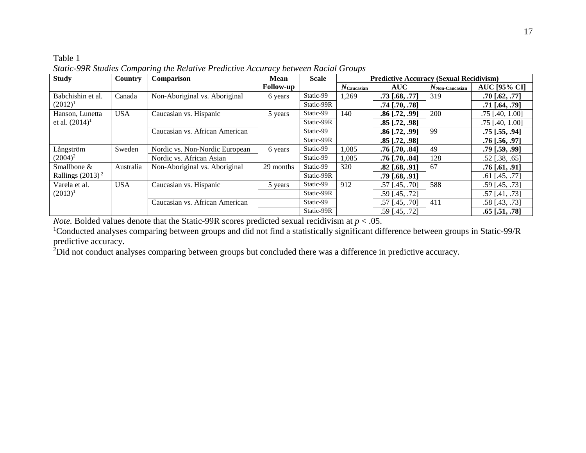# Table 1 *Static-99R Studies Comparing the Relative Predictive Accuracy between Racial Groups*

| <b>Study</b>        | Country    | Comparison                     | <b>Mean</b>      | <b>Scale</b> | <b>Predictive Accuracy (Sexual Recidivism)</b> |                  |                   |                      |
|---------------------|------------|--------------------------------|------------------|--------------|------------------------------------------------|------------------|-------------------|----------------------|
|                     |            |                                | <b>Follow-up</b> |              | $N$ Caucasian                                  | <b>AUC</b>       | $N$ Non-Caucasian | <b>AUC [95% CI]</b>  |
| Babchishin et al.   | Canada     | Non-Aboriginal vs. Aboriginal  | 6 years          | Static-99    | 1,269                                          | $.73$ [.68, .77] | 319               | $.70$ [.62, .77]     |
| $(2012)^1$          |            |                                |                  | Static-99R   |                                                | $.74$ [.70, .78] |                   | .71 [.64, .79]       |
| Hanson, Lunetta     | <b>USA</b> | Caucasian vs. Hispanic         | 5 years          | Static-99    | 140                                            | $.86$ [.72, .99] | 200               | $.75$ [.40, 1.00]    |
| et al. $(2014)^1$   |            |                                |                  | Static-99R   |                                                | $.85$ [.72, .98] |                   | $.75$ [.40, 1.00]    |
|                     |            | Caucasian vs. African American |                  | Static-99    |                                                | $.86$ [.72, .99] | 99                | $.75$ [ $.55, .94$ ] |
|                     |            |                                |                  | Static-99R   |                                                | $.85$ [.72, .98] |                   | .76 [.56, .97]       |
| Långström           | Sweden     | Nordic vs. Non-Nordic European | 6 years          | Static-99    | 1,085                                          | $.76$ [.70, .84] | 49                | $.79$ [.59, .99]     |
| $(2004)^2$          |            | Nordic vs. African Asian       |                  | Static-99    | 1.085                                          | $.76$ [.70, .84] | 128               | $.52$ [.38, .65]     |
| Smallbone &         | Australia  | Non-Aboriginal vs. Aboriginal  | 29 months        | Static-99    | 320                                            | $.82$ [.68, .91] | 67                | $.76$ [.61, .91]     |
| Rallings $(2013)^2$ |            |                                |                  | Static-99R   |                                                | $.79$ [.68, .91] |                   | $.61$ [.45, .77]     |
| Varela et al.       | <b>USA</b> | Caucasian vs. Hispanic         | 5 years          | Static-99    | 912                                            | $.57$ [.45, .70] | 588               | $.59$ [.45, .73]     |
| $(2013)^1$          |            |                                |                  | Static-99R   |                                                | $.59$ [.45, .72] |                   | $.57$ [.41, .73]     |
|                     |            | Caucasian vs. African American |                  | Static-99    |                                                | $.57$ [.45, .70] | 411               | $.58$ [.43, .73]     |
|                     |            |                                |                  | Static-99R   |                                                | $.59$ [.45, .72] |                   | $.65$ [.51, .78]     |

*Note.* Bolded values denote that the Static-99R scores predicted sexual recidivism at  $p < .05$ .

<sup>1</sup>Conducted analyses comparing between groups and did not find a statistically significant difference between groups in Static-99/R predictive accuracy.

 $2$ Did not conduct analyses comparing between groups but concluded there was a difference in predictive accuracy.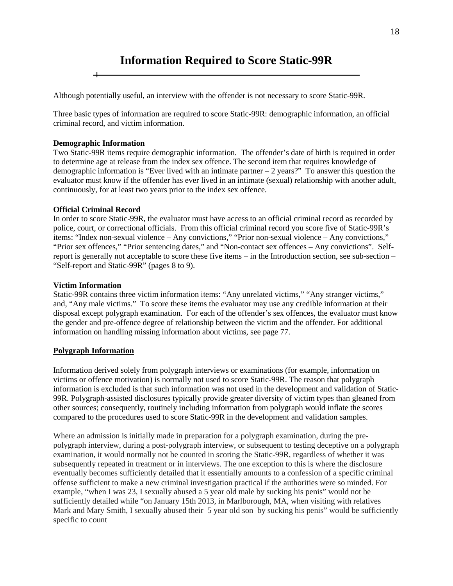# <span id="page-17-0"></span>**Information Required to Score Static-99R**

Although potentially useful, an interview with the offender is not necessary to score Static-99R.

Three basic types of information are required to score Static-99R: demographic information, an official criminal record, and victim information.

#### **Demographic Information**

Two Static-99R items require demographic information. The offender's date of birth is required in order to determine age at release from the index sex offence. The second item that requires knowledge of demographic information is "Ever lived with an intimate partner – 2 years?" To answer this question the evaluator must know if the offender has ever lived in an intimate (sexual) relationship with another adult, continuously, for at least two years prior to the index sex offence.

#### **Official Criminal Record**

In order to score Static-99R, the evaluator must have access to an official criminal record as recorded by police, court, or correctional officials. From this official criminal record you score five of Static-99R's items: "Index non-sexual violence – Any convictions," "Prior non-sexual violence – Any convictions," "Prior sex offences," "Prior sentencing dates," and "Non-contact sex offences – Any convictions". Selfreport is generally not acceptable to score these five items – in the Introduction section, see sub-section – "Self-report and Static-99R" (pages 8 to 9).

#### **Victim Information**

Static-99R contains three victim information items: "Any unrelated victims," "Any stranger victims," and, "Any male victims." To score these items the evaluator may use any credible information at their disposal except polygraph examination. For each of the offender's sex offences, the evaluator must know the gender and pre-offence degree of relationship between the victim and the offender. For additional information on handling missing information about victims, see page 77.

#### <span id="page-17-1"></span>**Polygraph Information**

Information derived solely from polygraph interviews or examinations (for example, information on victims or offence motivation) is normally not used to score Static-99R. The reason that polygraph information is excluded is that such information was not used in the development and validation of Static-99R. Polygraph-assisted disclosures typically provide greater diversity of victim types than gleaned from other sources; consequently, routinely including information from polygraph would inflate the scores compared to the procedures used to score Static-99R in the development and validation samples.

Where an admission is initially made in preparation for a polygraph examination, during the prepolygraph interview, during a post-polygraph interview, or subsequent to testing deceptive on a polygraph examination, it would normally not be counted in scoring the Static-99R, regardless of whether it was subsequently repeated in treatment or in interviews. The one exception to this is where the disclosure eventually becomes sufficiently detailed that it essentially amounts to a confession of a specific criminal offense sufficient to make a new criminal investigation practical if the authorities were so minded. For example, "when I was 23, I sexually abused a 5 year old male by sucking his penis" would not be sufficiently detailed while "on January 15th 2013, in Marlborough, MA, when visiting with relatives Mark and Mary Smith, I sexually abused their 5 year old son by sucking his penis" would be sufficiently specific to count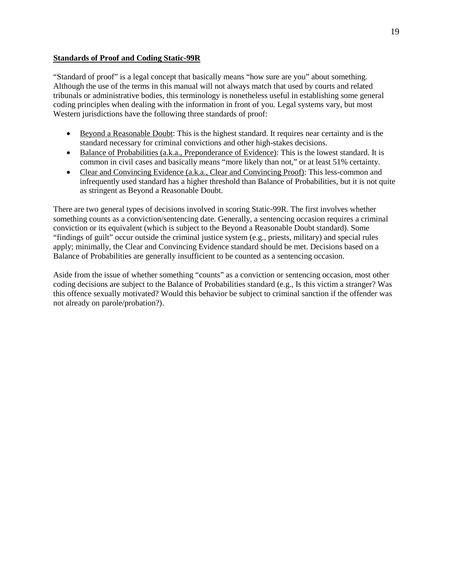#### <span id="page-18-0"></span>**Standards of Proof and Coding Static-99R**

"Standard of proof" is a legal concept that basically means "how sure are you" about something. Although the use of the terms in this manual will not always match that used by courts and related tribunals or administrative bodies, this terminology is nonetheless useful in establishing some general coding principles when dealing with the information in front of you. Legal systems vary, but most Western jurisdictions have the following three standards of proof:

- Beyond a Reasonable Doubt: This is the highest standard. It requires near certainty and is the standard necessary for criminal convictions and other high-stakes decisions.
- Balance of Probabilities (a.k.a., Preponderance of Evidence): This is the lowest standard. It is common in civil cases and basically means "more likely than not," or at least 51% certainty.
- Clear and Convincing Evidence (a.k.a., Clear and Convincing Proof): This less-common and infrequently used standard has a higher threshold than Balance of Probabilities, but it is not quite as stringent as Beyond a Reasonable Doubt.

There are two general types of decisions involved in scoring Static-99R. The first involves whether something counts as a conviction/sentencing date. Generally, a sentencing occasion requires a criminal conviction or its equivalent (which is subject to the Beyond a Reasonable Doubt standard). Some "findings of guilt" occur outside the criminal justice system (e.g., priests, military) and special rules apply; minimally, the Clear and Convincing Evidence standard should be met. Decisions based on a Balance of Probabilities are generally insufficient to be counted as a sentencing occasion.

Aside from the issue of whether something "counts" as a conviction or sentencing occasion, most other coding decisions are subject to the Balance of Probabilities standard (e.g., Is this victim a stranger? Was this offence sexually motivated? Would this behavior be subject to criminal sanction if the offender was not already on parole/probation?).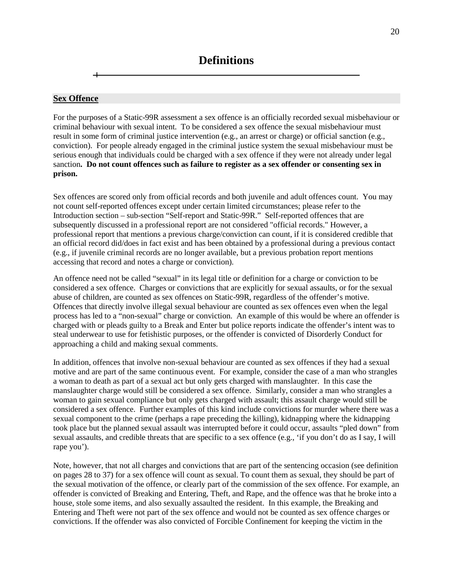#### <span id="page-19-1"></span><span id="page-19-0"></span>**Sex Offence**

For the purposes of a Static-99R assessment a sex offence is an officially recorded sexual misbehaviour or criminal behaviour with sexual intent. To be considered a sex offence the sexual misbehaviour must result in some form of criminal justice intervention (e.g., an arrest or charge) or official sanction (e.g., conviction). For people already engaged in the criminal justice system the sexual misbehaviour must be serious enough that individuals could be charged with a sex offence if they were not already under legal sanction**. Do not count offences such as failure to register as a sex offender or consenting sex in prison.**

Sex offences are scored only from official records and both juvenile and adult offences count. You may not count self-reported offences except under certain limited circumstances; please refer to the Introduction section – sub-section "Self-report and Static-99R." Self-reported offences that are subsequently discussed in a professional report are not considered "official records." However, a professional report that mentions a previous charge/conviction can count, if it is considered credible that an official record did/does in fact exist and has been obtained by a professional during a previous contact (e.g., if juvenile criminal records are no longer available, but a previous probation report mentions accessing that record and notes a charge or conviction).

An offence need not be called "sexual" in its legal title or definition for a charge or conviction to be considered a sex offence. Charges or convictions that are explicitly for sexual assaults, or for the sexual abuse of children, are counted as sex offences on Static-99R, regardless of the offender's motive. Offences that directly involve illegal sexual behaviour are counted as sex offences even when the legal process has led to a "non-sexual" charge or conviction. An example of this would be where an offender is charged with or pleads guilty to a Break and Enter but police reports indicate the offender's intent was to steal underwear to use for fetishistic purposes, or the offender is convicted of Disorderly Conduct for approaching a child and making sexual comments.

In addition, offences that involve non-sexual behaviour are counted as sex offences if they had a sexual motive and are part of the same continuous event. For example, consider the case of a man who strangles a woman to death as part of a sexual act but only gets charged with manslaughter. In this case the manslaughter charge would still be considered a sex offence. Similarly, consider a man who strangles a woman to gain sexual compliance but only gets charged with assault; this assault charge would still be considered a sex offence. Further examples of this kind include convictions for murder where there was a sexual component to the crime (perhaps a rape preceding the killing), kidnapping where the kidnapping took place but the planned sexual assault was interrupted before it could occur, assaults "pled down" from sexual assaults, and credible threats that are specific to a sex offence (e.g., 'if you don't do as I say, I will rape you').

Note, however, that not all charges and convictions that are part of the sentencing occasion (see definition on pages 28 to 37) for a sex offence will count as sexual. To count them as sexual, they should be part of the sexual motivation of the offence, or clearly part of the commission of the sex offence. For example, an offender is convicted of Breaking and Entering, Theft, and Rape, and the offence was that he broke into a house, stole some items, and also sexually assaulted the resident. In this example, the Breaking and Entering and Theft were not part of the sex offence and would not be counted as sex offence charges or convictions. If the offender was also convicted of Forcible Confinement for keeping the victim in the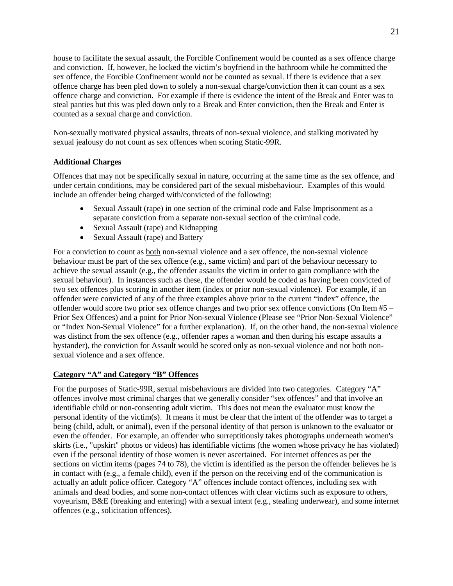house to facilitate the sexual assault, the Forcible Confinement would be counted as a sex offence charge and conviction. If, however, he locked the victim's boyfriend in the bathroom while he committed the sex offence, the Forcible Confinement would not be counted as sexual. If there is evidence that a sex offence charge has been pled down to solely a non-sexual charge/conviction then it can count as a sex offence charge and conviction. For example if there is evidence the intent of the Break and Enter was to steal panties but this was pled down only to a Break and Enter conviction, then the Break and Enter is counted as a sexual charge and conviction.

Non-sexually motivated physical assaults, threats of non-sexual violence, and stalking motivated by sexual jealousy do not count as sex offences when scoring Static-99R.

# **Additional Charges**

Offences that may not be specifically sexual in nature, occurring at the same time as the sex offence, and under certain conditions, may be considered part of the sexual misbehaviour. Examples of this would include an offender being charged with/convicted of the following:

- Sexual Assault (rape) in one section of the criminal code and False Imprisonment as a separate conviction from a separate non-sexual section of the criminal code.
- Sexual Assault (rape) and Kidnapping
- Sexual Assault (rape) and Battery

For a conviction to count as both non-sexual violence and a sex offence, the non-sexual violence behaviour must be part of the sex offence (e.g., same victim) and part of the behaviour necessary to achieve the sexual assault (e.g., the offender assaults the victim in order to gain compliance with the sexual behaviour). In instances such as these, the offender would be coded as having been convicted of two sex offences plus scoring in another item (index or prior non-sexual violence). For example, if an offender were convicted of any of the three examples above prior to the current "index" offence, the offender would score two prior sex offence charges and two prior sex offence convictions (On Item #5 – Prior Sex Offences) and a point for Prior Non-sexual Violence (Please see "Prior Non-Sexual Violence" or "Index Non-Sexual Violence" for a further explanation). If, on the other hand, the non-sexual violence was distinct from the sex offence (e.g., offender rapes a woman and then during his escape assaults a bystander), the conviction for Assault would be scored only as non-sexual violence and not both nonsexual violence and a sex offence.

# <span id="page-20-0"></span>**Category "A" and Category "B" Offences**

For the purposes of Static-99R, sexual misbehaviours are divided into two categories. Category "A" offences involve most criminal charges that we generally consider "sex offences" and that involve an identifiable child or non-consenting adult victim. This does not mean the evaluator must know the personal identity of the victim(s). It means it must be clear that the intent of the offender was to target a being (child, adult, or animal), even if the personal identity of that person is unknown to the evaluator or even the offender. For example, an offender who surreptitiously takes photographs underneath women's skirts (i.e., "upskirt" photos or videos) has identifiable victims (the women whose privacy he has violated) even if the personal identity of those women is never ascertained. For internet offences as per the sections on victim items (pages 74 to 78), the victim is identified as the person the offender believes he is in contact with (e.g., a female child), even if the person on the receiving end of the communication is actually an adult police officer. Category "A" offences include contact offences, including sex with animals and dead bodies, and some non-contact offences with clear victims such as exposure to others, voyeurism, B&E (breaking and entering) with a sexual intent (e.g., stealing underwear), and some internet offences (e.g., solicitation offences).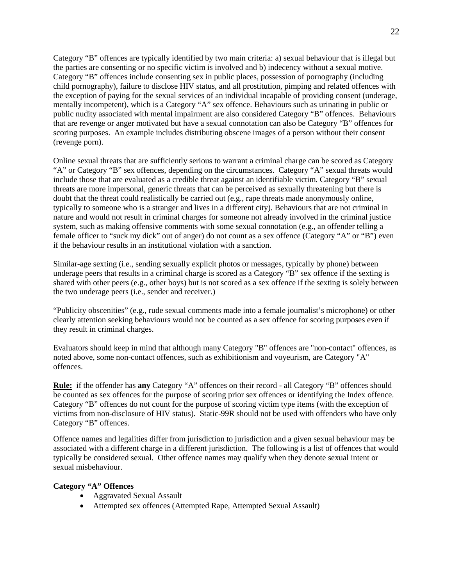Category "B" offences are typically identified by two main criteria: a) sexual behaviour that is illegal but the parties are consenting or no specific victim is involved and b) indecency without a sexual motive. Category "B" offences include consenting sex in public places, possession of pornography (including child pornography), failure to disclose HIV status, and all prostitution, pimping and related offences with the exception of paying for the sexual services of an individual incapable of providing consent (underage, mentally incompetent), which is a Category "A" sex offence. Behaviours such as urinating in public or public nudity associated with mental impairment are also considered Category "B" offences. Behaviours that are revenge or anger motivated but have a sexual connotation can also be Category "B" offences for scoring purposes. An example includes distributing obscene images of a person without their consent (revenge porn).

Online sexual threats that are sufficiently serious to warrant a criminal charge can be scored as Category "A" or Category "B" sex offences, depending on the circumstances. Category "A" sexual threats would include those that are evaluated as a credible threat against an identifiable victim. Category "B" sexual threats are more impersonal, generic threats that can be perceived as sexually threatening but there is doubt that the threat could realistically be carried out (e.g., rape threats made anonymously online, typically to someone who is a stranger and lives in a different city). Behaviours that are not criminal in nature and would not result in criminal charges for someone not already involved in the criminal justice system, such as making offensive comments with some sexual connotation (e.g., an offender telling a female officer to "suck my dick" out of anger) do not count as a sex offence (Category "A" or "B") even if the behaviour results in an institutional violation with a sanction.

Similar-age sexting (i.e., sending sexually explicit photos or messages, typically by phone) between underage peers that results in a criminal charge is scored as a Category "B" sex offence if the sexting is shared with other peers (e.g., other boys) but is not scored as a sex offence if the sexting is solely between the two underage peers (i.e., sender and receiver.)

"Publicity obscenities" (e.g., rude sexual comments made into a female journalist's microphone) or other clearly attention seeking behaviours would not be counted as a sex offence for scoring purposes even if they result in criminal charges.

Evaluators should keep in mind that although many Category "B" offences are "non-contact" offences, as noted above, some non-contact offences, such as exhibitionism and voyeurism, are Category "A" offences.

**Rule:** if the offender has **any** Category "A" offences on their record - all Category "B" offences should be counted as sex offences for the purpose of scoring prior sex offences or identifying the Index offence. Category "B" offences do not count for the purpose of scoring victim type items (with the exception of victims from non-disclosure of HIV status). Static-99R should not be used with offenders who have only Category "B" offences.

Offence names and legalities differ from jurisdiction to jurisdiction and a given sexual behaviour may be associated with a different charge in a different jurisdiction. The following is a list of offences that would typically be considered sexual. Other offence names may qualify when they denote sexual intent or sexual misbehaviour.

# **Category "A" Offences**

- Aggravated Sexual Assault
- Attempted sex offences (Attempted Rape, Attempted Sexual Assault)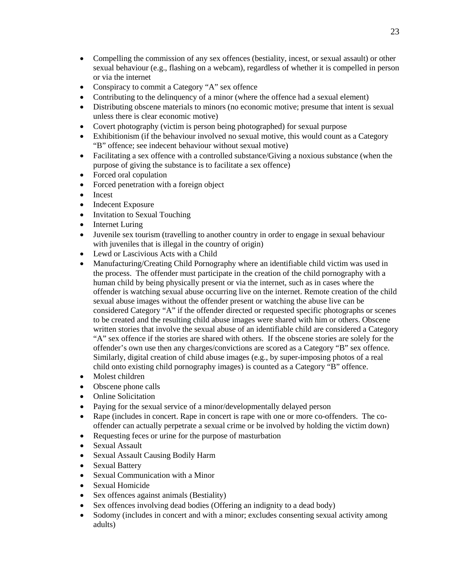- Compelling the commission of any sex offences (bestiality, incest, or sexual assault) or other sexual behaviour (e.g., flashing on a webcam), regardless of whether it is compelled in person or via the internet
- Conspiracy to commit a Category "A" sex offence
- Contributing to the delinquency of a minor (where the offence had a sexual element)
- Distributing obscene materials to minors (no economic motive; presume that intent is sexual unless there is clear economic motive)
- Covert photography (victim is person being photographed) for sexual purpose
- Exhibitionism (if the behaviour involved no sexual motive, this would count as a Category "B" offence; see indecent behaviour without sexual motive)
- Facilitating a sex offence with a controlled substance/Giving a noxious substance (when the purpose of giving the substance is to facilitate a sex offence)
- Forced oral copulation
- Forced penetration with a foreign object
- Incest
- Indecent Exposure
- Invitation to Sexual Touching
- Internet Luring
- Juvenile sex tourism (travelling to another country in order to engage in sexual behaviour with juveniles that is illegal in the country of origin)
- Lewd or Lascivious Acts with a Child
- Manufacturing/Creating Child Pornography where an identifiable child victim was used in the process. The offender must participate in the creation of the child pornography with a human child by being physically present or via the internet, such as in cases where the offender is watching sexual abuse occurring live on the internet. Remote creation of the child sexual abuse images without the offender present or watching the abuse live can be considered Category "A" if the offender directed or requested specific photographs or scenes to be created and the resulting child abuse images were shared with him or others. Obscene written stories that involve the sexual abuse of an identifiable child are considered a Category "A" sex offence if the stories are shared with others. If the obscene stories are solely for the offender's own use then any charges/convictions are scored as a Category "B" sex offence. Similarly, digital creation of child abuse images (e.g., by super-imposing photos of a real child onto existing child pornography images) is counted as a Category "B" offence.
- Molest children
- Obscene phone calls
- Online Solicitation
- Paying for the sexual service of a minor/developmentally delayed person
- Rape (includes in concert. Rape in concert is rape with one or more co-offenders. The cooffender can actually perpetrate a sexual crime or be involved by holding the victim down)
- Requesting feces or urine for the purpose of masturbation
- Sexual Assault
- Sexual Assault Causing Bodily Harm
- Sexual Battery
- Sexual Communication with a Minor
- Sexual Homicide
- Sex offences against animals (Bestiality)
- Sex offences involving dead bodies (Offering an indignity to a dead body)
- Sodomy (includes in concert and with a minor; excludes consenting sexual activity among adults)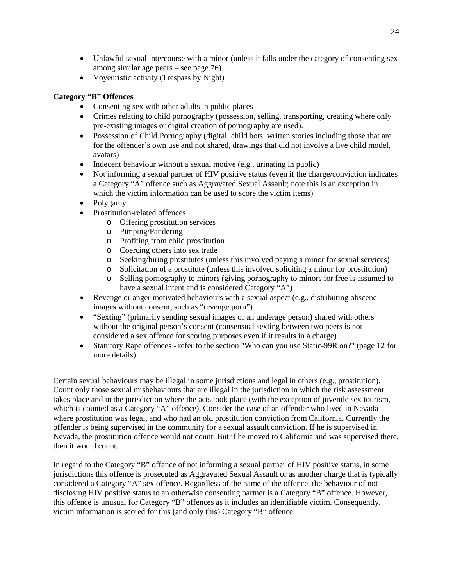- Unlawful sexual intercourse with a minor (unless it falls under the category of consenting sex among similar age peers – see page 76).
- Voyeuristic activity (Trespass by Night)

# **Category "B" Offences**

- Consenting sex with other adults in public places
- Crimes relating to child pornography (possession, selling, transporting, creating where only pre-existing images or digital creation of pornography are used).
- Possession of Child Pornography (digital, child bots, written stories including those that are for the offender's own use and not shared, drawings that did not involve a live child model, avatars)
- Indecent behaviour without a sexual motive (e.g., urinating in public)
- Not informing a sexual partner of HIV positive status (even if the charge/conviction indicates a Category "A" offence such as Aggravated Sexual Assault; note this is an exception in which the victim information can be used to score the victim items)
- Polygamy
- Prostitution-related offences
	- o Offering prostitution services
	- o Pimping/Pandering
	- o Profiting from child prostitution
	- o Coercing others into sex trade
	- o Seeking/hiring prostitutes (unless this involved paying a minor for sexual services)
	- o Solicitation of a prostitute (unless this involved soliciting a minor for prostitution)
	- o Selling pornography to minors (giving pornography to minors for free is assumed to have a sexual intent and is considered Category "A")
- Revenge or anger motivated behaviours with a sexual aspect (e.g., distributing obscene images without consent, such as "revenge porn")
- "Sexting" (primarily sending sexual images of an underage person) shared with others without the original person's consent (consensual sexting between two peers is not considered a sex offence for scoring purposes even if it results in a charge)
- Statutory Rape offences refer to the section "Who can you use Static-99R on?" (page 12 for more details).

Certain sexual behaviours may be illegal in some jurisdictions and legal in others (e.g., prostitution). Count only those sexual misbehaviours that are illegal in the jurisdiction in which the risk assessment takes place and in the jurisdiction where the acts took place (with the exception of juvenile sex tourism, which is counted as a Category "A" offence). Consider the case of an offender who lived in Nevada where prostitution was legal, and who had an old prostitution conviction from California. Currently the offender is being supervised in the community for a sexual assault conviction. If he is supervised in Nevada, the prostitution offence would not count. But if he moved to California and was supervised there, then it would count.

In regard to the Category "B" offence of not informing a sexual partner of HIV positive status, in some jurisdictions this offence is prosecuted as Aggravated Sexual Assault or as another charge that is typically considered a Category "A" sex offence. Regardless of the name of the offence, the behaviour of not disclosing HIV positive status to an otherwise consenting partner is a Category "B" offence. However, this offence is unusual for Category "B" offences as it includes an identifiable victim. Consequently, victim information is scored for this (and only this) Category "B" offence.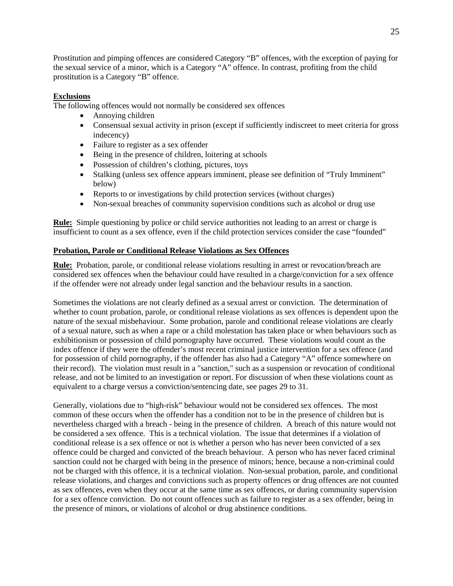Prostitution and pimping offences are considered Category "B" offences, with the exception of paying for the sexual service of a minor, which is a Category "A" offence. In contrast, profiting from the child prostitution is a Category "B" offence.

# **Exclusions**

The following offences would not normally be considered sex offences

- Annoying children
- Consensual sexual activity in prison (except if sufficiently indiscreet to meet criteria for gross indecency)
- Failure to register as a sex offender
- Being in the presence of children, loitering at schools
- Possession of children's clothing, pictures, toys
- Stalking (unless sex offence appears imminent, please see definition of "Truly Imminent" below)
- Reports to or investigations by child protection services (without charges)
- Non-sexual breaches of community supervision conditions such as alcohol or drug use

**Rule:** Simple questioning by police or child service authorities not leading to an arrest or charge is insufficient to count as a sex offence, even if the child protection services consider the case "founded"

# <span id="page-24-0"></span>**Probation, Parole or Conditional Release Violations as Sex Offences**

**Rule:** Probation, parole, or conditional release violations resulting in arrest or revocation/breach are considered sex offences when the behaviour could have resulted in a charge/conviction for a sex offence if the offender were not already under legal sanction and the behaviour results in a sanction.

Sometimes the violations are not clearly defined as a sexual arrest or conviction. The determination of whether to count probation, parole, or conditional release violations as sex offences is dependent upon the nature of the sexual misbehaviour. Some probation, parole and conditional release violations are clearly of a sexual nature, such as when a rape or a child molestation has taken place or when behaviours such as exhibitionism or possession of child pornography have occurred. These violations would count as the index offence if they were the offender's most recent criminal justice intervention for a sex offence (and for possession of child pornography, if the offender has also had a Category "A" offence somewhere on their record). The violation must result in a "sanction," such as a suspension or revocation of conditional release, and not be limited to an investigation or report. For discussion of when these violations count as equivalent to a charge versus a conviction/sentencing date, see pages 29 to 31.

Generally, violations due to "high-risk" behaviour would not be considered sex offences. The most common of these occurs when the offender has a condition not to be in the presence of children but is nevertheless charged with a breach - being in the presence of children. A breach of this nature would not be considered a sex offence. This is a technical violation. The issue that determines if a violation of conditional release is a sex offence or not is whether a person who has never been convicted of a sex offence could be charged and convicted of the breach behaviour. A person who has never faced criminal sanction could not be charged with being in the presence of minors; hence, because a non-criminal could not be charged with this offence, it is a technical violation. Non-sexual probation, parole, and conditional release violations, and charges and convictions such as property offences or drug offences are not counted as sex offences, even when they occur at the same time as sex offences, or during community supervision for a sex offence conviction. Do not count offences such as failure to register as a sex offender, being in the presence of minors, or violations of alcohol or drug abstinence conditions.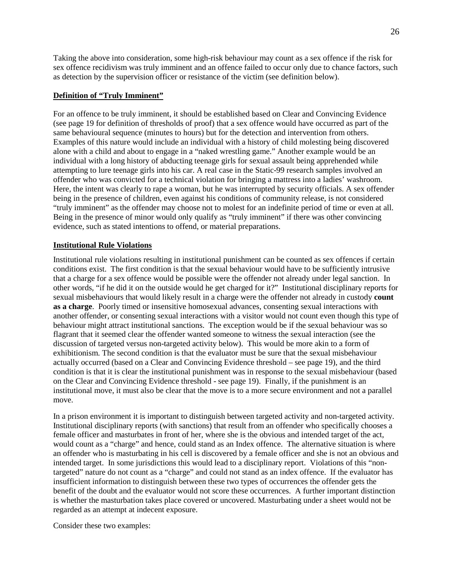Taking the above into consideration, some high-risk behaviour may count as a sex offence if the risk for sex offence recidivism was truly imminent and an offence failed to occur only due to chance factors, such as detection by the supervision officer or resistance of the victim (see definition below).

# **Definition of "Truly Imminent"**

For an offence to be truly imminent, it should be established based on Clear and Convincing Evidence (see page 19 for definition of thresholds of proof) that a sex offence would have occurred as part of the same behavioural sequence (minutes to hours) but for the detection and intervention from others. Examples of this nature would include an individual with a history of child molesting being discovered alone with a child and about to engage in a "naked wrestling game." Another example would be an individual with a long history of abducting teenage girls for sexual assault being apprehended while attempting to lure teenage girls into his car. A real case in the Static-99 research samples involved an offender who was convicted for a technical violation for bringing a mattress into a ladies' washroom. Here, the intent was clearly to rape a woman, but he was interrupted by security officials. A sex offender being in the presence of children, even against his conditions of community release, is not considered "truly imminent" as the offender may choose not to molest for an indefinite period of time or even at all. Being in the presence of minor would only qualify as "truly imminent" if there was other convincing evidence, such as stated intentions to offend, or material preparations.

# <span id="page-25-0"></span>**Institutional Rule Violations**

Institutional rule violations resulting in institutional punishment can be counted as sex offences if certain conditions exist. The first condition is that the sexual behaviour would have to be sufficiently intrusive that a charge for a sex offence would be possible were the offender not already under legal sanction. In other words, "if he did it on the outside would he get charged for it?" Institutional disciplinary reports for sexual misbehaviours that would likely result in a charge were the offender not already in custody **count as a charge**. Poorly timed or insensitive homosexual advances, consenting sexual interactions with another offender, or consenting sexual interactions with a visitor would not count even though this type of behaviour might attract institutional sanctions. The exception would be if the sexual behaviour was so flagrant that it seemed clear the offender wanted someone to witness the sexual interaction (see the discussion of targeted versus non-targeted activity below). This would be more akin to a form of exhibitionism. The second condition is that the evaluator must be sure that the sexual misbehaviour actually occurred (based on a Clear and Convincing Evidence threshold – see page 19), and the third condition is that it is clear the institutional punishment was in response to the sexual misbehaviour (based on the Clear and Convincing Evidence threshold - see page 19). Finally, if the punishment is an institutional move, it must also be clear that the move is to a more secure environment and not a parallel move.

In a prison environment it is important to distinguish between targeted activity and non-targeted activity. Institutional disciplinary reports (with sanctions) that result from an offender who specifically chooses a female officer and masturbates in front of her, where she is the obvious and intended target of the act, would count as a "charge" and hence, could stand as an Index offence. The alternative situation is where an offender who is masturbating in his cell is discovered by a female officer and she is not an obvious and intended target. In some jurisdictions this would lead to a disciplinary report. Violations of this "nontargeted" nature do not count as a "charge" and could not stand as an index offence. If the evaluator has insufficient information to distinguish between these two types of occurrences the offender gets the benefit of the doubt and the evaluator would not score these occurrences. A further important distinction is whether the masturbation takes place covered or uncovered. Masturbating under a sheet would not be regarded as an attempt at indecent exposure.

Consider these two examples: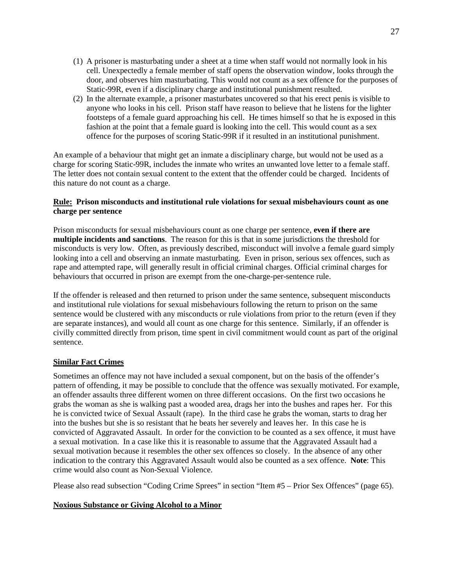- (1) A prisoner is masturbating under a sheet at a time when staff would not normally look in his cell. Unexpectedly a female member of staff opens the observation window, looks through the door, and observes him masturbating. This would not count as a sex offence for the purposes of Static-99R, even if a disciplinary charge and institutional punishment resulted.
- (2) In the alternate example, a prisoner masturbates uncovered so that his erect penis is visible to anyone who looks in his cell. Prison staff have reason to believe that he listens for the lighter footsteps of a female guard approaching his cell. He times himself so that he is exposed in this fashion at the point that a female guard is looking into the cell. This would count as a sex offence for the purposes of scoring Static-99R if it resulted in an institutional punishment.

An example of a behaviour that might get an inmate a disciplinary charge, but would not be used as a charge for scoring Static-99R, includes the inmate who writes an unwanted love letter to a female staff. The letter does not contain sexual content to the extent that the offender could be charged. Incidents of this nature do not count as a charge.

# **Rule: Prison misconducts and institutional rule violations for sexual misbehaviours count as one charge per sentence**

Prison misconducts for sexual misbehaviours count as one charge per sentence, **even if there are multiple incidents and sanctions**. The reason for this is that in some jurisdictions the threshold for misconducts is very low. Often, as previously described, misconduct will involve a female guard simply looking into a cell and observing an inmate masturbating. Even in prison, serious sex offences, such as rape and attempted rape, will generally result in official criminal charges. Official criminal charges for behaviours that occurred in prison are exempt from the one-charge-per-sentence rule.

If the offender is released and then returned to prison under the same sentence, subsequent misconducts and institutional rule violations for sexual misbehaviours following the return to prison on the same sentence would be clustered with any misconducts or rule violations from prior to the return (even if they are separate instances), and would all count as one charge for this sentence. Similarly, if an offender is civilly committed directly from prison, time spent in civil commitment would count as part of the original sentence.

# **Similar Fact Crimes**

Sometimes an offence may not have included a sexual component, but on the basis of the offender's pattern of offending, it may be possible to conclude that the offence was sexually motivated. For example, an offender assaults three different women on three different occasions. On the first two occasions he grabs the woman as she is walking past a wooded area, drags her into the bushes and rapes her. For this he is convicted twice of Sexual Assault (rape). In the third case he grabs the woman, starts to drag her into the bushes but she is so resistant that he beats her severely and leaves her. In this case he is convicted of Aggravated Assault. In order for the conviction to be counted as a sex offence, it must have a sexual motivation. In a case like this it is reasonable to assume that the Aggravated Assault had a sexual motivation because it resembles the other sex offences so closely. In the absence of any other indication to the contrary this Aggravated Assault would also be counted as a sex offence. **Note**: This crime would also count as Non-Sexual Violence.

Please also read subsection "Coding Crime Sprees" in section "Item #5 – Prior Sex Offences" (page 65).

# **Noxious Substance or Giving Alcohol to a Minor**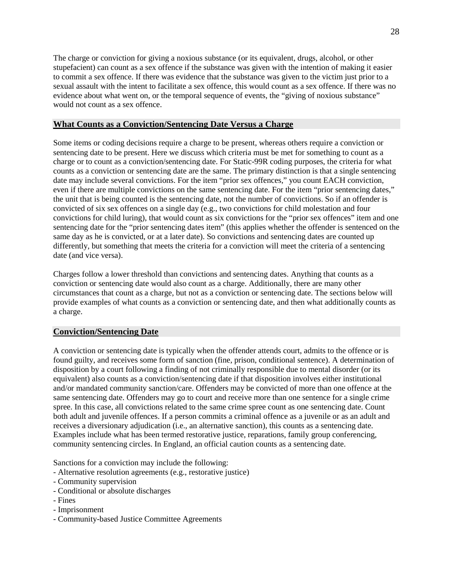The charge or conviction for giving a noxious substance (or its equivalent, drugs, alcohol, or other stupefacient) can count as a sex offence if the substance was given with the intention of making it easier to commit a sex offence. If there was evidence that the substance was given to the victim just prior to a sexual assault with the intent to facilitate a sex offence, this would count as a sex offence. If there was no evidence about what went on, or the temporal sequence of events, the "giving of noxious substance" would not count as a sex offence.

# <span id="page-27-0"></span>**What Counts as a Conviction/Sentencing Date Versus a Charge**

Some items or coding decisions require a charge to be present, whereas others require a conviction or sentencing date to be present. Here we discuss which criteria must be met for something to count as a charge or to count as a conviction/sentencing date. For Static-99R coding purposes, the criteria for what counts as a conviction or sentencing date are the same. The primary distinction is that a single sentencing date may include several convictions. For the item "prior sex offences," you count EACH conviction, even if there are multiple convictions on the same sentencing date. For the item "prior sentencing dates," the unit that is being counted is the sentencing date, not the number of convictions. So if an offender is convicted of six sex offences on a single day (e.g., two convictions for child molestation and four convictions for child luring), that would count as six convictions for the "prior sex offences" item and one sentencing date for the "prior sentencing dates item" (this applies whether the offender is sentenced on the same day as he is convicted, or at a later date). So convictions and sentencing dates are counted up differently, but something that meets the criteria for a conviction will meet the criteria of a sentencing date (and vice versa).

Charges follow a lower threshold than convictions and sentencing dates. Anything that counts as a conviction or sentencing date would also count as a charge. Additionally, there are many other circumstances that count as a charge, but not as a conviction or sentencing date. The sections below will provide examples of what counts as a conviction or sentencing date, and then what additionally counts as a charge.

# <span id="page-27-1"></span>**Conviction/Sentencing Date**

A conviction or sentencing date is typically when the offender attends court, admits to the offence or is found guilty, and receives some form of sanction (fine, prison, conditional sentence). A determination of disposition by a court following a finding of not criminally responsible due to mental disorder (or its equivalent) also counts as a conviction/sentencing date if that disposition involves either institutional and/or mandated community sanction/care. Offenders may be convicted of more than one offence at the same sentencing date. Offenders may go to court and receive more than one sentence for a single crime spree. In this case, all convictions related to the same crime spree count as one sentencing date. Count both adult and juvenile offences. If a person commits a criminal offence as a juvenile or as an adult and receives a diversionary adjudication (i.e., an alternative sanction), this counts as a sentencing date. Examples include what has been termed restorative justice, reparations, family group conferencing, community sentencing circles. In England, an official caution counts as a sentencing date.

Sanctions for a conviction may include the following:

- Alternative resolution agreements (e.g., restorative justice)
- Community supervision
- Conditional or absolute discharges
- Fines
- Imprisonment
- Community-based Justice Committee Agreements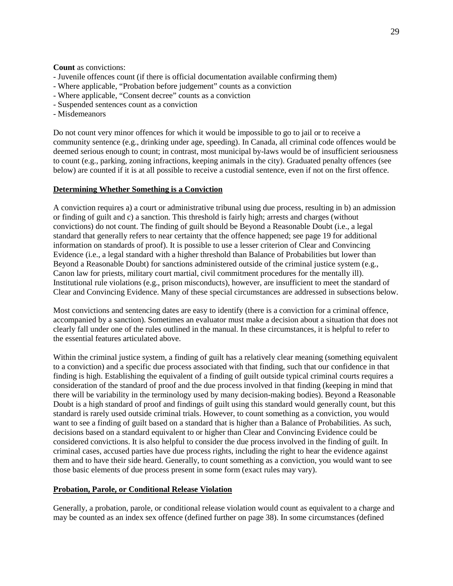**Count** as convictions:

- Juvenile offences count (if there is official documentation available confirming them)
- Where applicable, "Probation before judgement" counts as a conviction
- Where applicable, "Consent decree" counts as a conviction
- Suspended sentences count as a conviction
- Misdemeanors

Do not count very minor offences for which it would be impossible to go to jail or to receive a community sentence (e.g., drinking under age, speeding). In Canada, all criminal code offences would be deemed serious enough to count; in contrast, most municipal by-laws would be of insufficient seriousness to count (e.g., parking, zoning infractions, keeping animals in the city). Graduated penalty offences (see below) are counted if it is at all possible to receive a custodial sentence, even if not on the first offence.

#### <span id="page-28-0"></span>**Determining Whether Something is a Conviction**

A conviction requires a) a court or administrative tribunal using due process, resulting in b) an admission or finding of guilt and c) a sanction. This threshold is fairly high; arrests and charges (without convictions) do not count. The finding of guilt should be Beyond a Reasonable Doubt (i.e., a legal standard that generally refers to near certainty that the offence happened; see page 19 for additional information on standards of proof). It is possible to use a lesser criterion of Clear and Convincing Evidence (i.e., a legal standard with a higher threshold than Balance of Probabilities but lower than Beyond a Reasonable Doubt) for sanctions administered outside of the criminal justice system (e.g., Canon law for priests, military court martial, civil commitment procedures for the mentally ill). Institutional rule violations (e.g., prison misconducts), however, are insufficient to meet the standard of Clear and Convincing Evidence. Many of these special circumstances are addressed in subsections below.

Most convictions and sentencing dates are easy to identify (there is a conviction for a criminal offence, accompanied by a sanction). Sometimes an evaluator must make a decision about a situation that does not clearly fall under one of the rules outlined in the manual. In these circumstances, it is helpful to refer to the essential features articulated above.

Within the criminal justice system, a finding of guilt has a relatively clear meaning (something equivalent to a conviction) and a specific due process associated with that finding, such that our confidence in that finding is high. Establishing the equivalent of a finding of guilt outside typical criminal courts requires a consideration of the standard of proof and the due process involved in that finding (keeping in mind that there will be variability in the terminology used by many decision-making bodies). Beyond a Reasonable Doubt is a high standard of proof and findings of guilt using this standard would generally count, but this standard is rarely used outside criminal trials. However, to count something as a conviction, you would want to see a finding of guilt based on a standard that is higher than a Balance of Probabilities. As such, decisions based on a standard equivalent to or higher than Clear and Convincing Evidence could be considered convictions. It is also helpful to consider the due process involved in the finding of guilt. In criminal cases, accused parties have due process rights, including the right to hear the evidence against them and to have their side heard. Generally, to count something as a conviction, you would want to see those basic elements of due process present in some form (exact rules may vary).

#### <span id="page-28-1"></span>**Probation, Parole, or Conditional Release Violation**

Generally, a probation, parole, or conditional release violation would count as equivalent to a charge and may be counted as an index sex offence (defined further on page 38). In some circumstances (defined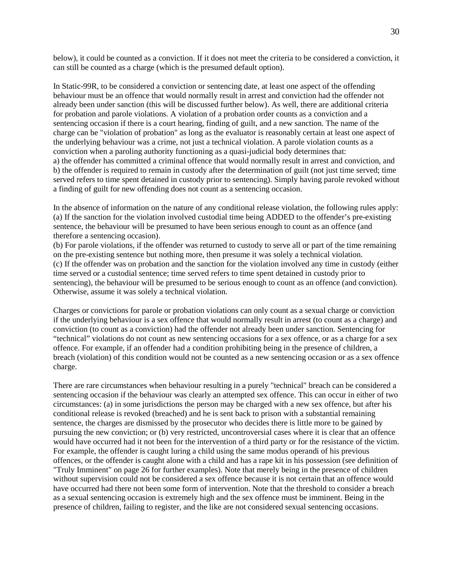below), it could be counted as a conviction. If it does not meet the criteria to be considered a conviction, it can still be counted as a charge (which is the presumed default option).

In Static-99R, to be considered a conviction or sentencing date, at least one aspect of the offending behaviour must be an offence that would normally result in arrest and conviction had the offender not already been under sanction (this will be discussed further below). As well, there are additional criteria for probation and parole violations. A violation of a probation order counts as a conviction and a sentencing occasion if there is a court hearing, finding of guilt, and a new sanction. The name of the charge can be "violation of probation" as long as the evaluator is reasonably certain at least one aspect of the underlying behaviour was a crime, not just a technical violation. A parole violation counts as a conviction when a paroling authority functioning as a quasi-judicial body determines that: a) the offender has committed a criminal offence that would normally result in arrest and conviction, and b) the offender is required to remain in custody after the determination of guilt (not just time served; time served refers to time spent detained in custody prior to sentencing). Simply having parole revoked without a finding of guilt for new offending does not count as a sentencing occasion.

In the absence of information on the nature of any conditional release violation, the following rules apply: (a) If the sanction for the violation involved custodial time being ADDED to the offender's pre-existing sentence, the behaviour will be presumed to have been serious enough to count as an offence (and therefore a sentencing occasion).

(b) For parole violations, if the offender was returned to custody to serve all or part of the time remaining on the pre-existing sentence but nothing more, then presume it was solely a technical violation. (c) If the offender was on probation and the sanction for the violation involved any time in custody (either time served or a custodial sentence; time served refers to time spent detained in custody prior to sentencing), the behaviour will be presumed to be serious enough to count as an offence (and conviction). Otherwise, assume it was solely a technical violation.

Charges or convictions for parole or probation violations can only count as a sexual charge or conviction if the underlying behaviour is a sex offence that would normally result in arrest (to count as a charge) and conviction (to count as a conviction) had the offender not already been under sanction. Sentencing for "technical" violations do not count as new sentencing occasions for a sex offence, or as a charge for a sex offence. For example, if an offender had a condition prohibiting being in the presence of children, a breach (violation) of this condition would not be counted as a new sentencing occasion or as a sex offence charge.

There are rare circumstances when behaviour resulting in a purely "technical" breach can be considered a sentencing occasion if the behaviour was clearly an attempted sex offence. This can occur in either of two circumstances: (a) in some jurisdictions the person may be charged with a new sex offence, but after his conditional release is revoked (breached) and he is sent back to prison with a substantial remaining sentence, the charges are dismissed by the prosecutor who decides there is little more to be gained by pursuing the new conviction; or (b) very restricted, uncontroversial cases where it is clear that an offence would have occurred had it not been for the intervention of a third party or for the resistance of the victim. For example, the offender is caught luring a child using the same modus operandi of his previous offences, or the offender is caught alone with a child and has a rape kit in his possession (see definition of "Truly Imminent" on page 26 for further examples). Note that merely being in the presence of children without supervision could not be considered a sex offence because it is not certain that an offence would have occurred had there not been some form of intervention. Note that the threshold to consider a breach as a sexual sentencing occasion is extremely high and the sex offence must be imminent. Being in the presence of children, failing to register, and the like are not considered sexual sentencing occasions.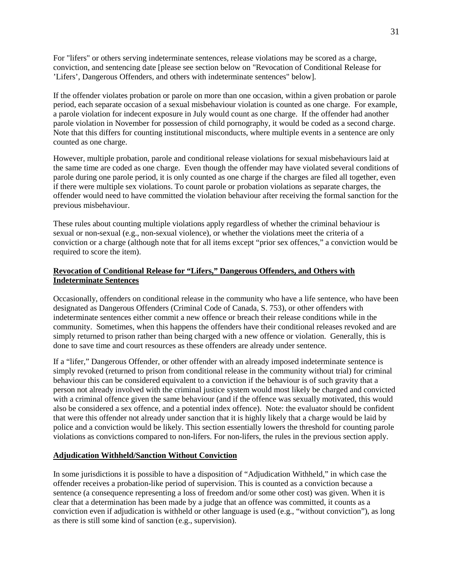For "lifers" or others serving indeterminate sentences, release violations may be scored as a charge, conviction, and sentencing date [please see section below on "Revocation of Conditional Release for 'Lifers', Dangerous Offenders, and others with indeterminate sentences" below].

If the offender violates probation or parole on more than one occasion, within a given probation or parole period, each separate occasion of a sexual misbehaviour violation is counted as one charge. For example, a parole violation for indecent exposure in July would count as one charge. If the offender had another parole violation in November for possession of child pornography, it would be coded as a second charge. Note that this differs for counting institutional misconducts, where multiple events in a sentence are only counted as one charge.

However, multiple probation, parole and conditional release violations for sexual misbehaviours laid at the same time are coded as one charge. Even though the offender may have violated several conditions of parole during one parole period, it is only counted as one charge if the charges are filed all together, even if there were multiple sex violations. To count parole or probation violations as separate charges, the offender would need to have committed the violation behaviour after receiving the formal sanction for the previous misbehaviour.

These rules about counting multiple violations apply regardless of whether the criminal behaviour is sexual or non-sexual (e.g., non-sexual violence), or whether the violations meet the criteria of a conviction or a charge (although note that for all items except "prior sex offences," a conviction would be required to score the item).

# **Revocation of Conditional Release for "Lifers," Dangerous Offenders, and Others with Indeterminate Sentences**

Occasionally, offenders on conditional release in the community who have a life sentence, who have been designated as Dangerous Offenders (Criminal Code of Canada, S. 753), or other offenders with indeterminate sentences either commit a new offence or breach their release conditions while in the community. Sometimes, when this happens the offenders have their conditional releases revoked and are simply returned to prison rather than being charged with a new offence or violation. Generally, this is done to save time and court resources as these offenders are already under sentence.

If a "lifer," Dangerous Offender, or other offender with an already imposed indeterminate sentence is simply revoked (returned to prison from conditional release in the community without trial) for criminal behaviour this can be considered equivalent to a conviction if the behaviour is of such gravity that a person not already involved with the criminal justice system would most likely be charged and convicted with a criminal offence given the same behaviour (and if the offence was sexually motivated, this would also be considered a sex offence, and a potential index offence). Note: the evaluator should be confident that were this offender not already under sanction that it is highly likely that a charge would be laid by police and a conviction would be likely. This section essentially lowers the threshold for counting parole violations as convictions compared to non-lifers. For non-lifers, the rules in the previous section apply.

# **Adjudication Withheld/Sanction Without Conviction**

In some jurisdictions it is possible to have a disposition of "Adjudication Withheld," in which case the offender receives a probation-like period of supervision. This is counted as a conviction because a sentence (a consequence representing a loss of freedom and/or some other cost) was given. When it is clear that a determination has been made by a judge that an offence was committed, it counts as a conviction even if adjudication is withheld or other language is used (e.g., "without conviction"), as long as there is still some kind of sanction (e.g., supervision).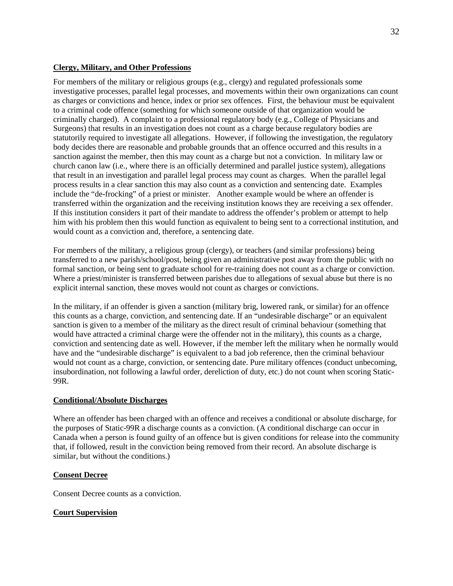# **Clergy, Military, and Other Professions**

For members of the military or religious groups (e.g., clergy) and regulated professionals some investigative processes, parallel legal processes, and movements within their own organizations can count as charges or convictions and hence, index or prior sex offences. First, the behaviour must be equivalent to a criminal code offence (something for which someone outside of that organization would be criminally charged). A complaint to a professional regulatory body (e.g., College of Physicians and Surgeons) that results in an investigation does not count as a charge because regulatory bodies are statutorily required to investigate all allegations. However, if following the investigation, the regulatory body decides there are reasonable and probable grounds that an offence occurred and this results in a sanction against the member, then this may count as a charge but not a conviction. In military law or church canon law (i.e., where there is an officially determined and parallel justice system), allegations that result in an investigation and parallel legal process may count as charges. When the parallel legal process results in a clear sanction this may also count as a conviction and sentencing date. Examples include the "de-frocking" of a priest or minister. Another example would be where an offender is transferred within the organization and the receiving institution knows they are receiving a sex offender. If this institution considers it part of their mandate to address the offender's problem or attempt to help him with his problem then this would function as equivalent to being sent to a correctional institution, and would count as a conviction and, therefore, a sentencing date.

For members of the military, a religious group (clergy), or teachers (and similar professions) being transferred to a new parish/school/post, being given an administrative post away from the public with no formal sanction, or being sent to graduate school for re-training does not count as a charge or conviction. Where a priest/minister is transferred between parishes due to allegations of sexual abuse but there is no explicit internal sanction, these moves would not count as charges or convictions.

In the military, if an offender is given a sanction (military brig, lowered rank, or similar) for an offence this counts as a charge, conviction, and sentencing date. If an "undesirable discharge" or an equivalent sanction is given to a member of the military as the direct result of criminal behaviour (something that would have attracted a criminal charge were the offender not in the military), this counts as a charge, conviction and sentencing date as well. However, if the member left the military when he normally would have and the "undesirable discharge" is equivalent to a bad job reference, then the criminal behaviour would not count as a charge, conviction, or sentencing date. Pure military offences (conduct unbecoming, insubordination, not following a lawful order, dereliction of duty, etc.) do not count when scoring Static-99R.

# **Conditional/Absolute Discharges**

Where an offender has been charged with an offence and receives a conditional or absolute discharge, for the purposes of Static-99R a discharge counts as a conviction. (A conditional discharge can occur in Canada when a person is found guilty of an offence but is given conditions for release into the community that, if followed, result in the conviction being removed from their record. An absolute discharge is similar, but without the conditions.)

# **Consent Decree**

Consent Decree counts as a conviction.

# **Court Supervision**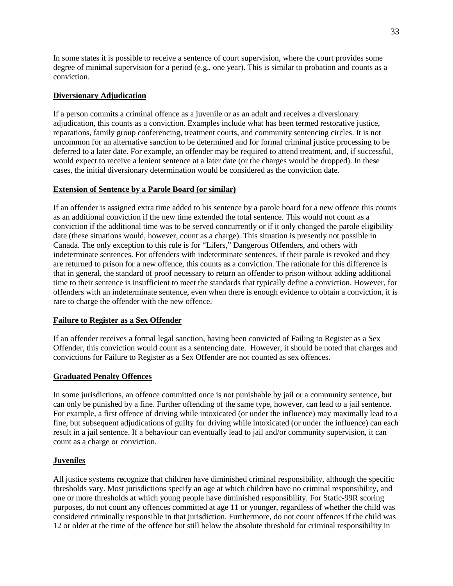In some states it is possible to receive a sentence of court supervision, where the court provides some degree of minimal supervision for a period (e.g., one year). This is similar to probation and counts as a conviction.

# **Diversionary Adjudication**

If a person commits a criminal offence as a juvenile or as an adult and receives a diversionary adjudication, this counts as a conviction. Examples include what has been termed restorative justice, reparations, family group conferencing, treatment courts, and community sentencing circles. It is not uncommon for an alternative sanction to be determined and for formal criminal justice processing to be deferred to a later date. For example, an offender may be required to attend treatment, and, if successful, would expect to receive a lenient sentence at a later date (or the charges would be dropped). In these cases, the initial diversionary determination would be considered as the conviction date.

# **Extension of Sentence by a Parole Board (or similar)**

If an offender is assigned extra time added to his sentence by a parole board for a new offence this counts as an additional conviction if the new time extended the total sentence. This would not count as a conviction if the additional time was to be served concurrently or if it only changed the parole eligibility date (these situations would, however, count as a charge). This situation is presently not possible in Canada. The only exception to this rule is for "Lifers," Dangerous Offenders, and others with indeterminate sentences. For offenders with indeterminate sentences, if their parole is revoked and they are returned to prison for a new offence, this counts as a conviction. The rationale for this difference is that in general, the standard of proof necessary to return an offender to prison without adding additional time to their sentence is insufficient to meet the standards that typically define a conviction. However, for offenders with an indeterminate sentence, even when there is enough evidence to obtain a conviction, it is rare to charge the offender with the new offence.

# **Failure to Register as a Sex Offender**

If an offender receives a formal legal sanction, having been convicted of Failing to Register as a Sex Offender, this conviction would count as a sentencing date. However, it should be noted that charges and convictions for Failure to Register as a Sex Offender are not counted as sex offences.

# **Graduated Penalty Offences**

In some jurisdictions, an offence committed once is not punishable by jail or a community sentence, but can only be punished by a fine. Further offending of the same type, however, can lead to a jail sentence. For example, a first offence of driving while intoxicated (or under the influence) may maximally lead to a fine, but subsequent adjudications of guilty for driving while intoxicated (or under the influence) can each result in a jail sentence. If a behaviour can eventually lead to jail and/or community supervision, it can count as a charge or conviction.

# **Juveniles**

All justice systems recognize that children have diminished criminal responsibility, although the specific thresholds vary. Most jurisdictions specify an age at which children have no criminal responsibility, and one or more thresholds at which young people have diminished responsibility. For Static-99R scoring purposes, do not count any offences committed at age 11 or younger, regardless of whether the child was considered criminally responsible in that jurisdiction. Furthermore, do not count offences if the child was 12 or older at the time of the offence but still below the absolute threshold for criminal responsibility in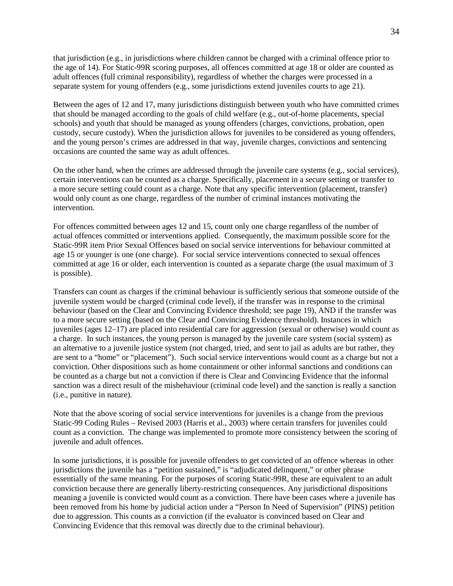that jurisdiction (e.g., in jurisdictions where children cannot be charged with a criminal offence prior to the age of 14). For Static-99R scoring purposes, all offences committed at age 18 or older are counted as adult offences (full criminal responsibility), regardless of whether the charges were processed in a separate system for young offenders (e.g., some jurisdictions extend juveniles courts to age 21).

Between the ages of 12 and 17, many jurisdictions distinguish between youth who have committed crimes that should be managed according to the goals of child welfare (e.g., out-of-home placements, special schools) and youth that should be managed as young offenders (charges, convictions, probation, open custody, secure custody). When the jurisdiction allows for juveniles to be considered as young offenders, and the young person's crimes are addressed in that way, juvenile charges, convictions and sentencing occasions are counted the same way as adult offences.

On the other hand, when the crimes are addressed through the juvenile care systems (e.g., social services), certain interventions can be counted as a charge. Specifically, placement in a secure setting or transfer to a more secure setting could count as a charge. Note that any specific intervention (placement, transfer) would only count as one charge, regardless of the number of criminal instances motivating the intervention.

For offences committed between ages 12 and 15, count only one charge regardless of the number of actual offences committed or interventions applied. Consequently, the maximum possible score for the Static-99R item Prior Sexual Offences based on social service interventions for behaviour committed at age 15 or younger is one (one charge). For social service interventions connected to sexual offences committed at age 16 or older, each intervention is counted as a separate charge (the usual maximum of 3 is possible).

Transfers can count as charges if the criminal behaviour is sufficiently serious that someone outside of the juvenile system would be charged (criminal code level), if the transfer was in response to the criminal behaviour (based on the Clear and Convincing Evidence threshold; see page 19), AND if the transfer was to a more secure setting (based on the Clear and Convincing Evidence threshold). Instances in which juveniles (ages 12–17) are placed into residential care for aggression (sexual or otherwise) would count as a charge. In such instances, the young person is managed by the juvenile care system (social system) as an alternative to a juvenile justice system (not charged, tried, and sent to jail as adults are but rather, they are sent to a "home" or "placement"). Such social service interventions would count as a charge but not a conviction. Other dispositions such as home containment or other informal sanctions and conditions can be counted as a charge but not a conviction if there is Clear and Convincing Evidence that the informal sanction was a direct result of the misbehaviour (criminal code level) and the sanction is really a sanction (i.e., punitive in nature).

Note that the above scoring of social service interventions for juveniles is a change from the previous Static-99 Coding Rules – Revised 2003 (Harris et al., 2003) where certain transfers for juveniles could count as a conviction. The change was implemented to promote more consistency between the scoring of juvenile and adult offences.

In some jurisdictions, it is possible for juvenile offenders to get convicted of an offence whereas in other jurisdictions the juvenile has a "petition sustained," is "adjudicated delinquent," or other phrase essentially of the same meaning. For the purposes of scoring Static-99R, these are equivalent to an adult conviction because there are generally liberty-restricting consequences. Any jurisdictional dispositions meaning a juvenile is convicted would count as a conviction. There have been cases where a juvenile has been removed from his home by judicial action under a "Person In Need of Supervision" (PINS) petition due to aggression. This counts as a conviction (if the evaluator is convinced based on Clear and Convincing Evidence that this removal was directly due to the criminal behaviour).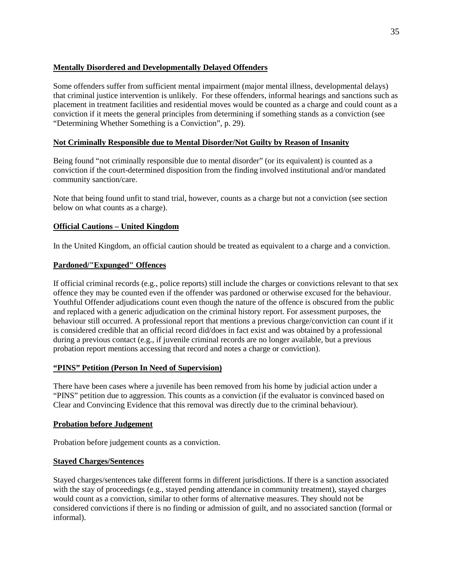# **Mentally Disordered and Developmentally Delayed Offenders**

Some offenders suffer from sufficient mental impairment (major mental illness, developmental delays) that criminal justice intervention is unlikely. For these offenders, informal hearings and sanctions such as placement in treatment facilities and residential moves would be counted as a charge and could count as a conviction if it meets the general principles from determining if something stands as a conviction (see "Determining Whether Something is a Conviction", p. 29).

# **Not Criminally Responsible due to Mental Disorder/Not Guilty by Reason of Insanity**

Being found "not criminally responsible due to mental disorder" (or its equivalent) is counted as a conviction if the court-determined disposition from the finding involved institutional and/or mandated community sanction/care.

Note that being found unfit to stand trial, however, counts as a charge but not a conviction (see section below on what counts as a charge).

# **Official Cautions – United Kingdom**

In the United Kingdom, an official caution should be treated as equivalent to a charge and a conviction.

# **Pardoned/"Expunged" Offences**

If official criminal records (e.g., police reports) still include the charges or convictions relevant to that sex offence they may be counted even if the offender was pardoned or otherwise excused for the behaviour. Youthful Offender adjudications count even though the nature of the offence is obscured from the public and replaced with a generic adjudication on the criminal history report. For assessment purposes, the behaviour still occurred. A professional report that mentions a previous charge/conviction can count if it is considered credible that an official record did/does in fact exist and was obtained by a professional during a previous contact (e.g., if juvenile criminal records are no longer available, but a previous probation report mentions accessing that record and notes a charge or conviction).

# **"PINS" Petition (Person In Need of Supervision)**

There have been cases where a juvenile has been removed from his home by judicial action under a "PINS" petition due to aggression. This counts as a conviction (if the evaluator is convinced based on Clear and Convincing Evidence that this removal was directly due to the criminal behaviour).

# **Probation before Judgement**

Probation before judgement counts as a conviction.

# **Stayed Charges/Sentences**

Stayed charges/sentences take different forms in different jurisdictions. If there is a sanction associated with the stay of proceedings (e.g., stayed pending attendance in community treatment), stayed charges would count as a conviction, similar to other forms of alternative measures. They should not be considered convictions if there is no finding or admission of guilt, and no associated sanction (formal or informal).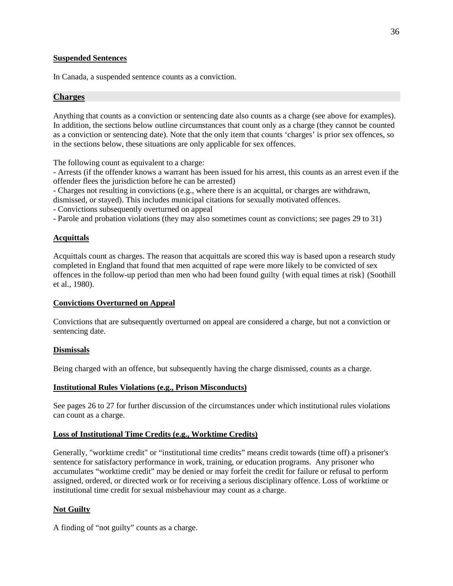#### **Suspended Sentences**

In Canada, a suspended sentence counts as a conviction.

#### <span id="page-35-0"></span>**Charges**

Anything that counts as a conviction or sentencing date also counts as a charge (see above for examples). In addition, the sections below outline circumstances that count only as a charge (they cannot be counted as a conviction or sentencing date). Note that the only item that counts 'charges' is prior sex offences, so in the sections below, these situations are only applicable for sex offences.

The following count as equivalent to a charge:

- Arrests (if the offender knows a warrant has been issued for his arrest, this counts as an arrest even if the offender flees the jurisdiction before he can be arrested)

- Charges not resulting in convictions (e.g., where there is an acquittal, or charges are withdrawn,

dismissed, or stayed). This includes municipal citations for sexually motivated offences.

- Convictions subsequently overturned on appeal

- Parole and probation violations (they may also sometimes count as convictions; see pages 29 to 31)

# **Acquittals**

Acquittals count as charges. The reason that acquittals are scored this way is based upon a research study completed in England that found that men acquitted of rape were more likely to be convicted of sex offences in the follow-up period than men who had been found guilty {with equal times at risk} (Soothill et al., 1980).

# **Convictions Overturned on Appeal**

Convictions that are subsequently overturned on appeal are considered a charge, but not a conviction or sentencing date.

#### **Dismissals**

Being charged with an offence, but subsequently having the charge dismissed, counts as a charge.

#### **Institutional Rules Violations (e.g., Prison Misconducts)**

See pages 26 to 27 for further discussion of the circumstances under which institutional rules violations can count as a charge.

#### **Loss of Institutional Time Credits (e.g., Worktime Credits)**

Generally, "worktime credit" or "institutional time credits" means credit towards (time off) a prisoner's sentence for satisfactory performance in work, training, or education programs. Any prisoner who accumulates "worktime credit" may be denied or may forfeit the credit for failure or refusal to perform assigned, ordered, or directed work or for receiving a serious disciplinary offence. Loss of worktime or institutional time credit for sexual misbehaviour may count as a charge.

# **Not Guilty**

A finding of "not guilty" counts as a charge.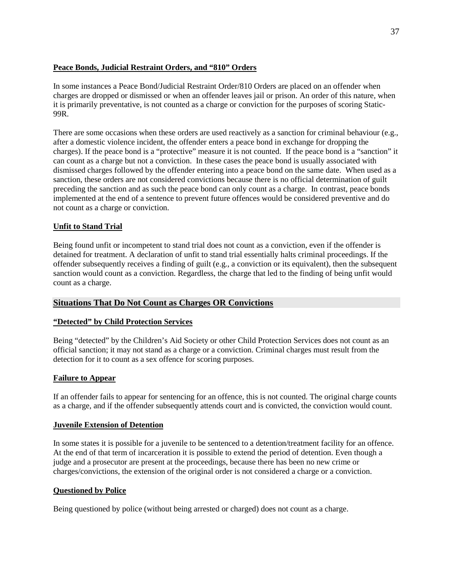# **Peace Bonds, Judicial Restraint Orders, and "810" Orders**

In some instances a Peace Bond/Judicial Restraint Order/810 Orders are placed on an offender when charges are dropped or dismissed or when an offender leaves jail or prison. An order of this nature, when it is primarily preventative, is not counted as a charge or conviction for the purposes of scoring Static-99R.

There are some occasions when these orders are used reactively as a sanction for criminal behaviour (e.g., after a domestic violence incident, the offender enters a peace bond in exchange for dropping the charges). If the peace bond is a "protective" measure it is not counted. If the peace bond is a "sanction" it can count as a charge but not a conviction. In these cases the peace bond is usually associated with dismissed charges followed by the offender entering into a peace bond on the same date. When used as a sanction, these orders are not considered convictions because there is no official determination of guilt preceding the sanction and as such the peace bond can only count as a charge. In contrast, peace bonds implemented at the end of a sentence to prevent future offences would be considered preventive and do not count as a charge or conviction.

# **Unfit to Stand Trial**

Being found unfit or incompetent to stand trial does not count as a conviction, even if the offender is detained for treatment. A declaration of unfit to stand trial essentially halts criminal proceedings. If the offender subsequently receives a finding of guilt (e.g., a conviction or its equivalent), then the subsequent sanction would count as a conviction. Regardless, the charge that led to the finding of being unfit would count as a charge.

# **Situations That Do Not Count as Charges OR Convictions**

# **"Detected" by Child Protection Services**

Being "detected" by the Children's Aid Society or other Child Protection Services does not count as an official sanction; it may not stand as a charge or a conviction. Criminal charges must result from the detection for it to count as a sex offence for scoring purposes.

# **Failure to Appear**

If an offender fails to appear for sentencing for an offence, this is not counted. The original charge counts as a charge, and if the offender subsequently attends court and is convicted, the conviction would count.

# **Juvenile Extension of Detention**

In some states it is possible for a juvenile to be sentenced to a detention/treatment facility for an offence. At the end of that term of incarceration it is possible to extend the period of detention. Even though a judge and a prosecutor are present at the proceedings, because there has been no new crime or charges/convictions, the extension of the original order is not considered a charge or a conviction.

# **Questioned by Police**

Being questioned by police (without being arrested or charged) does not count as a charge.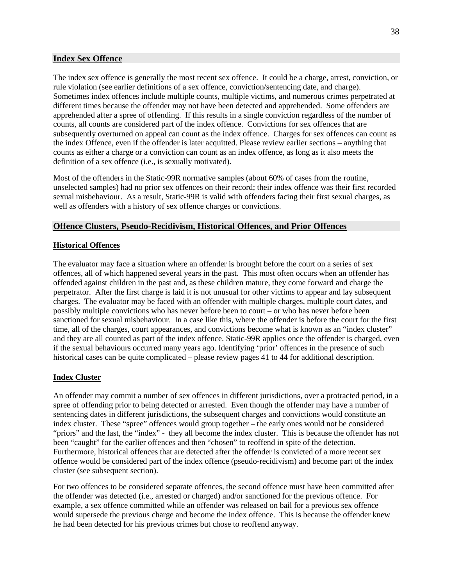#### **Index Sex Offence**

The index sex offence is generally the most recent sex offence. It could be a charge, arrest, conviction, or rule violation (see earlier definitions of a sex offence, conviction/sentencing date, and charge). Sometimes index offences include multiple counts, multiple victims, and numerous crimes perpetrated at different times because the offender may not have been detected and apprehended. Some offenders are apprehended after a spree of offending. If this results in a single conviction regardless of the number of counts, all counts are considered part of the index offence. Convictions for sex offences that are subsequently overturned on appeal can count as the index offence. Charges for sex offences can count as the index Offence, even if the offender is later acquitted. Please review earlier sections – anything that counts as either a charge or a conviction can count as an index offence, as long as it also meets the definition of a sex offence (i.e., is sexually motivated).

Most of the offenders in the Static-99R normative samples (about 60% of cases from the routine, unselected samples) had no prior sex offences on their record; their index offence was their first recorded sexual misbehaviour. As a result, Static-99R is valid with offenders facing their first sexual charges, as well as offenders with a history of sex offence charges or convictions.

# **Offence Clusters, Pseudo-Recidivism, Historical Offences, and Prior Offences**

#### **Historical Offences**

The evaluator may face a situation where an offender is brought before the court on a series of sex offences, all of which happened several years in the past. This most often occurs when an offender has offended against children in the past and, as these children mature, they come forward and charge the perpetrator. After the first charge is laid it is not unusual for other victims to appear and lay subsequent charges. The evaluator may be faced with an offender with multiple charges, multiple court dates, and possibly multiple convictions who has never before been to court – or who has never before been sanctioned for sexual misbehaviour. In a case like this, where the offender is before the court for the first time, all of the charges, court appearances, and convictions become what is known as an "index cluster" and they are all counted as part of the index offence. Static-99R applies once the offender is charged, even if the sexual behaviours occurred many years ago. Identifying 'prior' offences in the presence of such historical cases can be quite complicated – please review pages 41 to 44 for additional description.

#### **Index Cluster**

An offender may commit a number of sex offences in different jurisdictions, over a protracted period, in a spree of offending prior to being detected or arrested. Even though the offender may have a number of sentencing dates in different jurisdictions, the subsequent charges and convictions would constitute an index cluster. These "spree" offences would group together – the early ones would not be considered "priors" and the last, the "index" - they all become the index cluster. This is because the offender has not been "caught" for the earlier offences and then "chosen" to reoffend in spite of the detection. Furthermore, historical offences that are detected after the offender is convicted of a more recent sex offence would be considered part of the index offence (pseudo-recidivism) and become part of the index cluster (see subsequent section).

For two offences to be considered separate offences, the second offence must have been committed after the offender was detected (i.e., arrested or charged) and/or sanctioned for the previous offence. For example, a sex offence committed while an offender was released on bail for a previous sex offence would supersede the previous charge and become the index offence. This is because the offender knew he had been detected for his previous crimes but chose to reoffend anyway.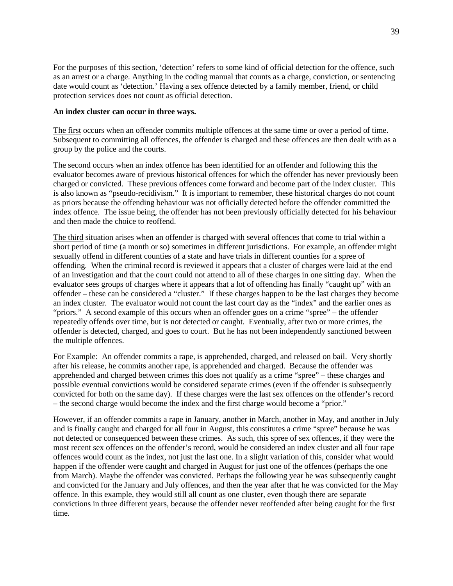For the purposes of this section, 'detection' refers to some kind of official detection for the offence, such as an arrest or a charge. Anything in the coding manual that counts as a charge, conviction, or sentencing date would count as 'detection.' Having a sex offence detected by a family member, friend, or child protection services does not count as official detection.

#### **An index cluster can occur in three ways.**

The first occurs when an offender commits multiple offences at the same time or over a period of time. Subsequent to committing all offences, the offender is charged and these offences are then dealt with as a group by the police and the courts.

The second occurs when an index offence has been identified for an offender and following this the evaluator becomes aware of previous historical offences for which the offender has never previously been charged or convicted. These previous offences come forward and become part of the index cluster. This is also known as "pseudo-recidivism." It is important to remember, these historical charges do not count as priors because the offending behaviour was not officially detected before the offender committed the index offence. The issue being, the offender has not been previously officially detected for his behaviour and then made the choice to reoffend.

The third situation arises when an offender is charged with several offences that come to trial within a short period of time (a month or so) sometimes in different jurisdictions. For example, an offender might sexually offend in different counties of a state and have trials in different counties for a spree of offending. When the criminal record is reviewed it appears that a cluster of charges were laid at the end of an investigation and that the court could not attend to all of these charges in one sitting day. When the evaluator sees groups of charges where it appears that a lot of offending has finally "caught up" with an offender – these can be considered a "cluster." If these charges happen to be the last charges they become an index cluster. The evaluator would not count the last court day as the "index" and the earlier ones as "priors." A second example of this occurs when an offender goes on a crime "spree" – the offender repeatedly offends over time, but is not detected or caught. Eventually, after two or more crimes, the offender is detected, charged, and goes to court. But he has not been independently sanctioned between the multiple offences.

For Example: An offender commits a rape, is apprehended, charged, and released on bail. Very shortly after his release, he commits another rape, is apprehended and charged. Because the offender was apprehended and charged between crimes this does not qualify as a crime "spree" – these charges and possible eventual convictions would be considered separate crimes (even if the offender is subsequently convicted for both on the same day). If these charges were the last sex offences on the offender's record – the second charge would become the index and the first charge would become a "prior."

However, if an offender commits a rape in January, another in March, another in May, and another in July and is finally caught and charged for all four in August, this constitutes a crime "spree" because he was not detected or consequenced between these crimes. As such, this spree of sex offences, if they were the most recent sex offences on the offender's record, would be considered an index cluster and all four rape offences would count as the index, not just the last one. In a slight variation of this, consider what would happen if the offender were caught and charged in August for just one of the offences (perhaps the one from March). Maybe the offender was convicted. Perhaps the following year he was subsequently caught and convicted for the January and July offences, and then the year after that he was convicted for the May offence. In this example, they would still all count as one cluster, even though there are separate convictions in three different years, because the offender never reoffended after being caught for the first time.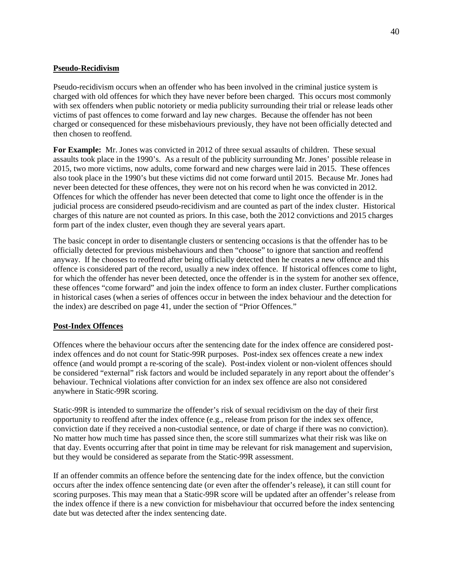# **Pseudo-Recidivism**

Pseudo-recidivism occurs when an offender who has been involved in the criminal justice system is charged with old offences for which they have never before been charged. This occurs most commonly with sex offenders when public notoriety or media publicity surrounding their trial or release leads other victims of past offences to come forward and lay new charges. Because the offender has not been charged or consequenced for these misbehaviours previously, they have not been officially detected and then chosen to reoffend.

**For Example:** Mr. Jones was convicted in 2012 of three sexual assaults of children. These sexual assaults took place in the 1990's. As a result of the publicity surrounding Mr. Jones' possible release in 2015, two more victims, now adults, come forward and new charges were laid in 2015. These offences also took place in the 1990's but these victims did not come forward until 2015. Because Mr. Jones had never been detected for these offences, they were not on his record when he was convicted in 2012. Offences for which the offender has never been detected that come to light once the offender is in the judicial process are considered pseudo-recidivism and are counted as part of the index cluster. Historical charges of this nature are not counted as priors. In this case, both the 2012 convictions and 2015 charges form part of the index cluster, even though they are several years apart.

The basic concept in order to disentangle clusters or sentencing occasions is that the offender has to be officially detected for previous misbehaviours and then "choose" to ignore that sanction and reoffend anyway. If he chooses to reoffend after being officially detected then he creates a new offence and this offence is considered part of the record, usually a new index offence. If historical offences come to light, for which the offender has never been detected, once the offender is in the system for another sex offence, these offences "come forward" and join the index offence to form an index cluster. Further complications in historical cases (when a series of offences occur in between the index behaviour and the detection for the index) are described on page 41, under the section of "Prior Offences."

# **Post-Index Offences**

Offences where the behaviour occurs after the sentencing date for the index offence are considered postindex offences and do not count for Static-99R purposes. Post-index sex offences create a new index offence (and would prompt a re-scoring of the scale). Post-index violent or non-violent offences should be considered "external" risk factors and would be included separately in any report about the offender's behaviour. Technical violations after conviction for an index sex offence are also not considered anywhere in Static-99R scoring.

Static-99R is intended to summarize the offender's risk of sexual recidivism on the day of their first opportunity to reoffend after the index offence (e.g., release from prison for the index sex offence, conviction date if they received a non-custodial sentence, or date of charge if there was no conviction). No matter how much time has passed since then, the score still summarizes what their risk was like on that day. Events occurring after that point in time may be relevant for risk management and supervision, but they would be considered as separate from the Static-99R assessment.

If an offender commits an offence before the sentencing date for the index offence, but the conviction occurs after the index offence sentencing date (or even after the offender's release), it can still count for scoring purposes. This may mean that a Static-99R score will be updated after an offender's release from the index offence if there is a new conviction for misbehaviour that occurred before the index sentencing date but was detected after the index sentencing date.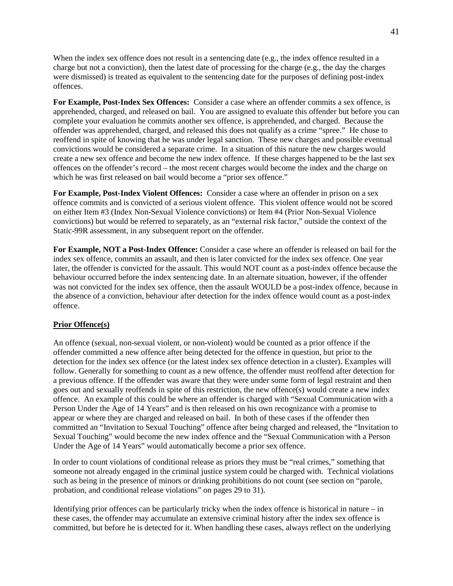When the index sex offence does not result in a sentencing date (e.g., the index offence resulted in a charge but not a conviction), then the latest date of processing for the charge (e.g., the day the charges were dismissed) is treated as equivalent to the sentencing date for the purposes of defining post-index offences.

**For Example, Post-Index Sex Offences:** Consider a case where an offender commits a sex offence, is apprehended, charged, and released on bail. You are assigned to evaluate this offender but before you can complete your evaluation he commits another sex offence, is apprehended, and charged. Because the offender was apprehended, charged, and released this does not qualify as a crime "spree." He chose to reoffend in spite of knowing that he was under legal sanction. These new charges and possible eventual convictions would be considered a separate crime. In a situation of this nature the new charges would create a new sex offence and become the new index offence. If these charges happened to be the last sex offences on the offender's record – the most recent charges would become the index and the charge on which he was first released on bail would become a "prior sex offence."

**For Example, Post-Index Violent Offences:** Consider a case where an offender in prison on a sex offence commits and is convicted of a serious violent offence. This violent offence would not be scored on either Item #3 (Index Non-Sexual Violence convictions) or Item #4 (Prior Non-Sexual Violence convictions) but would be referred to separately, as an "external risk factor," outside the context of the Static-99R assessment, in any subsequent report on the offender.

**For Example, NOT a Post-Index Offence:** Consider a case where an offender is released on bail for the index sex offence, commits an assault, and then is later convicted for the index sex offence. One year later, the offender is convicted for the assault. This would NOT count as a post-index offence because the behaviour occurred before the index sentencing date. In an alternate situation, however, if the offender was not convicted for the index sex offence, then the assault WOULD be a post-index offence, because in the absence of a conviction, behaviour after detection for the index offence would count as a post-index offence.

# **Prior Offence(s)**

An offence (sexual, non-sexual violent, or non-violent) would be counted as a prior offence if the offender committed a new offence after being detected for the offence in question, but prior to the detection for the index sex offence (or the latest index sex offence detection in a cluster). Examples will follow. Generally for something to count as a new offence, the offender must reoffend after detection for a previous offence. If the offender was aware that they were under some form of legal restraint and then goes out and sexually reoffends in spite of this restriction, the new offence(s) would create a new index offence. An example of this could be where an offender is charged with "Sexual Communication with a Person Under the Age of 14 Years" and is then released on his own recognizance with a promise to appear or where they are charged and released on bail. In both of these cases if the offender then committed an "Invitation to Sexual Touching" offence after being charged and released, the "Invitation to Sexual Touching" would become the new index offence and the "Sexual Communication with a Person Under the Age of 14 Years" would automatically become a prior sex offence.

In order to count violations of conditional release as priors they must be "real crimes," something that someone not already engaged in the criminal justice system could be charged with. Technical violations such as being in the presence of minors or drinking prohibitions do not count (see section on "parole, probation, and conditional release violations" on pages 29 to 31).

Identifying prior offences can be particularly tricky when the index offence is historical in nature – in these cases, the offender may accumulate an extensive criminal history after the index sex offence is committed, but before he is detected for it. When handling these cases, always reflect on the underlying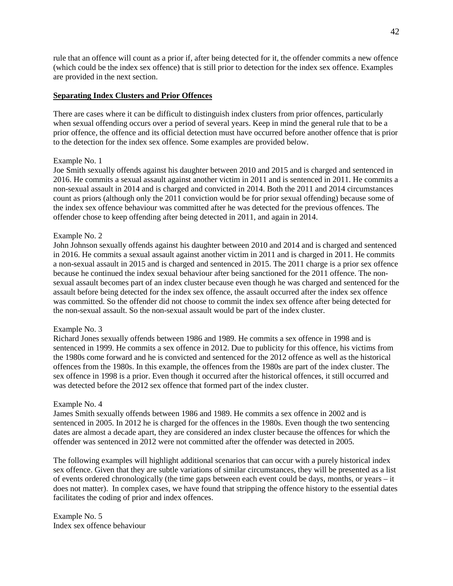rule that an offence will count as a prior if, after being detected for it, the offender commits a new offence (which could be the index sex offence) that is still prior to detection for the index sex offence. Examples are provided in the next section.

#### **Separating Index Clusters and Prior Offences**

There are cases where it can be difficult to distinguish index clusters from prior offences, particularly when sexual offending occurs over a period of several years. Keep in mind the general rule that to be a prior offence, the offence and its official detection must have occurred before another offence that is prior to the detection for the index sex offence. Some examples are provided below.

#### Example No. 1

Joe Smith sexually offends against his daughter between 2010 and 2015 and is charged and sentenced in 2016. He commits a sexual assault against another victim in 2011 and is sentenced in 2011. He commits a non-sexual assault in 2014 and is charged and convicted in 2014. Both the 2011 and 2014 circumstances count as priors (although only the 2011 conviction would be for prior sexual offending) because some of the index sex offence behaviour was committed after he was detected for the previous offences. The offender chose to keep offending after being detected in 2011, and again in 2014.

#### Example No. 2

John Johnson sexually offends against his daughter between 2010 and 2014 and is charged and sentenced in 2016. He commits a sexual assault against another victim in 2011 and is charged in 2011. He commits a non-sexual assault in 2015 and is charged and sentenced in 2015. The 2011 charge is a prior sex offence because he continued the index sexual behaviour after being sanctioned for the 2011 offence. The nonsexual assault becomes part of an index cluster because even though he was charged and sentenced for the assault before being detected for the index sex offence, the assault occurred after the index sex offence was committed. So the offender did not choose to commit the index sex offence after being detected for the non-sexual assault. So the non-sexual assault would be part of the index cluster.

#### Example No. 3

Richard Jones sexually offends between 1986 and 1989. He commits a sex offence in 1998 and is sentenced in 1999. He commits a sex offence in 2012. Due to publicity for this offence, his victims from the 1980s come forward and he is convicted and sentenced for the 2012 offence as well as the historical offences from the 1980s. In this example, the offences from the 1980s are part of the index cluster. The sex offence in 1998 is a prior. Even though it occurred after the historical offences, it still occurred and was detected before the 2012 sex offence that formed part of the index cluster.

#### Example No. 4

James Smith sexually offends between 1986 and 1989. He commits a sex offence in 2002 and is sentenced in 2005. In 2012 he is charged for the offences in the 1980s. Even though the two sentencing dates are almost a decade apart, they are considered an index cluster because the offences for which the offender was sentenced in 2012 were not committed after the offender was detected in 2005.

The following examples will highlight additional scenarios that can occur with a purely historical index sex offence. Given that they are subtle variations of similar circumstances, they will be presented as a list of events ordered chronologically (the time gaps between each event could be days, months, or years – it does not matter). In complex cases, we have found that stripping the offence history to the essential dates facilitates the coding of prior and index offences.

Example No. 5 Index sex offence behaviour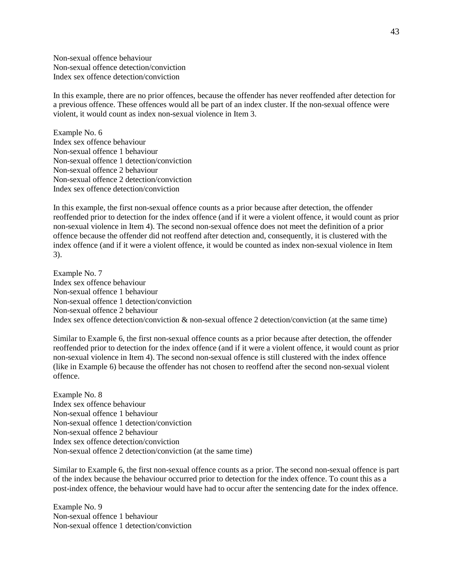Non-sexual offence behaviour Non-sexual offence detection/conviction Index sex offence detection/conviction

In this example, there are no prior offences, because the offender has never reoffended after detection for a previous offence. These offences would all be part of an index cluster. If the non-sexual offence were violent, it would count as index non-sexual violence in Item 3.

Example No. 6 Index sex offence behaviour Non-sexual offence 1 behaviour Non-sexual offence 1 detection/conviction Non-sexual offence 2 behaviour Non-sexual offence 2 detection/conviction Index sex offence detection/conviction

In this example, the first non-sexual offence counts as a prior because after detection, the offender reoffended prior to detection for the index offence (and if it were a violent offence, it would count as prior non-sexual violence in Item 4). The second non-sexual offence does not meet the definition of a prior offence because the offender did not reoffend after detection and, consequently, it is clustered with the index offence (and if it were a violent offence, it would be counted as index non-sexual violence in Item 3).

Example No. 7 Index sex offence behaviour Non-sexual offence 1 behaviour Non-sexual offence 1 detection/conviction Non-sexual offence 2 behaviour Index sex offence detection/conviction & non-sexual offence 2 detection/conviction (at the same time)

Similar to Example 6, the first non-sexual offence counts as a prior because after detection, the offender reoffended prior to detection for the index offence (and if it were a violent offence, it would count as prior non-sexual violence in Item 4). The second non-sexual offence is still clustered with the index offence (like in Example 6) because the offender has not chosen to reoffend after the second non-sexual violent offence.

Example No. 8 Index sex offence behaviour Non-sexual offence 1 behaviour Non-sexual offence 1 detection/conviction Non-sexual offence 2 behaviour Index sex offence detection/conviction Non-sexual offence 2 detection/conviction (at the same time)

Similar to Example 6, the first non-sexual offence counts as a prior. The second non-sexual offence is part of the index because the behaviour occurred prior to detection for the index offence. To count this as a post-index offence, the behaviour would have had to occur after the sentencing date for the index offence.

Example No. 9 Non-sexual offence 1 behaviour Non-sexual offence 1 detection/conviction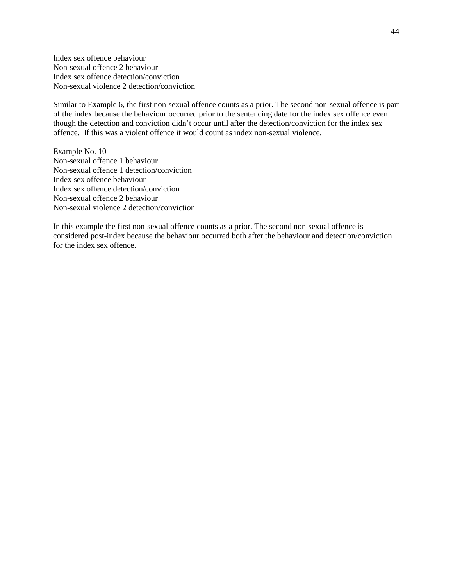Index sex offence behaviour Non-sexual offence 2 behaviour Index sex offence detection/conviction Non-sexual violence 2 detection/conviction

Similar to Example 6, the first non-sexual offence counts as a prior. The second non-sexual offence is part of the index because the behaviour occurred prior to the sentencing date for the index sex offence even though the detection and conviction didn't occur until after the detection/conviction for the index sex offence. If this was a violent offence it would count as index non-sexual violence.

Example No. 10 Non-sexual offence 1 behaviour Non-sexual offence 1 detection/conviction Index sex offence behaviour Index sex offence detection/conviction Non-sexual offence 2 behaviour Non-sexual violence 2 detection/conviction

In this example the first non-sexual offence counts as a prior. The second non-sexual offence is considered post-index because the behaviour occurred both after the behaviour and detection/conviction for the index sex offence.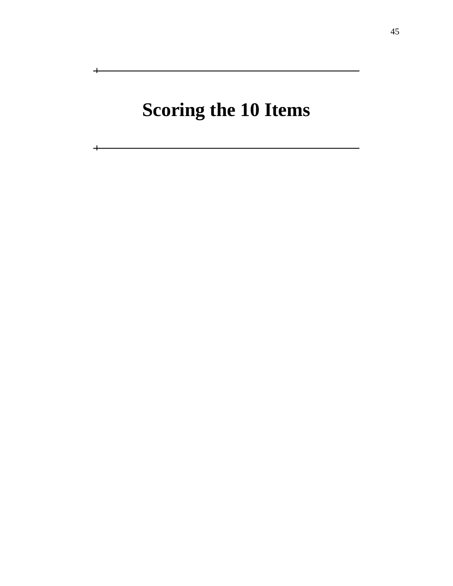# **Scoring the 10 Items**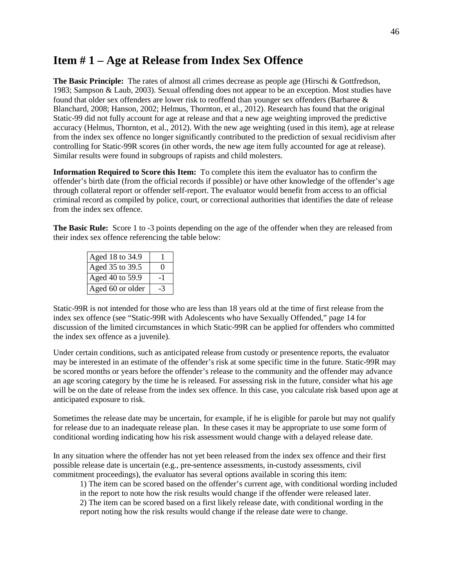# **Item # 1 – Age at Release from Index Sex Offence**

**The Basic Principle:** The rates of almost all crimes decrease as people age (Hirschi & Gottfredson, 1983; Sampson & Laub, 2003). Sexual offending does not appear to be an exception. Most studies have found that older sex offenders are lower risk to reoffend than younger sex offenders (Barbaree & Blanchard, 2008; Hanson, 2002; Helmus, Thornton, et al., 2012). Research has found that the original Static-99 did not fully account for age at release and that a new age weighting improved the predictive accuracy (Helmus, Thornton, et al., 2012). With the new age weighting (used in this item), age at release from the index sex offence no longer significantly contributed to the prediction of sexual recidivism after controlling for Static-99R scores (in other words, the new age item fully accounted for age at release). Similar results were found in subgroups of rapists and child molesters.

**Information Required to Score this Item:** To complete this item the evaluator has to confirm the offender's birth date (from the official records if possible) or have other knowledge of the offender's age through collateral report or offender self-report. The evaluator would benefit from access to an official criminal record as compiled by police, court, or correctional authorities that identifies the date of release from the index sex offence.

**The Basic Rule:** Score 1 to -3 points depending on the age of the offender when they are released from their index sex offence referencing the table below:

| Aged 18 to 34.9  |     |
|------------------|-----|
| Aged 35 to 39.5  | Ω   |
| Aged 40 to 59.9  | - 1 |
| Aged 60 or older | -3  |

Static-99R is not intended for those who are less than 18 years old at the time of first release from the index sex offence (see "Static-99R with Adolescents who have Sexually Offended," page 14 for discussion of the limited circumstances in which Static-99R can be applied for offenders who committed the index sex offence as a juvenile).

Under certain conditions, such as anticipated release from custody or presentence reports, the evaluator may be interested in an estimate of the offender's risk at some specific time in the future. Static-99R may be scored months or years before the offender's release to the community and the offender may advance an age scoring category by the time he is released. For assessing risk in the future, consider what his age will be on the date of release from the index sex offence. In this case, you calculate risk based upon age at anticipated exposure to risk.

Sometimes the release date may be uncertain, for example, if he is eligible for parole but may not qualify for release due to an inadequate release plan. In these cases it may be appropriate to use some form of conditional wording indicating how his risk assessment would change with a delayed release date.

In any situation where the offender has not yet been released from the index sex offence and their first possible release date is uncertain (e.g., pre-sentence assessments, in-custody assessments, civil commitment proceedings), the evaluator has several options available in scoring this item:

1) The item can be scored based on the offender's current age, with conditional wording included in the report to note how the risk results would change if the offender were released later. 2) The item can be scored based on a first likely release date, with conditional wording in the report noting how the risk results would change if the release date were to change.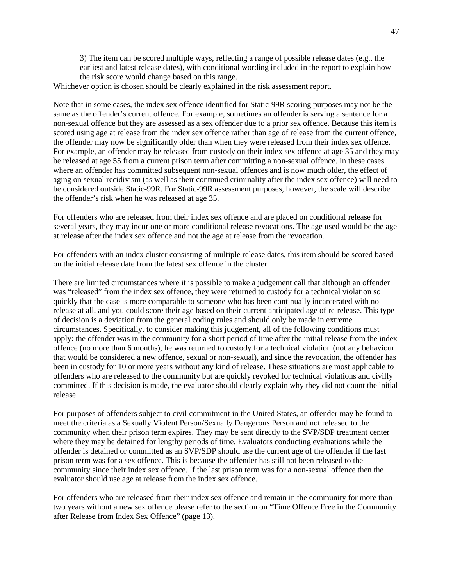3) The item can be scored multiple ways, reflecting a range of possible release dates (e.g., the earliest and latest release dates), with conditional wording included in the report to explain how the risk score would change based on this range.

Whichever option is chosen should be clearly explained in the risk assessment report.

Note that in some cases, the index sex offence identified for Static-99R scoring purposes may not be the same as the offender's current offence. For example, sometimes an offender is serving a sentence for a non-sexual offence but they are assessed as a sex offender due to a prior sex offence. Because this item is scored using age at release from the index sex offence rather than age of release from the current offence, the offender may now be significantly older than when they were released from their index sex offence. For example, an offender may be released from custody on their index sex offence at age 35 and they may be released at age 55 from a current prison term after committing a non-sexual offence. In these cases where an offender has committed subsequent non-sexual offences and is now much older, the effect of aging on sexual recidivism (as well as their continued criminality after the index sex offence) will need to be considered outside Static-99R. For Static-99R assessment purposes, however, the scale will describe the offender's risk when he was released at age 35.

For offenders who are released from their index sex offence and are placed on conditional release for several years, they may incur one or more conditional release revocations. The age used would be the age at release after the index sex offence and not the age at release from the revocation.

For offenders with an index cluster consisting of multiple release dates, this item should be scored based on the initial release date from the latest sex offence in the cluster.

There are limited circumstances where it is possible to make a judgement call that although an offender was "released" from the index sex offence, they were returned to custody for a technical violation so quickly that the case is more comparable to someone who has been continually incarcerated with no release at all, and you could score their age based on their current anticipated age of re-release. This type of decision is a deviation from the general coding rules and should only be made in extreme circumstances. Specifically, to consider making this judgement, all of the following conditions must apply: the offender was in the community for a short period of time after the initial release from the index offence (no more than 6 months), he was returned to custody for a technical violation (not any behaviour that would be considered a new offence, sexual or non-sexual), and since the revocation, the offender has been in custody for 10 or more years without any kind of release. These situations are most applicable to offenders who are released to the community but are quickly revoked for technical violations and civilly committed. If this decision is made, the evaluator should clearly explain why they did not count the initial release.

For purposes of offenders subject to civil commitment in the United States, an offender may be found to meet the criteria as a Sexually Violent Person/Sexually Dangerous Person and not released to the community when their prison term expires. They may be sent directly to the SVP/SDP treatment center where they may be detained for lengthy periods of time. Evaluators conducting evaluations while the offender is detained or committed as an SVP/SDP should use the current age of the offender if the last prison term was for a sex offence. This is because the offender has still not been released to the community since their index sex offence. If the last prison term was for a non-sexual offence then the evaluator should use age at release from the index sex offence.

For offenders who are released from their index sex offence and remain in the community for more than two years without a new sex offence please refer to the section on "Time Offence Free in the Community after Release from Index Sex Offence" (page 13).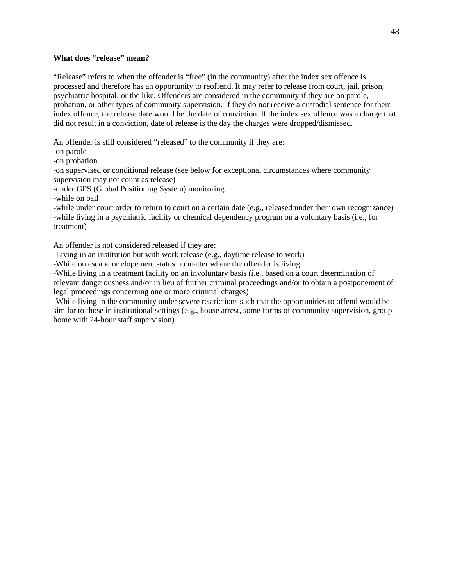#### **What does "release" mean?**

"Release" refers to when the offender is "free" (in the community) after the index sex offence is processed and therefore has an opportunity to reoffend. It may refer to release from court, jail, prison, psychiatric hospital, or the like. Offenders are considered in the community if they are on parole, probation, or other types of community supervision. If they do not receive a custodial sentence for their index offence, the release date would be the date of conviction. If the index sex offence was a charge that did not result in a conviction, date of release is the day the charges were dropped/dismissed.

An offender is still considered "released" to the community if they are:

-on parole

-on probation

-on supervised or conditional release (see below for exceptional circumstances where community supervision may not count as release)

-under GPS (Global Positioning System) monitoring

-while on bail

-while under court order to return to court on a certain date (e.g., released under their own recognizance) -while living in a psychiatric facility or chemical dependency program on a voluntary basis (i.e., for treatment)

An offender is not considered released if they are:

-Living in an institution but with work release (e.g., daytime release to work)

-While on escape or elopement status no matter where the offender is living

-While living in a treatment facility on an involuntary basis (i.e., based on a court determination of relevant dangerousness and/or in lieu of further criminal proceedings and/or to obtain a postponement of legal proceedings concerning one or more criminal charges)

-While living in the community under severe restrictions such that the opportunities to offend would be similar to those in institutional settings (e.g., house arrest, some forms of community supervision, group home with 24-hour staff supervision)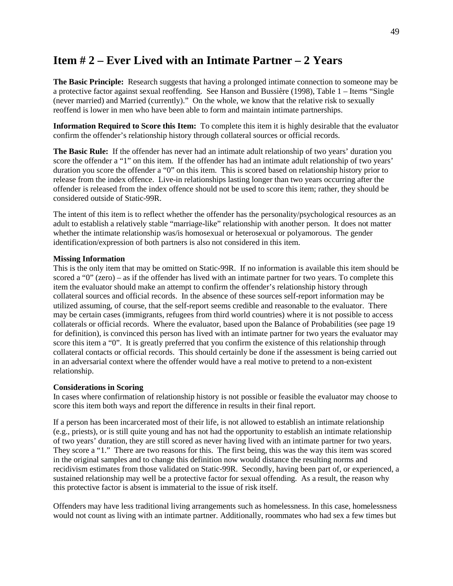# **Item # 2 – Ever Lived with an Intimate Partner – 2 Years**

**The Basic Principle:** Research suggests that having a prolonged intimate connection to someone may be a protective factor against sexual reoffending. See Hanson and Bussière (1998), Table 1 – Items "Single (never married) and Married (currently)." On the whole, we know that the relative risk to sexually reoffend is lower in men who have been able to form and maintain intimate partnerships.

**Information Required to Score this Item:** To complete this item it is highly desirable that the evaluator confirm the offender's relationship history through collateral sources or official records.

**The Basic Rule:** If the offender has never had an intimate adult relationship of two years' duration you score the offender a "1" on this item. If the offender has had an intimate adult relationship of two years' duration you score the offender a "0" on this item. This is scored based on relationship history prior to release from the index offence. Live-in relationships lasting longer than two years occurring after the offender is released from the index offence should not be used to score this item; rather, they should be considered outside of Static-99R.

The intent of this item is to reflect whether the offender has the personality/psychological resources as an adult to establish a relatively stable "marriage-like" relationship with another person. It does not matter whether the intimate relationship was/is homosexual or heterosexual or polyamorous. The gender identification/expression of both partners is also not considered in this item.

#### **Missing Information**

This is the only item that may be omitted on Static-99R. If no information is available this item should be scored a "0" (zero) – as if the offender has lived with an intimate partner for two years. To complete this item the evaluator should make an attempt to confirm the offender's relationship history through collateral sources and official records. In the absence of these sources self-report information may be utilized assuming, of course, that the self-report seems credible and reasonable to the evaluator. There may be certain cases (immigrants, refugees from third world countries) where it is not possible to access collaterals or official records. Where the evaluator, based upon the Balance of Probabilities (see page 19 for definition), is convinced this person has lived with an intimate partner for two years the evaluator may score this item a "0". It is greatly preferred that you confirm the existence of this relationship through collateral contacts or official records. This should certainly be done if the assessment is being carried out in an adversarial context where the offender would have a real motive to pretend to a non-existent relationship.

#### **Considerations in Scoring**

In cases where confirmation of relationship history is not possible or feasible the evaluator may choose to score this item both ways and report the difference in results in their final report.

If a person has been incarcerated most of their life, is not allowed to establish an intimate relationship (e.g., priests), or is still quite young and has not had the opportunity to establish an intimate relationship of two years' duration, they are still scored as never having lived with an intimate partner for two years. They score a "1." There are two reasons for this. The first being, this was the way this item was scored in the original samples and to change this definition now would distance the resulting norms and recidivism estimates from those validated on Static-99R. Secondly, having been part of, or experienced, a sustained relationship may well be a protective factor for sexual offending. As a result, the reason why this protective factor is absent is immaterial to the issue of risk itself.

Offenders may have less traditional living arrangements such as homelessness. In this case, homelessness would not count as living with an intimate partner. Additionally, roommates who had sex a few times but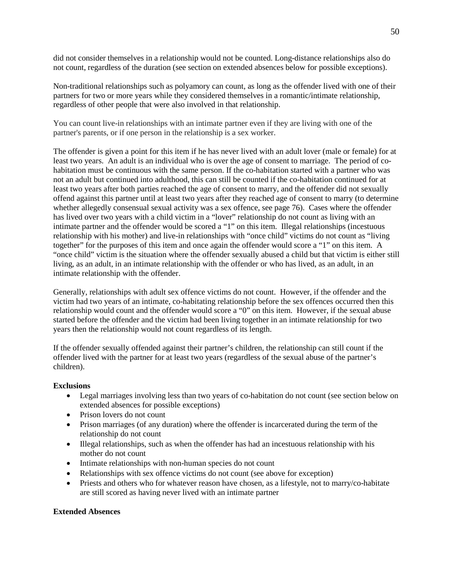did not consider themselves in a relationship would not be counted. Long-distance relationships also do not count, regardless of the duration (see section on extended absences below for possible exceptions).

Non-traditional relationships such as polyamory can count, as long as the offender lived with one of their partners for two or more years while they considered themselves in a romantic/intimate relationship, regardless of other people that were also involved in that relationship.

You can count live-in relationships with an intimate partner even if they are living with one of the partner's parents, or if one person in the relationship is a sex worker.

The offender is given a point for this item if he has never lived with an adult lover (male or female) for at least two years. An adult is an individual who is over the age of consent to marriage. The period of cohabitation must be continuous with the same person. If the co-habitation started with a partner who was not an adult but continued into adulthood, this can still be counted if the co-habitation continued for at least two years after both parties reached the age of consent to marry, and the offender did not sexually offend against this partner until at least two years after they reached age of consent to marry (to determine whether allegedly consensual sexual activity was a sex offence, see page 76). Cases where the offender has lived over two years with a child victim in a "lover" relationship do not count as living with an intimate partner and the offender would be scored a "1" on this item. Illegal relationships (incestuous relationship with his mother) and live-in relationships with "once child" victims do not count as "living together" for the purposes of this item and once again the offender would score a "1" on this item. A "once child" victim is the situation where the offender sexually abused a child but that victim is either still living, as an adult, in an intimate relationship with the offender or who has lived, as an adult, in an intimate relationship with the offender.

Generally, relationships with adult sex offence victims do not count. However, if the offender and the victim had two years of an intimate, co-habitating relationship before the sex offences occurred then this relationship would count and the offender would score a "0" on this item. However, if the sexual abuse started before the offender and the victim had been living together in an intimate relationship for two years then the relationship would not count regardless of its length.

If the offender sexually offended against their partner's children, the relationship can still count if the offender lived with the partner for at least two years (regardless of the sexual abuse of the partner's children).

# **Exclusions**

- Legal marriages involving less than two years of co-habitation do not count (see section below on extended absences for possible exceptions)
- Prison lovers do not count
- Prison marriages (of any duration) where the offender is incarcerated during the term of the relationship do not count
- Illegal relationships, such as when the offender has had an incestuous relationship with his mother do not count
- Intimate relationships with non-human species do not count
- Relationships with sex offence victims do not count (see above for exception)
- Priests and others who for whatever reason have chosen, as a lifestyle, not to marry/co-habitate are still scored as having never lived with an intimate partner

#### **Extended Absences**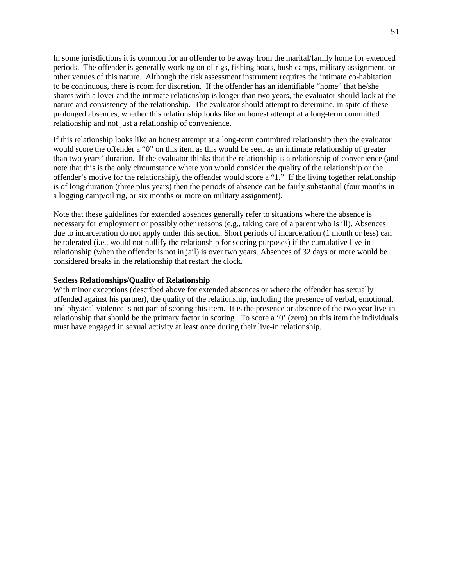In some jurisdictions it is common for an offender to be away from the marital/family home for extended periods. The offender is generally working on oilrigs, fishing boats, bush camps, military assignment, or other venues of this nature. Although the risk assessment instrument requires the intimate co-habitation to be continuous, there is room for discretion. If the offender has an identifiable "home" that he/she shares with a lover and the intimate relationship is longer than two years, the evaluator should look at the nature and consistency of the relationship. The evaluator should attempt to determine, in spite of these prolonged absences, whether this relationship looks like an honest attempt at a long-term committed relationship and not just a relationship of convenience.

If this relationship looks like an honest attempt at a long-term committed relationship then the evaluator would score the offender a "0" on this item as this would be seen as an intimate relationship of greater than two years' duration. If the evaluator thinks that the relationship is a relationship of convenience (and note that this is the only circumstance where you would consider the quality of the relationship or the offender's motive for the relationship), the offender would score a "1." If the living together relationship is of long duration (three plus years) then the periods of absence can be fairly substantial (four months in a logging camp/oil rig, or six months or more on military assignment).

Note that these guidelines for extended absences generally refer to situations where the absence is necessary for employment or possibly other reasons (e.g., taking care of a parent who is ill). Absences due to incarceration do not apply under this section. Short periods of incarceration (1 month or less) can be tolerated (i.e., would not nullify the relationship for scoring purposes) if the cumulative live-in relationship (when the offender is not in jail) is over two years. Absences of 32 days or more would be considered breaks in the relationship that restart the clock.

# **Sexless Relationships/Quality of Relationship**

With minor exceptions (described above for extended absences or where the offender has sexually offended against his partner), the quality of the relationship, including the presence of verbal, emotional, and physical violence is not part of scoring this item. It is the presence or absence of the two year live-in relationship that should be the primary factor in scoring. To score a '0' (zero) on this item the individuals must have engaged in sexual activity at least once during their live-in relationship.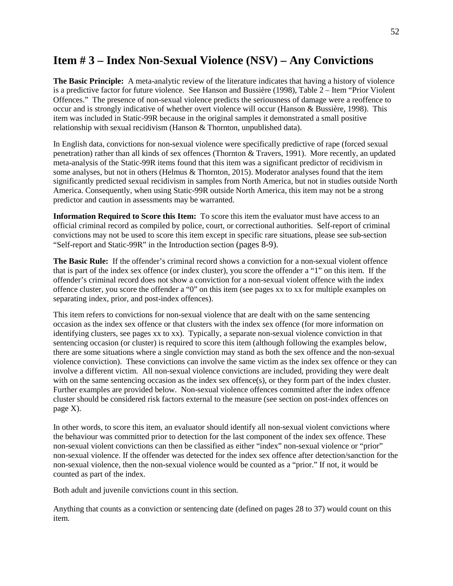# **Item # 3 – Index Non-Sexual Violence (NSV) – Any Convictions**

**The Basic Principle:** A meta-analytic review of the literature indicates that having a history of violence is a predictive factor for future violence. See Hanson and Bussière (1998), Table 2 – Item "Prior Violent Offences." The presence of non-sexual violence predicts the seriousness of damage were a reoffence to occur and is strongly indicative of whether overt violence will occur (Hanson & Bussière, 1998). This item was included in Static-99R because in the original samples it demonstrated a small positive relationship with sexual recidivism (Hanson & Thornton, unpublished data).

In English data, convictions for non-sexual violence were specifically predictive of rape (forced sexual penetration) rather than all kinds of sex offences (Thornton & Travers, 1991). More recently, an updated meta-analysis of the Static-99R items found that this item was a significant predictor of recidivism in some analyses, but not in others (Helmus & Thornton, 2015). Moderator analyses found that the item significantly predicted sexual recidivism in samples from North America, but not in studies outside North America. Consequently, when using Static-99R outside North America, this item may not be a strong predictor and caution in assessments may be warranted.

**Information Required to Score this Item:** To score this item the evaluator must have access to an official criminal record as compiled by police, court, or correctional authorities. Self-report of criminal convictions may not be used to score this item except in specific rare situations, please see sub-section "Self-report and Static-99R" in the Introduction section (pages 8-9).

**The Basic Rule:** If the offender's criminal record shows a conviction for a non-sexual violent offence that is part of the index sex offence (or index cluster), you score the offender a "1" on this item. If the offender's criminal record does not show a conviction for a non-sexual violent offence with the index offence cluster, you score the offender a "0" on this item (see pages xx to xx for multiple examples on separating index, prior, and post-index offences).

This item refers to convictions for non-sexual violence that are dealt with on the same sentencing occasion as the index sex offence or that clusters with the index sex offence (for more information on identifying clusters, see pages xx to xx). Typically, a separate non-sexual violence conviction in that sentencing occasion (or cluster) is required to score this item (although following the examples below, there are some situations where a single conviction may stand as both the sex offence and the non-sexual violence conviction). These convictions can involve the same victim as the index sex offence or they can involve a different victim. All non-sexual violence convictions are included, providing they were dealt with on the same sentencing occasion as the index sex offence(s), or they form part of the index cluster. Further examples are provided below. Non-sexual violence offences committed after the index offence cluster should be considered risk factors external to the measure (see section on post-index offences on page X).

In other words, to score this item, an evaluator should identify all non-sexual violent convictions where the behaviour was committed prior to detection for the last component of the index sex offence. These non-sexual violent convictions can then be classified as either "index" non-sexual violence or "prior" non-sexual violence. If the offender was detected for the index sex offence after detection/sanction for the non-sexual violence, then the non-sexual violence would be counted as a "prior." If not, it would be counted as part of the index.

Both adult and juvenile convictions count in this section.

Anything that counts as a conviction or sentencing date (defined on pages 28 to 37) would count on this item.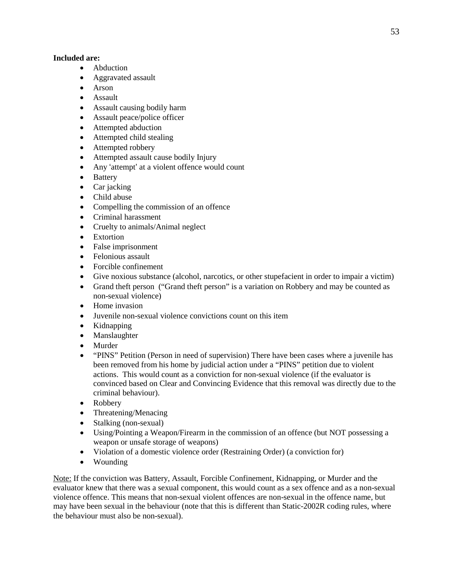# **Included are:**

- Abduction
- Aggravated assault
- Arson
- Assault
- Assault causing bodily harm
- Assault peace/police officer
- Attempted abduction
- Attempted child stealing
- Attempted robbery
- Attempted assault cause bodily Injury
- Any 'attempt' at a violent offence would count
- Battery
- Car jacking
- Child abuse
- Compelling the commission of an offence
- Criminal harassment
- Cruelty to animals/Animal neglect
- Extortion
- False imprisonment
- Felonious assault
- Forcible confinement
- Give noxious substance (alcohol, narcotics, or other stupefacient in order to impair a victim)
- Grand theft person ("Grand theft person" is a variation on Robbery and may be counted as non-sexual violence)
- Home invasion
- Juvenile non-sexual violence convictions count on this item
- Kidnapping
- Manslaughter
- Murder
- "PINS" Petition (Person in need of supervision) There have been cases where a juvenile has been removed from his home by judicial action under a "PINS" petition due to violent actions. This would count as a conviction for non-sexual violence (if the evaluator is convinced based on Clear and Convincing Evidence that this removal was directly due to the criminal behaviour).
- Robbery
- Threatening/Menacing
- Stalking (non-sexual)
- Using/Pointing a Weapon/Firearm in the commission of an offence (but NOT possessing a weapon or unsafe storage of weapons)
- Violation of a domestic violence order (Restraining Order) (a conviction for)
- Wounding

Note: If the conviction was Battery, Assault, Forcible Confinement, Kidnapping, or Murder and the evaluator knew that there was a sexual component, this would count as a sex offence and as a non-sexual violence offence. This means that non-sexual violent offences are non-sexual in the offence name, but may have been sexual in the behaviour (note that this is different than Static-2002R coding rules, where the behaviour must also be non-sexual).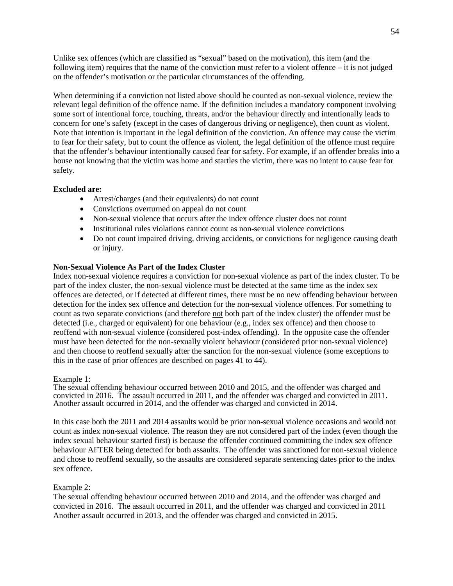Unlike sex offences (which are classified as "sexual" based on the motivation), this item (and the following item) requires that the name of the conviction must refer to a violent offence – it is not judged on the offender's motivation or the particular circumstances of the offending.

When determining if a conviction not listed above should be counted as non-sexual violence, review the relevant legal definition of the offence name. If the definition includes a mandatory component involving some sort of intentional force, touching, threats, and/or the behaviour directly and intentionally leads to concern for one's safety (except in the cases of dangerous driving or negligence), then count as violent. Note that intention is important in the legal definition of the conviction. An offence may cause the victim to fear for their safety, but to count the offence as violent, the legal definition of the offence must require that the offender's behaviour intentionally caused fear for safety. For example, if an offender breaks into a house not knowing that the victim was home and startles the victim, there was no intent to cause fear for safety.

# **Excluded are:**

- Arrest/charges (and their equivalents) do not count
- Convictions overturned on appeal do not count
- Non-sexual violence that occurs after the index offence cluster does not count
- Institutional rules violations cannot count as non-sexual violence convictions
- Do not count impaired driving, driving accidents, or convictions for negligence causing death or injury.

# **Non-Sexual Violence As Part of the Index Cluster**

Index non-sexual violence requires a conviction for non-sexual violence as part of the index cluster. To be part of the index cluster, the non-sexual violence must be detected at the same time as the index sex offences are detected, or if detected at different times, there must be no new offending behaviour between detection for the index sex offence and detection for the non-sexual violence offences. For something to count as two separate convictions (and therefore not both part of the index cluster) the offender must be detected (i.e., charged or equivalent) for one behaviour (e.g., index sex offence) and then choose to reoffend with non-sexual violence (considered post-index offending). In the opposite case the offender must have been detected for the non-sexually violent behaviour (considered prior non-sexual violence) and then choose to reoffend sexually after the sanction for the non-sexual violence (some exceptions to this in the case of prior offences are described on pages 41 to 44).

# Example 1:

The sexual offending behaviour occurred between 2010 and 2015, and the offender was charged and convicted in 2016. The assault occurred in 2011, and the offender was charged and convicted in 2011. Another assault occurred in 2014, and the offender was charged and convicted in 2014.

In this case both the 2011 and 2014 assaults would be prior non-sexual violence occasions and would not count as index non-sexual violence. The reason they are not considered part of the index (even though the index sexual behaviour started first) is because the offender continued committing the index sex offence behaviour AFTER being detected for both assaults. The offender was sanctioned for non-sexual violence and chose to reoffend sexually, so the assaults are considered separate sentencing dates prior to the index sex offence.

# Example 2:

The sexual offending behaviour occurred between 2010 and 2014, and the offender was charged and convicted in 2016. The assault occurred in 2011, and the offender was charged and convicted in 2011 Another assault occurred in 2013, and the offender was charged and convicted in 2015.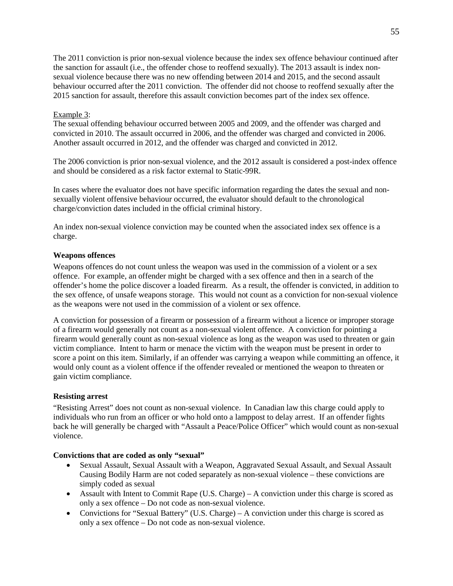The 2011 conviction is prior non-sexual violence because the index sex offence behaviour continued after the sanction for assault (i.e., the offender chose to reoffend sexually). The 2013 assault is index nonsexual violence because there was no new offending between 2014 and 2015, and the second assault behaviour occurred after the 2011 conviction. The offender did not choose to reoffend sexually after the 2015 sanction for assault, therefore this assault conviction becomes part of the index sex offence.

# Example 3:

The sexual offending behaviour occurred between 2005 and 2009, and the offender was charged and convicted in 2010. The assault occurred in 2006, and the offender was charged and convicted in 2006. Another assault occurred in 2012, and the offender was charged and convicted in 2012.

The 2006 conviction is prior non-sexual violence, and the 2012 assault is considered a post-index offence and should be considered as a risk factor external to Static-99R.

In cases where the evaluator does not have specific information regarding the dates the sexual and nonsexually violent offensive behaviour occurred, the evaluator should default to the chronological charge/conviction dates included in the official criminal history.

An index non-sexual violence conviction may be counted when the associated index sex offence is a charge.

#### **Weapons offences**

Weapons offences do not count unless the weapon was used in the commission of a violent or a sex offence. For example, an offender might be charged with a sex offence and then in a search of the offender's home the police discover a loaded firearm. As a result, the offender is convicted, in addition to the sex offence, of unsafe weapons storage. This would not count as a conviction for non-sexual violence as the weapons were not used in the commission of a violent or sex offence.

A conviction for possession of a firearm or possession of a firearm without a licence or improper storage of a firearm would generally not count as a non-sexual violent offence. A conviction for pointing a firearm would generally count as non-sexual violence as long as the weapon was used to threaten or gain victim compliance. Intent to harm or menace the victim with the weapon must be present in order to score a point on this item. Similarly, if an offender was carrying a weapon while committing an offence, it would only count as a violent offence if the offender revealed or mentioned the weapon to threaten or gain victim compliance.

#### **Resisting arrest**

"Resisting Arrest" does not count as non-sexual violence. In Canadian law this charge could apply to individuals who run from an officer or who hold onto a lamppost to delay arrest. If an offender fights back he will generally be charged with "Assault a Peace/Police Officer" which would count as non-sexual violence.

#### **Convictions that are coded as only "sexual"**

- Sexual Assault, Sexual Assault with a Weapon, Aggravated Sexual Assault, and Sexual Assault Causing Bodily Harm are not coded separately as non-sexual violence – these convictions are simply coded as sexual
- Assault with Intent to Commit Rape (U.S. Charge) A conviction under this charge is scored as only a sex offence – Do not code as non-sexual violence.
- Convictions for "Sexual Battery" (U.S. Charge) A conviction under this charge is scored as only a sex offence – Do not code as non-sexual violence.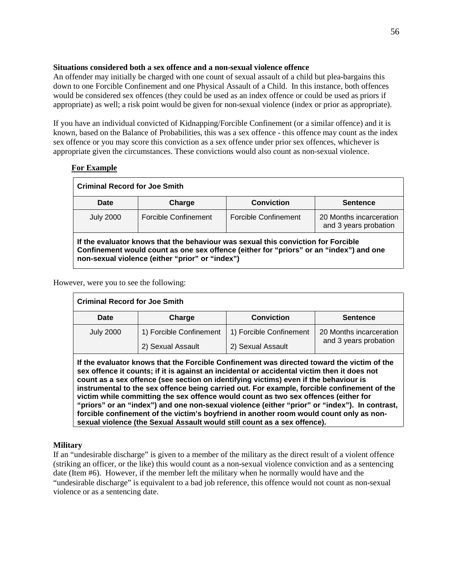# **Situations considered both a sex offence and a non-sexual violence offence**

An offender may initially be charged with one count of sexual assault of a child but plea-bargains this down to one Forcible Confinement and one Physical Assault of a Child. In this instance, both offences would be considered sex offences (they could be used as an index offence or could be used as priors if appropriate) as well; a risk point would be given for non-sexual violence (index or prior as appropriate).

If you have an individual convicted of Kidnapping/Forcible Confinement (or a similar offence) and it is known, based on the Balance of Probabilities, this was a sex offence - this offence may count as the index sex offence or you may score this conviction as a sex offence under prior sex offences, whichever is appropriate given the circumstances. These convictions would also count as non-sexual violence.

# **For Example**

| <b>Criminal Record for Joe Smith</b>                                                                                                                                                                                           |                      |                      |                                                  |
|--------------------------------------------------------------------------------------------------------------------------------------------------------------------------------------------------------------------------------|----------------------|----------------------|--------------------------------------------------|
| Date                                                                                                                                                                                                                           | Charge               | <b>Conviction</b>    | <b>Sentence</b>                                  |
| <b>July 2000</b>                                                                                                                                                                                                               | Forcible Confinement | Forcible Confinement | 20 Months incarceration<br>and 3 years probation |
| If the evaluator knows that the behaviour was sexual this conviction for Forcible<br>Confinement would count as one sex offence (either for "priors" or an "index") and one<br>non-sexual violence (either "prior" or "index") |                      |                      |                                                  |

# However, were you to see the following:

| <b>Criminal Record for Joe Smith</b>                                                                                                                                                                                                                                                                                                                                                                                                                                                                                                                                     |                         |                         |                         |  |
|--------------------------------------------------------------------------------------------------------------------------------------------------------------------------------------------------------------------------------------------------------------------------------------------------------------------------------------------------------------------------------------------------------------------------------------------------------------------------------------------------------------------------------------------------------------------------|-------------------------|-------------------------|-------------------------|--|
| Date                                                                                                                                                                                                                                                                                                                                                                                                                                                                                                                                                                     | Charge                  | <b>Conviction</b>       | <b>Sentence</b>         |  |
| <b>July 2000</b>                                                                                                                                                                                                                                                                                                                                                                                                                                                                                                                                                         | 1) Forcible Confinement | 1) Forcible Confinement | 20 Months incarceration |  |
|                                                                                                                                                                                                                                                                                                                                                                                                                                                                                                                                                                          | 2) Sexual Assault       | 2) Sexual Assault       | and 3 years probation   |  |
| If the evaluator knows that the Forcible Confinement was directed toward the victim of the<br>sex offence it counts; if it is against an incidental or accidental victim then it does not<br>count as a sex offence (see section on identifying victims) even if the behaviour is<br>instrumental to the sex offence being carried out. For example, forcible confinement of the<br>victim while committing the sex offence would count as two sex offences (either for<br>"priors" or an "index") and one non-sexual violence (either "prior" or "index"). In contrast, |                         |                         |                         |  |

**forcible confinement of the victim's boyfriend in another room would count only as non-**

**sexual violence (the Sexual Assault would still count as a sex offence).**

# **Military**

If an "undesirable discharge" is given to a member of the military as the direct result of a violent offence (striking an officer, or the like) this would count as a non-sexual violence conviction and as a sentencing date (Item #6). However, if the member left the military when he normally would have and the "undesirable discharge" is equivalent to a bad job reference, this offence would not count as non-sexual violence or as a sentencing date.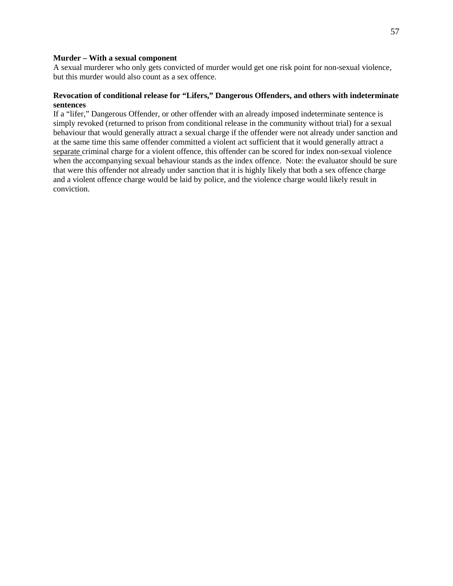#### **Murder – With a sexual component**

A sexual murderer who only gets convicted of murder would get one risk point for non-sexual violence, but this murder would also count as a sex offence.

#### **Revocation of conditional release for "Lifers," Dangerous Offenders, and others with indeterminate sentences**

If a "lifer," Dangerous Offender, or other offender with an already imposed indeterminate sentence is simply revoked (returned to prison from conditional release in the community without trial) for a sexual behaviour that would generally attract a sexual charge if the offender were not already under sanction and at the same time this same offender committed a violent act sufficient that it would generally attract a separate criminal charge for a violent offence, this offender can be scored for index non-sexual violence when the accompanying sexual behaviour stands as the index offence. Note: the evaluator should be sure that were this offender not already under sanction that it is highly likely that both a sex offence charge and a violent offence charge would be laid by police, and the violence charge would likely result in conviction.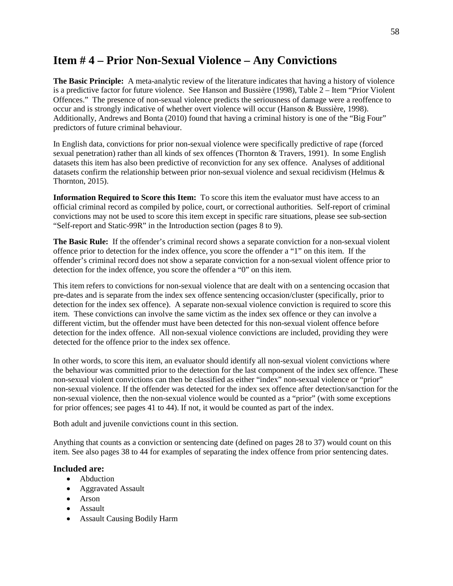# **Item # 4 – Prior Non-Sexual Violence – Any Convictions**

**The Basic Principle:** A meta-analytic review of the literature indicates that having a history of violence is a predictive factor for future violence. See Hanson and Bussière (1998), Table 2 – Item "Prior Violent Offences." The presence of non-sexual violence predicts the seriousness of damage were a reoffence to occur and is strongly indicative of whether overt violence will occur (Hanson & Bussière, 1998). Additionally, Andrews and Bonta (2010) found that having a criminal history is one of the "Big Four" predictors of future criminal behaviour.

In English data, convictions for prior non-sexual violence were specifically predictive of rape (forced sexual penetration) rather than all kinds of sex offences (Thornton & Travers, 1991). In some English datasets this item has also been predictive of reconviction for any sex offence. Analyses of additional datasets confirm the relationship between prior non-sexual violence and sexual recidivism (Helmus & Thornton, 2015).

**Information Required to Score this Item:** To score this item the evaluator must have access to an official criminal record as compiled by police, court, or correctional authorities. Self-report of criminal convictions may not be used to score this item except in specific rare situations, please see sub-section "Self-report and Static-99R" in the Introduction section (pages 8 to 9).

**The Basic Rule:** If the offender's criminal record shows a separate conviction for a non-sexual violent offence prior to detection for the index offence, you score the offender a "1" on this item. If the offender's criminal record does not show a separate conviction for a non-sexual violent offence prior to detection for the index offence, you score the offender a "0" on this item.

This item refers to convictions for non-sexual violence that are dealt with on a sentencing occasion that pre-dates and is separate from the index sex offence sentencing occasion/cluster (specifically, prior to detection for the index sex offence). A separate non-sexual violence conviction is required to score this item. These convictions can involve the same victim as the index sex offence or they can involve a different victim, but the offender must have been detected for this non-sexual violent offence before detection for the index offence. All non-sexual violence convictions are included, providing they were detected for the offence prior to the index sex offence.

In other words, to score this item, an evaluator should identify all non-sexual violent convictions where the behaviour was committed prior to the detection for the last component of the index sex offence. These non-sexual violent convictions can then be classified as either "index" non-sexual violence or "prior" non-sexual violence. If the offender was detected for the index sex offence after detection/sanction for the non-sexual violence, then the non-sexual violence would be counted as a "prior" (with some exceptions for prior offences; see pages 41 to 44). If not, it would be counted as part of the index.

Both adult and juvenile convictions count in this section.

Anything that counts as a conviction or sentencing date (defined on pages 28 to 37) would count on this item. See also pages 38 to 44 for examples of separating the index offence from prior sentencing dates.

# **Included are:**

- Abduction
- Aggravated Assault
- Arson
- Assault
- Assault Causing Bodily Harm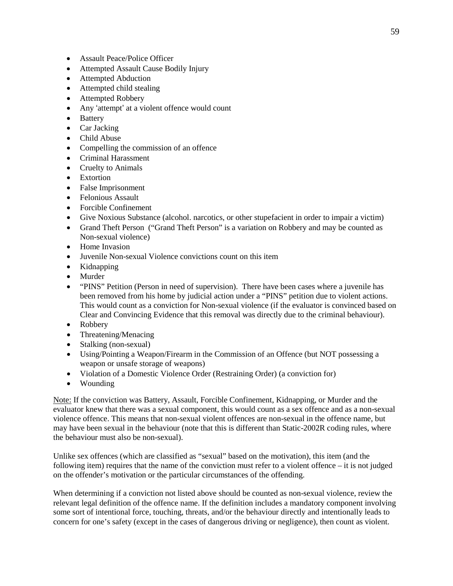- Assault Peace/Police Officer
- Attempted Assault Cause Bodily Injury
- Attempted Abduction
- Attempted child stealing
- Attempted Robbery
- Any 'attempt' at a violent offence would count
- Battery
- Car Jacking
- Child Abuse
- Compelling the commission of an offence
- Criminal Harassment
- Cruelty to Animals
- Extortion
- False Imprisonment
- Felonious Assault
- Forcible Confinement
- Give Noxious Substance (alcohol. narcotics, or other stupefacient in order to impair a victim)
- Grand Theft Person ("Grand Theft Person" is a variation on Robbery and may be counted as Non-sexual violence)
- Home Invasion
- Juvenile Non-sexual Violence convictions count on this item
- Kidnapping
- Murder
- "PINS" Petition (Person in need of supervision). There have been cases where a juvenile has been removed from his home by judicial action under a "PINS" petition due to violent actions. This would count as a conviction for Non-sexual violence (if the evaluator is convinced based on Clear and Convincing Evidence that this removal was directly due to the criminal behaviour).
- Robbery
- Threatening/Menacing
- Stalking (non-sexual)
- Using/Pointing a Weapon/Firearm in the Commission of an Offence (but NOT possessing a weapon or unsafe storage of weapons)
- Violation of a Domestic Violence Order (Restraining Order) (a conviction for)
- Wounding

Note: If the conviction was Battery, Assault, Forcible Confinement, Kidnapping, or Murder and the evaluator knew that there was a sexual component, this would count as a sex offence and as a non-sexual violence offence. This means that non-sexual violent offences are non-sexual in the offence name, but may have been sexual in the behaviour (note that this is different than Static-2002R coding rules, where the behaviour must also be non-sexual).

Unlike sex offences (which are classified as "sexual" based on the motivation), this item (and the following item) requires that the name of the conviction must refer to a violent offence – it is not judged on the offender's motivation or the particular circumstances of the offending.

When determining if a conviction not listed above should be counted as non-sexual violence, review the relevant legal definition of the offence name. If the definition includes a mandatory component involving some sort of intentional force, touching, threats, and/or the behaviour directly and intentionally leads to concern for one's safety (except in the cases of dangerous driving or negligence), then count as violent.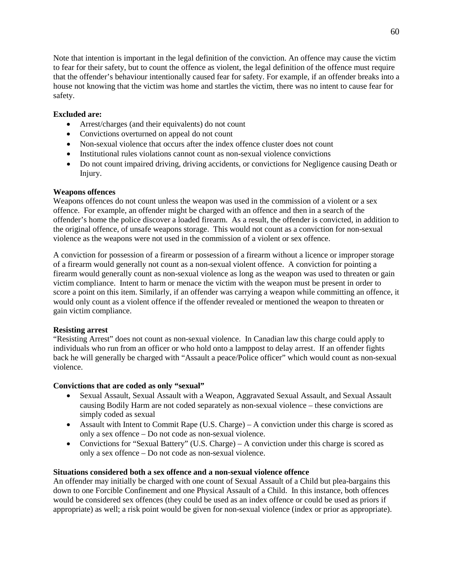Note that intention is important in the legal definition of the conviction. An offence may cause the victim to fear for their safety, but to count the offence as violent, the legal definition of the offence must require that the offender's behaviour intentionally caused fear for safety. For example, if an offender breaks into a house not knowing that the victim was home and startles the victim, there was no intent to cause fear for safety.

# **Excluded are:**

- Arrest/charges (and their equivalents) do not count
- Convictions overturned on appeal do not count
- Non-sexual violence that occurs after the index offence cluster does not count
- Institutional rules violations cannot count as non-sexual violence convictions
- Do not count impaired driving, driving accidents, or convictions for Negligence causing Death or Injury.

# **Weapons offences**

Weapons offences do not count unless the weapon was used in the commission of a violent or a sex offence. For example, an offender might be charged with an offence and then in a search of the offender's home the police discover a loaded firearm. As a result, the offender is convicted, in addition to the original offence, of unsafe weapons storage. This would not count as a conviction for non-sexual violence as the weapons were not used in the commission of a violent or sex offence.

A conviction for possession of a firearm or possession of a firearm without a licence or improper storage of a firearm would generally not count as a non-sexual violent offence. A conviction for pointing a firearm would generally count as non-sexual violence as long as the weapon was used to threaten or gain victim compliance. Intent to harm or menace the victim with the weapon must be present in order to score a point on this item. Similarly, if an offender was carrying a weapon while committing an offence, it would only count as a violent offence if the offender revealed or mentioned the weapon to threaten or gain victim compliance.

# **Resisting arrest**

"Resisting Arrest" does not count as non-sexual violence. In Canadian law this charge could apply to individuals who run from an officer or who hold onto a lamppost to delay arrest. If an offender fights back he will generally be charged with "Assault a peace/Police officer" which would count as non-sexual violence.

# **Convictions that are coded as only "sexual"**

- Sexual Assault, Sexual Assault with a Weapon, Aggravated Sexual Assault, and Sexual Assault causing Bodily Harm are not coded separately as non-sexual violence – these convictions are simply coded as sexual
- Assault with Intent to Commit Rape  $(U.S.$  Charge) A conviction under this charge is scored as only a sex offence – Do not code as non-sexual violence.
- Convictions for "Sexual Battery" (U.S. Charge) A conviction under this charge is scored as only a sex offence – Do not code as non-sexual violence.

#### **Situations considered both a sex offence and a non-sexual violence offence**

An offender may initially be charged with one count of Sexual Assault of a Child but plea-bargains this down to one Forcible Confinement and one Physical Assault of a Child. In this instance, both offences would be considered sex offences (they could be used as an index offence or could be used as priors if appropriate) as well; a risk point would be given for non-sexual violence (index or prior as appropriate).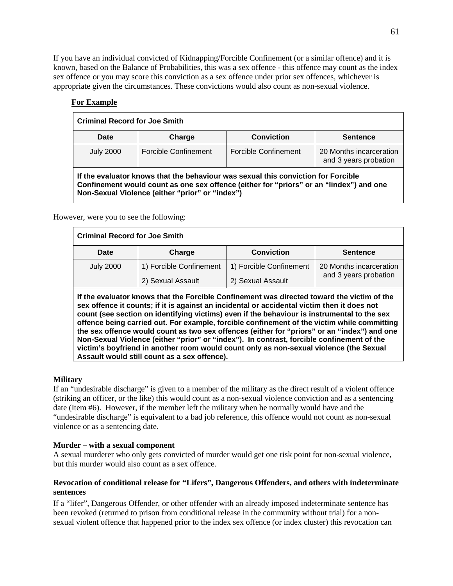If you have an individual convicted of Kidnapping/Forcible Confinement (or a similar offence) and it is known, based on the Balance of Probabilities, this was a sex offence - this offence may count as the index sex offence or you may score this conviction as a sex offence under prior sex offences, whichever is appropriate given the circumstances. These convictions would also count as non-sexual violence.

| <b>Criminal Record for Joe Smith</b>                                                                                                                                                                                            |                      |                      |                                                  |
|---------------------------------------------------------------------------------------------------------------------------------------------------------------------------------------------------------------------------------|----------------------|----------------------|--------------------------------------------------|
| Date                                                                                                                                                                                                                            | Charge               | <b>Conviction</b>    | <b>Sentence</b>                                  |
| <b>July 2000</b>                                                                                                                                                                                                                | Forcible Confinement | Forcible Confinement | 20 Months incarceration<br>and 3 years probation |
| If the evaluator knows that the behaviour was sexual this conviction for Forcible<br>Confinement would count as one sex offence (either for "priors" or an "lindex") and one<br>Non-Sexual Violence (either "prior" or "index") |                      |                      |                                                  |

# **For Example**

However, were you to see the following:

| <b>Criminal Record for Joe Smith</b> |                         |                         |                         |
|--------------------------------------|-------------------------|-------------------------|-------------------------|
| Date                                 | Charge                  | <b>Conviction</b>       | <b>Sentence</b>         |
| <b>July 2000</b>                     | 1) Forcible Confinement | 1) Forcible Confinement | 20 Months incarceration |
|                                      | 2) Sexual Assault       | 2) Sexual Assault       | and 3 years probation   |

**If the evaluator knows that the Forcible Confinement was directed toward the victim of the sex offence it counts; if it is against an incidental or accidental victim then it does not count (see section on identifying victims) even if the behaviour is instrumental to the sex offence being carried out. For example, forcible confinement of the victim while committing the sex offence would count as two sex offences (either for "priors" or an "index") and one Non-Sexual Violence (either "prior" or "index"). In contrast, forcible confinement of the victim's boyfriend in another room would count only as non-sexual violence (the Sexual Assault would still count as a sex offence).**

#### **Military**

If an "undesirable discharge" is given to a member of the military as the direct result of a violent offence (striking an officer, or the like) this would count as a non-sexual violence conviction and as a sentencing date (Item #6). However, if the member left the military when he normally would have and the "undesirable discharge" is equivalent to a bad job reference, this offence would not count as non-sexual violence or as a sentencing date.

#### **Murder – with a sexual component**

A sexual murderer who only gets convicted of murder would get one risk point for non-sexual violence, but this murder would also count as a sex offence.

#### **Revocation of conditional release for "Lifers", Dangerous Offenders, and others with indeterminate sentences**

If a "lifer", Dangerous Offender, or other offender with an already imposed indeterminate sentence has been revoked (returned to prison from conditional release in the community without trial) for a nonsexual violent offence that happened prior to the index sex offence (or index cluster) this revocation can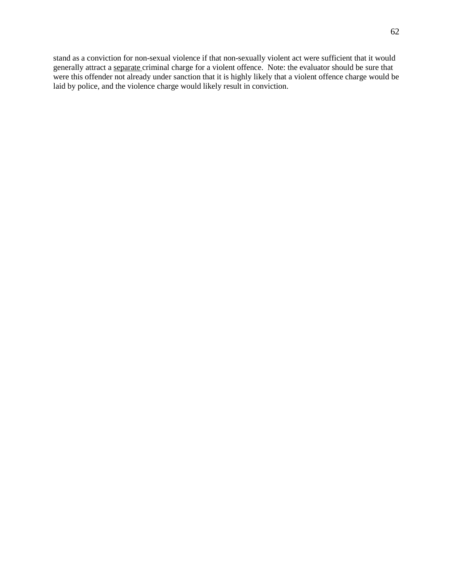stand as a conviction for non-sexual violence if that non-sexually violent act were sufficient that it would generally attract a separate criminal charge for a violent offence. Note: the evaluator should be sure that were this offender not already under sanction that it is highly likely that a violent offence charge would be laid by police, and the violence charge would likely result in conviction.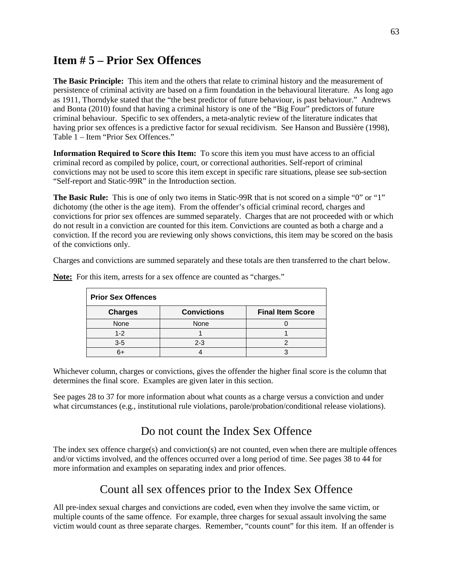# **Item # 5 – Prior Sex Offences**

**The Basic Principle:** This item and the others that relate to criminal history and the measurement of persistence of criminal activity are based on a firm foundation in the behavioural literature. As long ago as 1911, Thorndyke stated that the "the best predictor of future behaviour, is past behaviour." Andrews and Bonta (2010) found that having a criminal history is one of the "Big Four" predictors of future criminal behaviour. Specific to sex offenders, a meta-analytic review of the literature indicates that having prior sex offences is a predictive factor for sexual recidivism. See Hanson and Bussière (1998), Table 1 – Item "Prior Sex Offences."

**Information Required to Score this Item:** To score this item you must have access to an official criminal record as compiled by police, court, or correctional authorities. Self-report of criminal convictions may not be used to score this item except in specific rare situations, please see sub-section "Self-report and Static-99R" in the Introduction section.

**The Basic Rule:** This is one of only two items in Static-99R that is not scored on a simple "0" or "1" dichotomy (the other is the age item). From the offender's official criminal record, charges and convictions for prior sex offences are summed separately. Charges that are not proceeded with or which do not result in a conviction are counted for this item. Convictions are counted as both a charge and a conviction. If the record you are reviewing only shows convictions, this item may be scored on the basis of the convictions only.

Charges and convictions are summed separately and these totals are then transferred to the chart below.

| <b>Prior Sex Offences</b> |                    |                         |  |
|---------------------------|--------------------|-------------------------|--|
| <b>Charges</b>            | <b>Convictions</b> | <b>Final Item Score</b> |  |
| None                      | None               |                         |  |
| $1 - 2$                   |                    |                         |  |
| $3-5$                     | $2 - 3$            |                         |  |
| 6+                        |                    |                         |  |

**Note:** For this item, arrests for a sex offence are counted as "charges."

Whichever column, charges or convictions, gives the offender the higher final score is the column that determines the final score. Examples are given later in this section.

See pages 28 to 37 for more information about what counts as a charge versus a conviction and under what circumstances (e.g., institutional rule violations, parole/probation/conditional release violations).

# Do not count the Index Sex Offence

The index sex offence charge(s) and conviction(s) are not counted, even when there are multiple offences and/or victims involved, and the offences occurred over a long period of time. See pages 38 to 44 for more information and examples on separating index and prior offences.

# Count all sex offences prior to the Index Sex Offence

All pre-index sexual charges and convictions are coded, even when they involve the same victim, or multiple counts of the same offence. For example, three charges for sexual assault involving the same victim would count as three separate charges. Remember, "counts count" for this item. If an offender is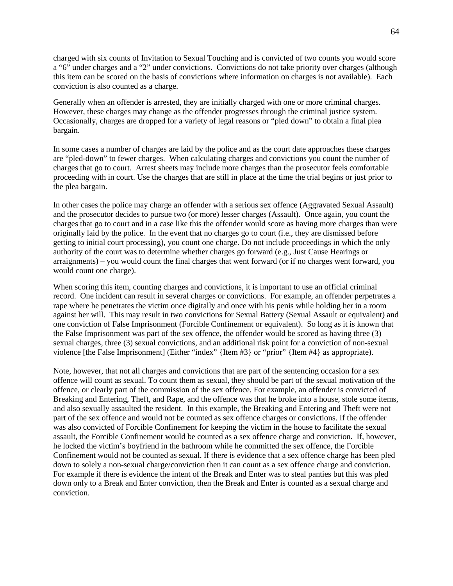charged with six counts of Invitation to Sexual Touching and is convicted of two counts you would score a "6" under charges and a "2" under convictions. Convictions do not take priority over charges (although this item can be scored on the basis of convictions where information on charges is not available). Each conviction is also counted as a charge.

Generally when an offender is arrested, they are initially charged with one or more criminal charges. However, these charges may change as the offender progresses through the criminal justice system. Occasionally, charges are dropped for a variety of legal reasons or "pled down" to obtain a final plea bargain.

In some cases a number of charges are laid by the police and as the court date approaches these charges are "pled-down" to fewer charges. When calculating charges and convictions you count the number of charges that go to court. Arrest sheets may include more charges than the prosecutor feels comfortable proceeding with in court. Use the charges that are still in place at the time the trial begins or just prior to the plea bargain.

In other cases the police may charge an offender with a serious sex offence (Aggravated Sexual Assault) and the prosecutor decides to pursue two (or more) lesser charges (Assault). Once again, you count the charges that go to court and in a case like this the offender would score as having more charges than were originally laid by the police. In the event that no charges go to court (i.e., they are dismissed before getting to initial court processing), you count one charge. Do not include proceedings in which the only authority of the court was to determine whether charges go forward (e.g., Just Cause Hearings or arraignments) – you would count the final charges that went forward (or if no charges went forward, you would count one charge).

When scoring this item, counting charges and convictions, it is important to use an official criminal record. One incident can result in several charges or convictions. For example, an offender perpetrates a rape where he penetrates the victim once digitally and once with his penis while holding her in a room against her will. This may result in two convictions for Sexual Battery (Sexual Assault or equivalent) and one conviction of False Imprisonment (Forcible Confinement or equivalent). So long as it is known that the False Imprisonment was part of the sex offence, the offender would be scored as having three (3) sexual charges, three (3) sexual convictions, and an additional risk point for a conviction of non-sexual violence [the False Imprisonment] (Either "index" {Item #3} or "prior" {Item #4} as appropriate).

Note, however, that not all charges and convictions that are part of the sentencing occasion for a sex offence will count as sexual. To count them as sexual, they should be part of the sexual motivation of the offence, or clearly part of the commission of the sex offence. For example, an offender is convicted of Breaking and Entering, Theft, and Rape, and the offence was that he broke into a house, stole some items, and also sexually assaulted the resident. In this example, the Breaking and Entering and Theft were not part of the sex offence and would not be counted as sex offence charges or convictions. If the offender was also convicted of Forcible Confinement for keeping the victim in the house to facilitate the sexual assault, the Forcible Confinement would be counted as a sex offence charge and conviction. If, however, he locked the victim's boyfriend in the bathroom while he committed the sex offence, the Forcible Confinement would not be counted as sexual. If there is evidence that a sex offence charge has been pled down to solely a non-sexual charge/conviction then it can count as a sex offence charge and conviction. For example if there is evidence the intent of the Break and Enter was to steal panties but this was pled down only to a Break and Enter conviction, then the Break and Enter is counted as a sexual charge and conviction.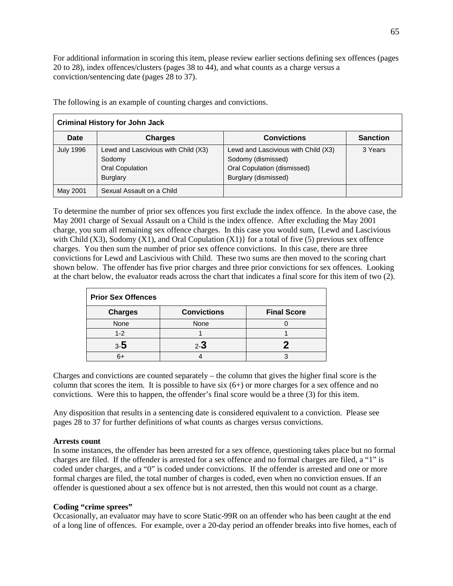For additional information in scoring this item, please review earlier sections defining sex offences (pages 20 to 28), index offences/clusters (pages 38 to 44), and what counts as a charge versus a conviction/sentencing date (pages 28 to 37).

| <b>Criminal History for John Jack</b> |                                                                                     |                                                                                                                  |                 |
|---------------------------------------|-------------------------------------------------------------------------------------|------------------------------------------------------------------------------------------------------------------|-----------------|
| Date                                  | <b>Charges</b>                                                                      | <b>Convictions</b>                                                                                               | <b>Sanction</b> |
| <b>July 1996</b>                      | Lewd and Lascivious with Child (X3)<br>Sodomy<br>Oral Copulation<br><b>Burglary</b> | Lewd and Lascivious with Child (X3)<br>Sodomy (dismissed)<br>Oral Copulation (dismissed)<br>Burglary (dismissed) | 3 Years         |
| May 2001                              | Sexual Assault on a Child                                                           |                                                                                                                  |                 |

The following is an example of counting charges and convictions.

To determine the number of prior sex offences you first exclude the index offence. In the above case, the May 2001 charge of Sexual Assault on a Child is the index offence. After excluding the May 2001 charge, you sum all remaining sex offence charges. In this case you would sum, {Lewd and Lascivious with Child (X3), Sodomy (X1), and Oral Copulation (X1)} for a total of five (5) previous sex offence charges. You then sum the number of prior sex offence convictions. In this case, there are three convictions for Lewd and Lascivious with Child. These two sums are then moved to the scoring chart shown below. The offender has five prior charges and three prior convictions for sex offences. Looking at the chart below, the evaluator reads across the chart that indicates a final score for this item of two (2).

| <b>Prior Sex Offences</b> |                    |                    |  |
|---------------------------|--------------------|--------------------|--|
| <b>Charges</b>            | <b>Convictions</b> | <b>Final Score</b> |  |
| None                      | None               |                    |  |
| $1 - 2$                   |                    |                    |  |
| $3-5$                     | $2 - 3$            |                    |  |
| հ+                        |                    |                    |  |

Charges and convictions are counted separately – the column that gives the higher final score is the column that scores the item. It is possible to have six  $(6+)$  or more charges for a sex offence and no convictions. Were this to happen, the offender's final score would be a three (3) for this item.

Any disposition that results in a sentencing date is considered equivalent to a conviction. Please see pages 28 to 37 for further definitions of what counts as charges versus convictions.

# **Arrests count**

In some instances, the offender has been arrested for a sex offence, questioning takes place but no formal charges are filed. If the offender is arrested for a sex offence and no formal charges are filed, a "1" is coded under charges, and a "0" is coded under convictions. If the offender is arrested and one or more formal charges are filed, the total number of charges is coded, even when no conviction ensues. If an offender is questioned about a sex offence but is not arrested, then this would not count as a charge.

# **Coding "crime sprees"**

Occasionally, an evaluator may have to score Static-99R on an offender who has been caught at the end of a long line of offences. For example, over a 20-day period an offender breaks into five homes, each of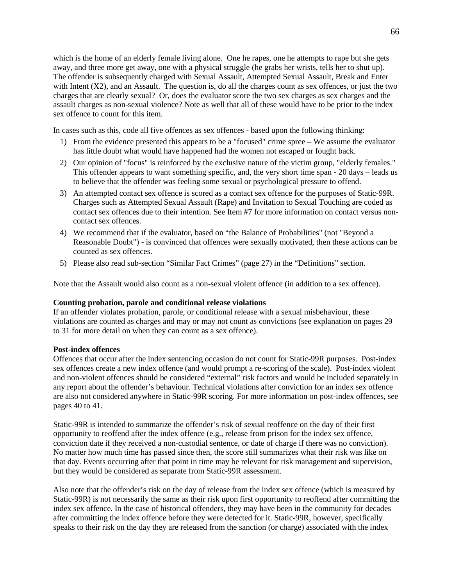which is the home of an elderly female living alone. One he rapes, one he attempts to rape but she gets away, and three more get away, one with a physical struggle (he grabs her wrists, tells her to shut up). The offender is subsequently charged with Sexual Assault, Attempted Sexual Assault, Break and Enter with Intent (X2), and an Assault. The question is, do all the charges count as sex offences, or just the two charges that are clearly sexual? Or, does the evaluator score the two sex charges as sex charges and the assault charges as non-sexual violence? Note as well that all of these would have to be prior to the index sex offence to count for this item.

In cases such as this, code all five offences as sex offences - based upon the following thinking:

- 1) From the evidence presented this appears to be a "focused" crime spree We assume the evaluator has little doubt what would have happened had the women not escaped or fought back.
- 2) Our opinion of "focus" is reinforced by the exclusive nature of the victim group, "elderly females." This offender appears to want something specific, and, the very short time span - 20 days – leads us to believe that the offender was feeling some sexual or psychological pressure to offend.
- 3) An attempted contact sex offence is scored as a contact sex offence for the purposes of Static-99R. Charges such as Attempted Sexual Assault (Rape) and Invitation to Sexual Touching are coded as contact sex offences due to their intention. See Item #7 for more information on contact versus noncontact sex offences.
- 4) We recommend that if the evaluator, based on "the Balance of Probabilities" (not "Beyond a Reasonable Doubt") - is convinced that offences were sexually motivated, then these actions can be counted as sex offences.
- 5) Please also read sub-section "Similar Fact Crimes" (page 27) in the "Definitions" section.

Note that the Assault would also count as a non-sexual violent offence (in addition to a sex offence).

# **Counting probation, parole and conditional release violations**

If an offender violates probation, parole, or conditional release with a sexual misbehaviour, these violations are counted as charges and may or may not count as convictions (see explanation on pages 29 to 31 for more detail on when they can count as a sex offence).

# **Post-index offences**

Offences that occur after the index sentencing occasion do not count for Static-99R purposes. Post-index sex offences create a new index offence (and would prompt a re-scoring of the scale). Post-index violent and non-violent offences should be considered "external" risk factors and would be included separately in any report about the offender's behaviour. Technical violations after conviction for an index sex offence are also not considered anywhere in Static-99R scoring. For more information on post-index offences, see pages 40 to 41.

Static-99R is intended to summarize the offender's risk of sexual reoffence on the day of their first opportunity to reoffend after the index offence (e.g., release from prison for the index sex offence, conviction date if they received a non-custodial sentence, or date of charge if there was no conviction). No matter how much time has passed since then, the score still summarizes what their risk was like on that day. Events occurring after that point in time may be relevant for risk management and supervision, but they would be considered as separate from Static-99R assessment.

Also note that the offender's risk on the day of release from the index sex offence (which is measured by Static-99R) is not necessarily the same as their risk upon first opportunity to reoffend after committing the index sex offence. In the case of historical offenders, they may have been in the community for decades after committing the index offence before they were detected for it. Static-99R, however, specifically speaks to their risk on the day they are released from the sanction (or charge) associated with the index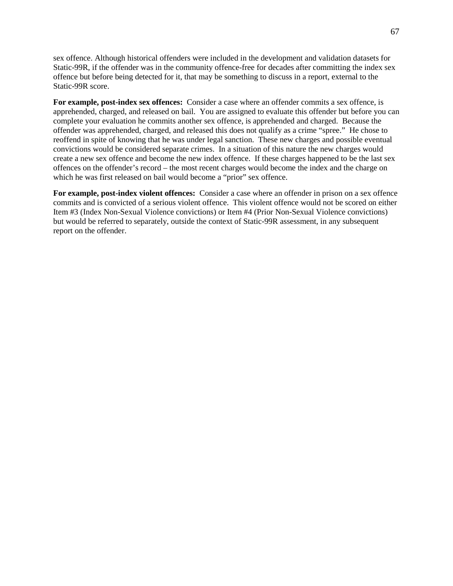sex offence. Although historical offenders were included in the development and validation datasets for Static-99R, if the offender was in the community offence-free for decades after committing the index sex offence but before being detected for it, that may be something to discuss in a report, external to the Static-99R score.

**For example, post-index sex offences:** Consider a case where an offender commits a sex offence, is apprehended, charged, and released on bail. You are assigned to evaluate this offender but before you can complete your evaluation he commits another sex offence, is apprehended and charged. Because the offender was apprehended, charged, and released this does not qualify as a crime "spree." He chose to reoffend in spite of knowing that he was under legal sanction. These new charges and possible eventual convictions would be considered separate crimes. In a situation of this nature the new charges would create a new sex offence and become the new index offence. If these charges happened to be the last sex offences on the offender's record – the most recent charges would become the index and the charge on which he was first released on bail would become a "prior" sex offence.

**For example, post-index violent offences:** Consider a case where an offender in prison on a sex offence commits and is convicted of a serious violent offence. This violent offence would not be scored on either Item #3 (Index Non-Sexual Violence convictions) or Item #4 (Prior Non-Sexual Violence convictions) but would be referred to separately, outside the context of Static-99R assessment, in any subsequent report on the offender.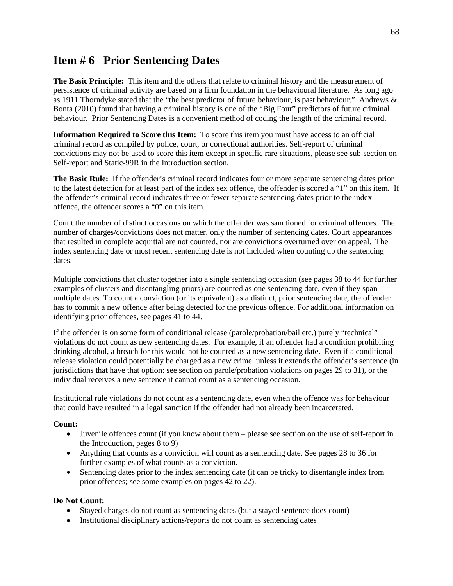# **Item # 6 Prior Sentencing Dates**

**The Basic Principle:** This item and the others that relate to criminal history and the measurement of persistence of criminal activity are based on a firm foundation in the behavioural literature. As long ago as 1911 Thorndyke stated that the "the best predictor of future behaviour, is past behaviour." Andrews & Bonta (2010) found that having a criminal history is one of the "Big Four" predictors of future criminal behaviour. Prior Sentencing Dates is a convenient method of coding the length of the criminal record.

**Information Required to Score this Item:** To score this item you must have access to an official criminal record as compiled by police, court, or correctional authorities. Self-report of criminal convictions may not be used to score this item except in specific rare situations, please see sub-section on Self-report and Static-99R in the Introduction section.

**The Basic Rule:** If the offender's criminal record indicates four or more separate sentencing dates prior to the latest detection for at least part of the index sex offence, the offender is scored a "1" on this item. If the offender's criminal record indicates three or fewer separate sentencing dates prior to the index offence, the offender scores a "0" on this item.

Count the number of distinct occasions on which the offender was sanctioned for criminal offences. The number of charges/convictions does not matter, only the number of sentencing dates. Court appearances that resulted in complete acquittal are not counted, nor are convictions overturned over on appeal. The index sentencing date or most recent sentencing date is not included when counting up the sentencing dates.

Multiple convictions that cluster together into a single sentencing occasion (see pages 38 to 44 for further examples of clusters and disentangling priors) are counted as one sentencing date, even if they span multiple dates. To count a conviction (or its equivalent) as a distinct, prior sentencing date, the offender has to commit a new offence after being detected for the previous offence. For additional information on identifying prior offences, see pages 41 to 44.

If the offender is on some form of conditional release (parole/probation/bail etc.) purely "technical" violations do not count as new sentencing dates. For example, if an offender had a condition prohibiting drinking alcohol, a breach for this would not be counted as a new sentencing date. Even if a conditional release violation could potentially be charged as a new crime, unless it extends the offender's sentence (in jurisdictions that have that option: see section on parole/probation violations on pages 29 to 31), or the individual receives a new sentence it cannot count as a sentencing occasion.

Institutional rule violations do not count as a sentencing date, even when the offence was for behaviour that could have resulted in a legal sanction if the offender had not already been incarcerated.

# **Count:**

- Juvenile offences count (if you know about them please see section on the use of self-report in the Introduction, pages 8 to 9)
- Anything that counts as a conviction will count as a sentencing date. See pages 28 to 36 for further examples of what counts as a conviction.
- Sentencing dates prior to the index sentencing date (it can be tricky to disentangle index from prior offences; see some examples on pages 42 to 22).

# **Do Not Count:**

- Stayed charges do not count as sentencing dates (but a stayed sentence does count)
- Institutional disciplinary actions/reports do not count as sentencing dates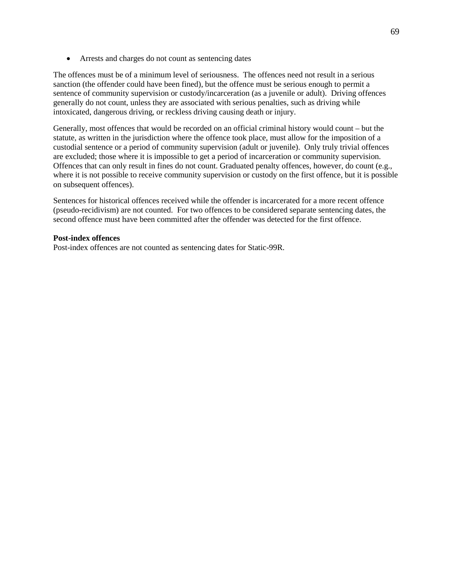• Arrests and charges do not count as sentencing dates

The offences must be of a minimum level of seriousness. The offences need not result in a serious sanction (the offender could have been fined), but the offence must be serious enough to permit a sentence of community supervision or custody/incarceration (as a juvenile or adult). Driving offences generally do not count, unless they are associated with serious penalties, such as driving while intoxicated, dangerous driving, or reckless driving causing death or injury.

Generally, most offences that would be recorded on an official criminal history would count – but the statute, as written in the jurisdiction where the offence took place, must allow for the imposition of a custodial sentence or a period of community supervision (adult or juvenile). Only truly trivial offences are excluded; those where it is impossible to get a period of incarceration or community supervision. Offences that can only result in fines do not count. Graduated penalty offences, however, do count (e.g., where it is not possible to receive community supervision or custody on the first offence, but it is possible on subsequent offences).

Sentences for historical offences received while the offender is incarcerated for a more recent offence (pseudo-recidivism) are not counted. For two offences to be considered separate sentencing dates, the second offence must have been committed after the offender was detected for the first offence.

#### **Post-index offences**

Post-index offences are not counted as sentencing dates for Static-99R.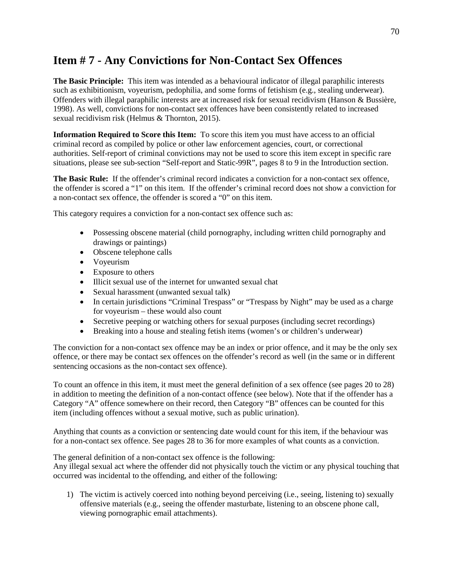# **Item # 7 - Any Convictions for Non-Contact Sex Offences**

**The Basic Principle:** This item was intended as a behavioural indicator of illegal paraphilic interests such as exhibitionism, voyeurism, pedophilia, and some forms of fetishism (e.g., stealing underwear). Offenders with illegal paraphilic interests are at increased risk for sexual recidivism (Hanson & Bussière, 1998). As well, convictions for non-contact sex offences have been consistently related to increased sexual recidivism risk (Helmus & Thornton, 2015).

**Information Required to Score this Item:** To score this item you must have access to an official criminal record as compiled by police or other law enforcement agencies, court, or correctional authorities. Self-report of criminal convictions may not be used to score this item except in specific rare situations, please see sub-section "Self-report and Static-99R", pages 8 to 9 in the Introduction section.

**The Basic Rule:** If the offender's criminal record indicates a conviction for a non-contact sex offence, the offender is scored a "1" on this item. If the offender's criminal record does not show a conviction for a non-contact sex offence, the offender is scored a "0" on this item.

This category requires a conviction for a non-contact sex offence such as:

- Possessing obscene material (child pornography, including written child pornography and drawings or paintings)
- Obscene telephone calls
- Voyeurism
- Exposure to others
- Illicit sexual use of the internet for unwanted sexual chat
- Sexual harassment (unwanted sexual talk)
- In certain jurisdictions "Criminal Trespass" or "Trespass by Night" may be used as a charge for voyeurism – these would also count
- Secretive peeping or watching others for sexual purposes (including secret recordings)
- Breaking into a house and stealing fetish items (women's or children's underwear)

The conviction for a non-contact sex offence may be an index or prior offence, and it may be the only sex offence, or there may be contact sex offences on the offender's record as well (in the same or in different sentencing occasions as the non-contact sex offence).

To count an offence in this item, it must meet the general definition of a sex offence (see pages 20 to 28) in addition to meeting the definition of a non-contact offence (see below). Note that if the offender has a Category "A" offence somewhere on their record, then Category "B" offences can be counted for this item (including offences without a sexual motive, such as public urination).

Anything that counts as a conviction or sentencing date would count for this item, if the behaviour was for a non-contact sex offence. See pages 28 to 36 for more examples of what counts as a conviction.

The general definition of a non-contact sex offence is the following:

Any illegal sexual act where the offender did not physically touch the victim or any physical touching that occurred was incidental to the offending, and either of the following:

1) The victim is actively coerced into nothing beyond perceiving (i.e., seeing, listening to) sexually offensive materials (e.g., seeing the offender masturbate, listening to an obscene phone call, viewing pornographic email attachments).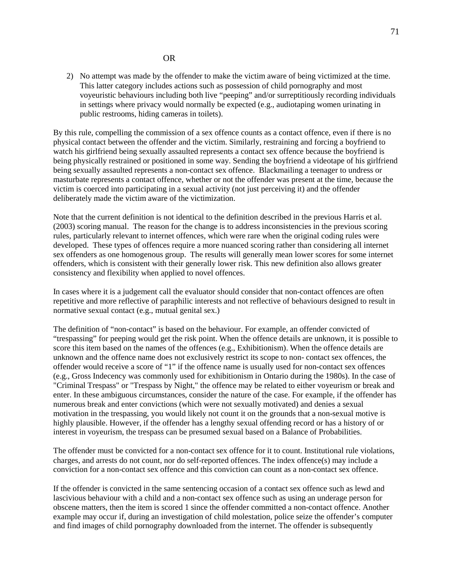#### OR

2) No attempt was made by the offender to make the victim aware of being victimized at the time. This latter category includes actions such as possession of child pornography and most voyeuristic behaviours including both live "peeping" and/or surreptitiously recording individuals in settings where privacy would normally be expected (e.g., audiotaping women urinating in public restrooms, hiding cameras in toilets).

By this rule, compelling the commission of a sex offence counts as a contact offence, even if there is no physical contact between the offender and the victim. Similarly, restraining and forcing a boyfriend to watch his girlfriend being sexually assaulted represents a contact sex offence because the boyfriend is being physically restrained or positioned in some way. Sending the boyfriend a videotape of his girlfriend being sexually assaulted represents a non-contact sex offence. Blackmailing a teenager to undress or masturbate represents a contact offence, whether or not the offender was present at the time, because the victim is coerced into participating in a sexual activity (not just perceiving it) and the offender deliberately made the victim aware of the victimization.

Note that the current definition is not identical to the definition described in the previous Harris et al. (2003) scoring manual. The reason for the change is to address inconsistencies in the previous scoring rules, particularly relevant to internet offences, which were rare when the original coding rules were developed. These types of offences require a more nuanced scoring rather than considering all internet sex offenders as one homogenous group. The results will generally mean lower scores for some internet offenders, which is consistent with their generally lower risk. This new definition also allows greater consistency and flexibility when applied to novel offences.

In cases where it is a judgement call the evaluator should consider that non-contact offences are often repetitive and more reflective of paraphilic interests and not reflective of behaviours designed to result in normative sexual contact (e.g., mutual genital sex.)

The definition of "non-contact" is based on the behaviour. For example, an offender convicted of "trespassing" for peeping would get the risk point. When the offence details are unknown, it is possible to score this item based on the names of the offences (e.g., Exhibitionism). When the offence details are unknown and the offence name does not exclusively restrict its scope to non- contact sex offences, the offender would receive a score of "1" if the offence name is usually used for non-contact sex offences (e.g., Gross Indecency was commonly used for exhibitionism in Ontario during the 1980s). In the case of "Criminal Trespass" or "Trespass by Night," the offence may be related to either voyeurism or break and enter. In these ambiguous circumstances, consider the nature of the case. For example, if the offender has numerous break and enter convictions (which were not sexually motivated) and denies a sexual motivation in the trespassing, you would likely not count it on the grounds that a non-sexual motive is highly plausible. However, if the offender has a lengthy sexual offending record or has a history of or interest in voyeurism, the trespass can be presumed sexual based on a Balance of Probabilities.

The offender must be convicted for a non-contact sex offence for it to count. Institutional rule violations, charges, and arrests do not count, nor do self-reported offences. The index offence(s) may include a conviction for a non-contact sex offence and this conviction can count as a non-contact sex offence.

If the offender is convicted in the same sentencing occasion of a contact sex offence such as lewd and lascivious behaviour with a child and a non-contact sex offence such as using an underage person for obscene matters, then the item is scored 1 since the offender committed a non-contact offence. Another example may occur if, during an investigation of child molestation, police seize the offender's computer and find images of child pornography downloaded from the internet. The offender is subsequently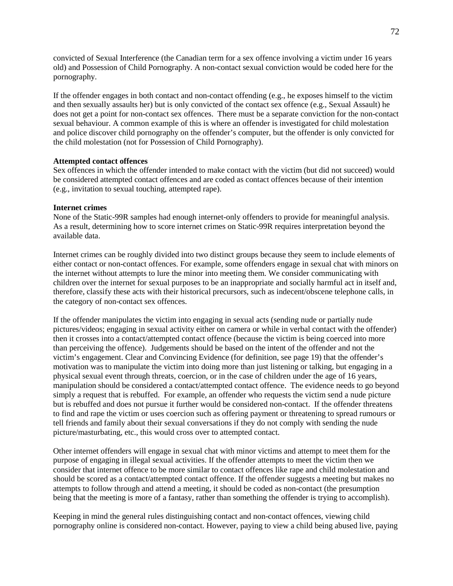convicted of Sexual Interference (the Canadian term for a sex offence involving a victim under 16 years old) and Possession of Child Pornography. A non-contact sexual conviction would be coded here for the pornography.

If the offender engages in both contact and non-contact offending  $(e.g., he exposes himself to the victim)$ and then sexually assaults her) but is only convicted of the contact sex offence (e.g., Sexual Assault) he does not get a point for non-contact sex offences. There must be a separate conviction for the non-contact sexual behaviour. A common example of this is where an offender is investigated for child molestation and police discover child pornography on the offender's computer, but the offender is only convicted for the child molestation (not for Possession of Child Pornography).

#### **Attempted contact offences**

Sex offences in which the offender intended to make contact with the victim (but did not succeed) would be considered attempted contact offences and are coded as contact offences because of their intention (e.g., invitation to sexual touching, attempted rape).

#### **Internet crimes**

None of the Static-99R samples had enough internet-only offenders to provide for meaningful analysis. As a result, determining how to score internet crimes on Static-99R requires interpretation beyond the available data.

Internet crimes can be roughly divided into two distinct groups because they seem to include elements of either contact or non-contact offences. For example, some offenders engage in sexual chat with minors on the internet without attempts to lure the minor into meeting them. We consider communicating with children over the internet for sexual purposes to be an inappropriate and socially harmful act in itself and, therefore, classify these acts with their historical precursors, such as indecent/obscene telephone calls, in the category of non-contact sex offences.

If the offender manipulates the victim into engaging in sexual acts (sending nude or partially nude pictures/videos; engaging in sexual activity either on camera or while in verbal contact with the offender) then it crosses into a contact/attempted contact offence (because the victim is being coerced into more than perceiving the offence). Judgements should be based on the intent of the offender and not the victim's engagement. Clear and Convincing Evidence (for definition, see page 19) that the offender's motivation was to manipulate the victim into doing more than just listening or talking, but engaging in a physical sexual event through threats, coercion, or in the case of children under the age of 16 years, manipulation should be considered a contact/attempted contact offence. The evidence needs to go beyond simply a request that is rebuffed. For example, an offender who requests the victim send a nude picture but is rebuffed and does not pursue it further would be considered non-contact. If the offender threatens to find and rape the victim or uses coercion such as offering payment or threatening to spread rumours or tell friends and family about their sexual conversations if they do not comply with sending the nude picture/masturbating, etc., this would cross over to attempted contact.

Other internet offenders will engage in sexual chat with minor victims and attempt to meet them for the purpose of engaging in illegal sexual activities. If the offender attempts to meet the victim then we consider that internet offence to be more similar to contact offences like rape and child molestation and should be scored as a contact/attempted contact offence. If the offender suggests a meeting but makes no attempts to follow through and attend a meeting, it should be coded as non-contact (the presumption being that the meeting is more of a fantasy, rather than something the offender is trying to accomplish).

Keeping in mind the general rules distinguishing contact and non-contact offences, viewing child pornography online is considered non-contact. However, paying to view a child being abused live, paying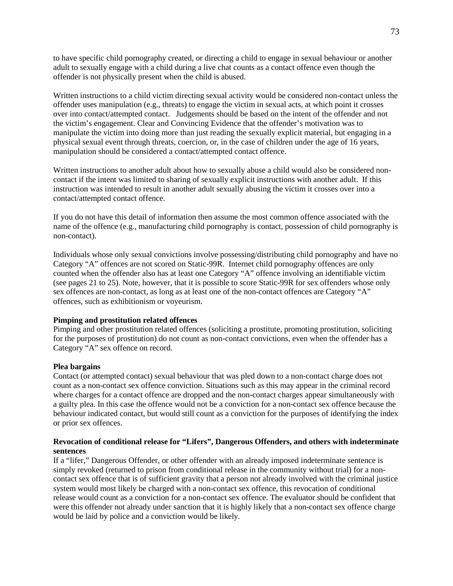to have specific child pornography created, or directing a child to engage in sexual behaviour or another adult to sexually engage with a child during a live chat counts as a contact offence even though the offender is not physically present when the child is abused.

Written instructions to a child victim directing sexual activity would be considered non-contact unless the offender uses manipulation (e.g., threats) to engage the victim in sexual acts, at which point it crosses over into contact/attempted contact. Judgements should be based on the intent of the offender and not the victim's engagement. Clear and Convincing Evidence that the offender's motivation was to manipulate the victim into doing more than just reading the sexually explicit material, but engaging in a physical sexual event through threats, coercion, or, in the case of children under the age of 16 years, manipulation should be considered a contact/attempted contact offence.

Written instructions to another adult about how to sexually abuse a child would also be considered noncontact if the intent was limited to sharing of sexually explicit instructions with another adult. If this instruction was intended to result in another adult sexually abusing the victim it crosses over into a contact/attempted contact offence.

If you do not have this detail of information then assume the most common offence associated with the name of the offence (e.g., manufacturing child pornography is contact, possession of child pornography is non-contact).

Individuals whose only sexual convictions involve possessing/distributing child pornography and have no Category "A" offences are not scored on Static-99R. Internet child pornography offences are only counted when the offender also has at least one Category "A" offence involving an identifiable victim (see pages 21 to 25). Note, however, that it is possible to score Static-99R for sex offenders whose only sex offences are non-contact, as long as at least one of the non-contact offences are Category "A" offences, such as exhibitionism or voyeurism.

#### **Pimping and prostitution related offences**

Pimping and other prostitution related offences (soliciting a prostitute, promoting prostitution, soliciting for the purposes of prostitution) do not count as non-contact convictions, even when the offender has a Category "A" sex offence on record.

#### **Plea bargains**

Contact (or attempted contact) sexual behaviour that was pled down to a non-contact charge does not count as a non-contact sex offence conviction. Situations such as this may appear in the criminal record where charges for a contact offence are dropped and the non-contact charges appear simultaneously with a guilty plea. In this case the offence would not be a conviction for a non-contact sex offence because the behaviour indicated contact, but would still count as a conviction for the purposes of identifying the index or prior sex offences.

#### **Revocation of conditional release for "Lifers", Dangerous Offenders, and others with indeterminate sentences**

If a "lifer," Dangerous Offender, or other offender with an already imposed indeterminate sentence is simply revoked (returned to prison from conditional release in the community without trial) for a noncontact sex offence that is of sufficient gravity that a person not already involved with the criminal justice system would most likely be charged with a non-contact sex offence, this revocation of conditional release would count as a conviction for a non-contact sex offence. The evaluator should be confident that were this offender not already under sanction that it is highly likely that a non-contact sex offence charge would be laid by police and a conviction would be likely.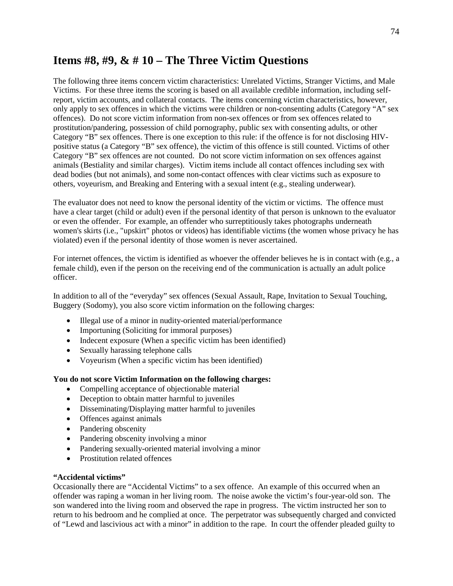## **Items #8, #9, & # 10 – The Three Victim Questions**

The following three items concern victim characteristics: Unrelated Victims, Stranger Victims, and Male Victims. For these three items the scoring is based on all available credible information, including selfreport, victim accounts, and collateral contacts. The items concerning victim characteristics, however, only apply to sex offences in which the victims were children or non-consenting adults (Category "A" sex offences). Do not score victim information from non-sex offences or from sex offences related to prostitution/pandering, possession of child pornography, public sex with consenting adults, or other Category "B" sex offences. There is one exception to this rule: if the offence is for not disclosing HIVpositive status (a Category "B" sex offence), the victim of this offence is still counted. Victims of other Category "B" sex offences are not counted. Do not score victim information on sex offences against animals (Bestiality and similar charges). Victim items include all contact offences including sex with dead bodies (but not animals), and some non-contact offences with clear victims such as exposure to others, voyeurism, and Breaking and Entering with a sexual intent (e.g., stealing underwear).

The evaluator does not need to know the personal identity of the victim or victims. The offence must have a clear target (child or adult) even if the personal identity of that person is unknown to the evaluator or even the offender. For example, an offender who surreptitiously takes photographs underneath women's skirts (i.e., "upskirt" photos or videos) has identifiable victims (the women whose privacy he has violated) even if the personal identity of those women is never ascertained.

For internet offences, the victim is identified as whoever the offender believes he is in contact with (e.g., a female child), even if the person on the receiving end of the communication is actually an adult police officer.

In addition to all of the "everyday" sex offences (Sexual Assault, Rape, Invitation to Sexual Touching, Buggery (Sodomy), you also score victim information on the following charges:

- Illegal use of a minor in nudity-oriented material/performance
- Importuning (Soliciting for immoral purposes)
- Indecent exposure (When a specific victim has been identified)
- Sexually harassing telephone calls
- Voyeurism (When a specific victim has been identified)

#### **You do not score Victim Information on the following charges:**

- Compelling acceptance of objectionable material
- Deception to obtain matter harmful to juveniles
- Disseminating/Displaying matter harmful to juveniles
- Offences against animals
- Pandering obscenity
- Pandering obscenity involving a minor
- Pandering sexually-oriented material involving a minor
- Prostitution related offences

#### **"Accidental victims"**

Occasionally there are "Accidental Victims" to a sex offence. An example of this occurred when an offender was raping a woman in her living room. The noise awoke the victim's four-year-old son. The son wandered into the living room and observed the rape in progress. The victim instructed her son to return to his bedroom and he complied at once. The perpetrator was subsequently charged and convicted of "Lewd and lascivious act with a minor" in addition to the rape. In court the offender pleaded guilty to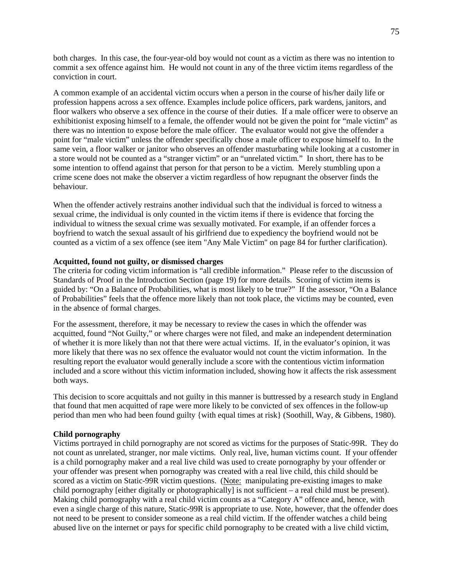both charges. In this case, the four-year-old boy would not count as a victim as there was no intention to commit a sex offence against him. He would not count in any of the three victim items regardless of the conviction in court.

A common example of an accidental victim occurs when a person in the course of his/her daily life or profession happens across a sex offence. Examples include police officers, park wardens, janitors, and floor walkers who observe a sex offence in the course of their duties. If a male officer were to observe an exhibitionist exposing himself to a female, the offender would not be given the point for "male victim" as there was no intention to expose before the male officer. The evaluator would not give the offender a point for "male victim" unless the offender specifically chose a male officer to expose himself to. In the same vein, a floor walker or janitor who observes an offender masturbating while looking at a customer in a store would not be counted as a "stranger victim" or an "unrelated victim." In short, there has to be some intention to offend against that person for that person to be a victim. Merely stumbling upon a crime scene does not make the observer a victim regardless of how repugnant the observer finds the behaviour.

When the offender actively restrains another individual such that the individual is forced to witness a sexual crime, the individual is only counted in the victim items if there is evidence that forcing the individual to witness the sexual crime was sexually motivated. For example, if an offender forces a boyfriend to watch the sexual assault of his girlfriend due to expediency the boyfriend would not be counted as a victim of a sex offence (see item "Any Male Victim" on page 84 for further clarification).

#### **Acquitted, found not guilty, or dismissed charges**

The criteria for coding victim information is "all credible information." Please refer to the discussion of Standards of Proof in the Introduction Section (page 19) for more details. Scoring of victim items is guided by: "On a Balance of Probabilities, what is most likely to be true?" If the assessor, "On a Balance of Probabilities" feels that the offence more likely than not took place, the victims may be counted, even in the absence of formal charges.

For the assessment, therefore, it may be necessary to review the cases in which the offender was acquitted, found "Not Guilty," or where charges were not filed, and make an independent determination of whether it is more likely than not that there were actual victims. If, in the evaluator's opinion, it was more likely that there was no sex offence the evaluator would not count the victim information. In the resulting report the evaluator would generally include a score with the contentious victim information included and a score without this victim information included, showing how it affects the risk assessment both ways.

This decision to score acquittals and not guilty in this manner is buttressed by a research study in England that found that men acquitted of rape were more likely to be convicted of sex offences in the follow-up period than men who had been found guilty {with equal times at risk} (Soothill, Way, & Gibbens, 1980).

#### **Child pornography**

Victims portrayed in child pornography are not scored as victims for the purposes of Static-99R. They do not count as unrelated, stranger, nor male victims. Only real, live, human victims count. If your offender is a child pornography maker and a real live child was used to create pornography by your offender or your offender was present when pornography was created with a real live child, this child should be scored as a victim on Static-99R victim questions. (Note: manipulating pre-existing images to make child pornography [either digitally or photographically] is not sufficient – a real child must be present). Making child pornography with a real child victim counts as a "Category A" offence and, hence, with even a single charge of this nature, Static-99R is appropriate to use. Note, however, that the offender does not need to be present to consider someone as a real child victim. If the offender watches a child being abused live on the internet or pays for specific child pornography to be created with a live child victim,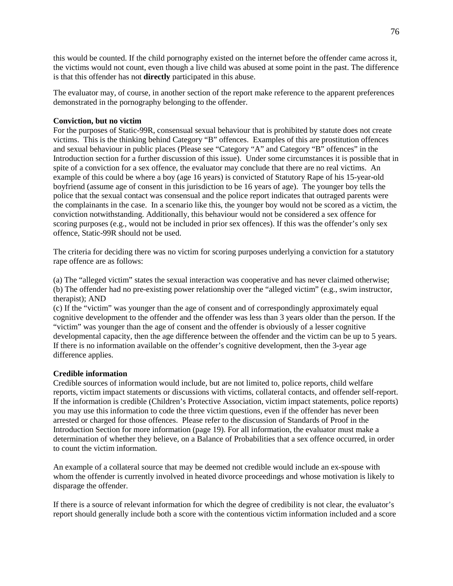this would be counted. If the child pornography existed on the internet before the offender came across it, the victims would not count, even though a live child was abused at some point in the past. The difference is that this offender has not **directly** participated in this abuse.

The evaluator may, of course, in another section of the report make reference to the apparent preferences demonstrated in the pornography belonging to the offender.

#### **Conviction, but no victim**

For the purposes of Static-99R, consensual sexual behaviour that is prohibited by statute does not create victims. This is the thinking behind Category "B" offences. Examples of this are prostitution offences and sexual behaviour in public places (Please see "Category "A" and Category "B" offences" in the Introduction section for a further discussion of this issue). Under some circumstances it is possible that in spite of a conviction for a sex offence, the evaluator may conclude that there are no real victims. An example of this could be where a boy (age 16 years) is convicted of Statutory Rape of his 15-year-old boyfriend (assume age of consent in this jurisdiction to be 16 years of age). The younger boy tells the police that the sexual contact was consensual and the police report indicates that outraged parents were the complainants in the case. In a scenario like this, the younger boy would not be scored as a victim, the conviction notwithstanding. Additionally, this behaviour would not be considered a sex offence for scoring purposes (e.g., would not be included in prior sex offences). If this was the offender's only sex offence, Static-99R should not be used.

The criteria for deciding there was no victim for scoring purposes underlying a conviction for a statutory rape offence are as follows:

(a) The "alleged victim" states the sexual interaction was cooperative and has never claimed otherwise; (b) The offender had no pre-existing power relationship over the "alleged victim" (e.g., swim instructor, therapist); AND

(c) If the "victim" was younger than the age of consent and of correspondingly approximately equal cognitive development to the offender and the offender was less than 3 years older than the person. If the "victim" was younger than the age of consent and the offender is obviously of a lesser cognitive developmental capacity, then the age difference between the offender and the victim can be up to 5 years. If there is no information available on the offender's cognitive development, then the 3-year age difference applies.

#### **Credible information**

Credible sources of information would include, but are not limited to, police reports, child welfare reports, victim impact statements or discussions with victims, collateral contacts, and offender self-report. If the information is credible (Children's Protective Association, victim impact statements, police reports) you may use this information to code the three victim questions, even if the offender has never been arrested or charged for those offences. Please refer to the discussion of Standards of Proof in the Introduction Section for more information (page 19). For all information, the evaluator must make a determination of whether they believe, on a Balance of Probabilities that a sex offence occurred, in order to count the victim information.

An example of a collateral source that may be deemed not credible would include an ex-spouse with whom the offender is currently involved in heated divorce proceedings and whose motivation is likely to disparage the offender.

If there is a source of relevant information for which the degree of credibility is not clear, the evaluator's report should generally include both a score with the contentious victim information included and a score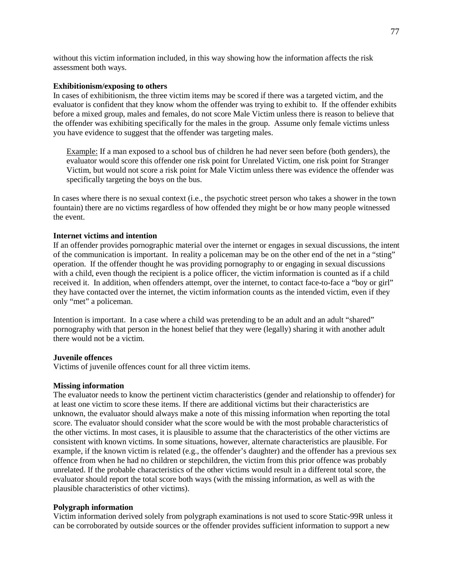without this victim information included, in this way showing how the information affects the risk assessment both ways.

#### **Exhibitionism/exposing to others**

In cases of exhibitionism, the three victim items may be scored if there was a targeted victim, and the evaluator is confident that they know whom the offender was trying to exhibit to. If the offender exhibits before a mixed group, males and females, do not score Male Victim unless there is reason to believe that the offender was exhibiting specifically for the males in the group. Assume only female victims unless you have evidence to suggest that the offender was targeting males.

Example: If a man exposed to a school bus of children he had never seen before (both genders), the evaluator would score this offender one risk point for Unrelated Victim, one risk point for Stranger Victim, but would not score a risk point for Male Victim unless there was evidence the offender was specifically targeting the boys on the bus.

In cases where there is no sexual context (i.e., the psychotic street person who takes a shower in the town fountain) there are no victims regardless of how offended they might be or how many people witnessed the event.

#### **Internet victims and intention**

If an offender provides pornographic material over the internet or engages in sexual discussions, the intent of the communication is important. In reality a policeman may be on the other end of the net in a "sting" operation. If the offender thought he was providing pornography to or engaging in sexual discussions with a child, even though the recipient is a police officer, the victim information is counted as if a child received it. In addition, when offenders attempt, over the internet, to contact face-to-face a "boy or girl" they have contacted over the internet, the victim information counts as the intended victim, even if they only "met" a policeman.

Intention is important. In a case where a child was pretending to be an adult and an adult "shared" pornography with that person in the honest belief that they were (legally) sharing it with another adult there would not be a victim.

#### **Juvenile offences**

Victims of juvenile offences count for all three victim items.

#### **Missing information**

The evaluator needs to know the pertinent victim characteristics (gender and relationship to offender) for at least one victim to score these items. If there are additional victims but their characteristics are unknown, the evaluator should always make a note of this missing information when reporting the total score. The evaluator should consider what the score would be with the most probable characteristics of the other victims. In most cases, it is plausible to assume that the characteristics of the other victims are consistent with known victims. In some situations, however, alternate characteristics are plausible. For example, if the known victim is related (e.g., the offender's daughter) and the offender has a previous sex offence from when he had no children or stepchildren, the victim from this prior offence was probably unrelated. If the probable characteristics of the other victims would result in a different total score, the evaluator should report the total score both ways (with the missing information, as well as with the plausible characteristics of other victims).

#### **Polygraph information**

Victim information derived solely from polygraph examinations is not used to score Static-99R unless it can be corroborated by outside sources or the offender provides sufficient information to support a new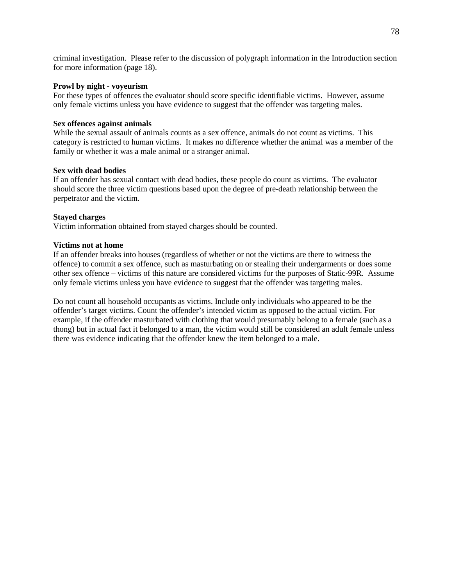criminal investigation. Please refer to the discussion of polygraph information in the Introduction section for more information (page 18).

#### **Prowl by night - voyeurism**

For these types of offences the evaluator should score specific identifiable victims. However, assume only female victims unless you have evidence to suggest that the offender was targeting males.

#### **Sex offences against animals**

While the sexual assault of animals counts as a sex offence, animals do not count as victims. This category is restricted to human victims. It makes no difference whether the animal was a member of the family or whether it was a male animal or a stranger animal.

#### **Sex with dead bodies**

If an offender has sexual contact with dead bodies, these people do count as victims. The evaluator should score the three victim questions based upon the degree of pre-death relationship between the perpetrator and the victim.

#### **Stayed charges**

Victim information obtained from stayed charges should be counted.

#### **Victims not at home**

If an offender breaks into houses (regardless of whether or not the victims are there to witness the offence) to commit a sex offence, such as masturbating on or stealing their undergarments or does some other sex offence – victims of this nature are considered victims for the purposes of Static-99R. Assume only female victims unless you have evidence to suggest that the offender was targeting males.

Do not count all household occupants as victims. Include only individuals who appeared to be the offender's target victims. Count the offender's intended victim as opposed to the actual victim. For example, if the offender masturbated with clothing that would presumably belong to a female (such as a thong) but in actual fact it belonged to a man, the victim would still be considered an adult female unless there was evidence indicating that the offender knew the item belonged to a male.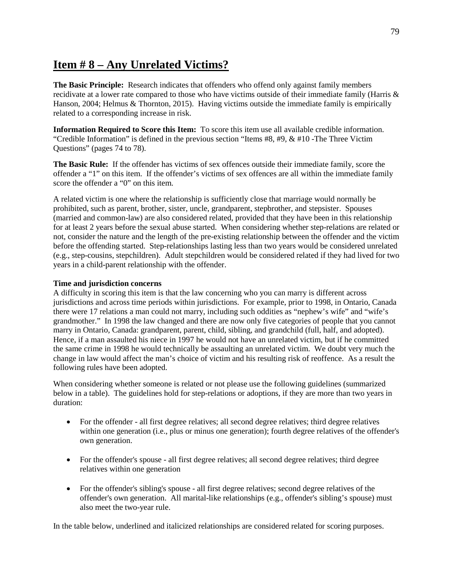## **Item # 8 – Any Unrelated Victims?**

**The Basic Principle:** Research indicates that offenders who offend only against family members recidivate at a lower rate compared to those who have victims outside of their immediate family (Harris & Hanson, 2004; Helmus & Thornton, 2015). Having victims outside the immediate family is empirically related to a corresponding increase in risk.

**Information Required to Score this Item:** To score this item use all available credible information. "Credible Information" is defined in the previous section "Items  $\#8, \#9, \& \#10$ -The Three Victim Questions" (pages 74 to 78).

**The Basic Rule:** If the offender has victims of sex offences outside their immediate family, score the offender a "1" on this item. If the offender's victims of sex offences are all within the immediate family score the offender a "0" on this item.

A related victim is one where the relationship is sufficiently close that marriage would normally be prohibited, such as parent, brother, sister, uncle, grandparent, stepbrother, and stepsister. Spouses (married and common-law) are also considered related, provided that they have been in this relationship for at least 2 years before the sexual abuse started. When considering whether step-relations are related or not, consider the nature and the length of the pre-existing relationship between the offender and the victim before the offending started. Step-relationships lasting less than two years would be considered unrelated (e.g., step-cousins, stepchildren). Adult stepchildren would be considered related if they had lived for two years in a child-parent relationship with the offender.

#### **Time and jurisdiction concerns**

A difficulty in scoring this item is that the law concerning who you can marry is different across jurisdictions and across time periods within jurisdictions. For example, prior to 1998, in Ontario, Canada there were 17 relations a man could not marry, including such oddities as "nephew's wife" and "wife's grandmother." In 1998 the law changed and there are now only five categories of people that you cannot marry in Ontario, Canada: grandparent, parent, child, sibling, and grandchild (full, half, and adopted). Hence, if a man assaulted his niece in 1997 he would not have an unrelated victim, but if he committed the same crime in 1998 he would technically be assaulting an unrelated victim. We doubt very much the change in law would affect the man's choice of victim and his resulting risk of reoffence. As a result the following rules have been adopted.

When considering whether someone is related or not please use the following guidelines (summarized below in a table). The guidelines hold for step-relations or adoptions, if they are more than two years in duration:

- For the offender all first degree relatives; all second degree relatives; third degree relatives within one generation (i.e., plus or minus one generation); fourth degree relatives of the offender's own generation.
- For the offender's spouse all first degree relatives; all second degree relatives; third degree relatives within one generation
- For the offender's sibling's spouse all first degree relatives; second degree relatives of the offender's own generation. All marital-like relationships (e.g., offender's sibling's spouse) must also meet the two-year rule.

In the table below, underlined and italicized relationships are considered related for scoring purposes.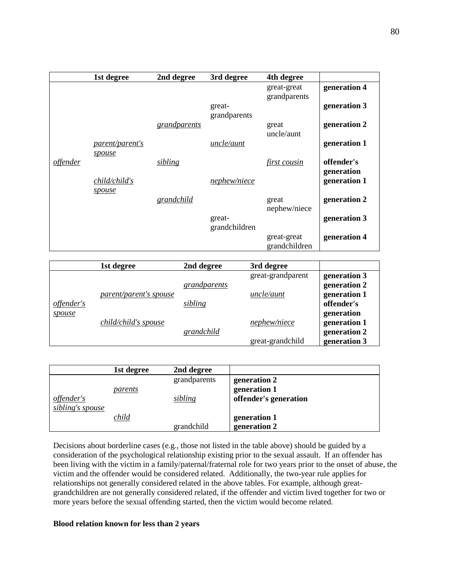|                 | 1st degree                     | 2nd degree          | 3rd degree              | 4th degree                   |                          |
|-----------------|--------------------------------|---------------------|-------------------------|------------------------------|--------------------------|
|                 |                                |                     |                         | great-great<br>grandparents  | generation 4             |
|                 |                                |                     | great-<br>grandparents  |                              | generation 3             |
|                 |                                | <i>grandparents</i> |                         | great<br>uncle/aunt          | generation 2             |
|                 | parent/parent's<br>spouse      |                     | uncle/aunt              |                              | generation 1             |
| <i>offender</i> |                                | sibling             |                         | first cousin                 | offender's<br>generation |
|                 | child/child's<br><u>spouse</u> |                     | nephew/niece            |                              | generation 1             |
|                 |                                | grandchild          |                         | great<br>nephew/niece        | generation 2             |
|                 |                                |                     | great-<br>grandchildren |                              | generation 3             |
|                 |                                |                     |                         | great-great<br>grandchildren | generation 4             |

|            | 1st degree             | 2nd degree   | 3rd degree        |              |
|------------|------------------------|--------------|-------------------|--------------|
|            |                        |              | great-grandparent | generation 3 |
|            |                        | grandparents |                   | generation 2 |
|            | parent/parent's spouse |              | uncle/aunt        | generation 1 |
| offender's |                        | sibling      |                   | offender's   |
| spouse     |                        |              |                   | generation   |
|            | child/child's spouse   |              | nephew/niece      | generation 1 |
|            |                        | grandchild   |                   | generation 2 |
|            |                        |              | great-grandchild  | generation 3 |

|                                | 1st degree | 2nd degree              |                                                       |
|--------------------------------|------------|-------------------------|-------------------------------------------------------|
| offender's<br>sibling's spouse | parents    | grandparents<br>sibling | generation 2<br>generation 1<br>offender's generation |
|                                | child      | grandchild              | generation 1<br>generation 2                          |

Decisions about borderline cases (e.g., those not listed in the table above) should be guided by a consideration of the psychological relationship existing prior to the sexual assault. If an offender has been living with the victim in a family/paternal/fraternal role for two years prior to the onset of abuse, the victim and the offender would be considered related. Additionally, the two-year rule applies for relationships not generally considered related in the above tables. For example, although greatgrandchildren are not generally considered related, if the offender and victim lived together for two or more years before the sexual offending started, then the victim would become related.

#### **Blood relation known for less than 2 years**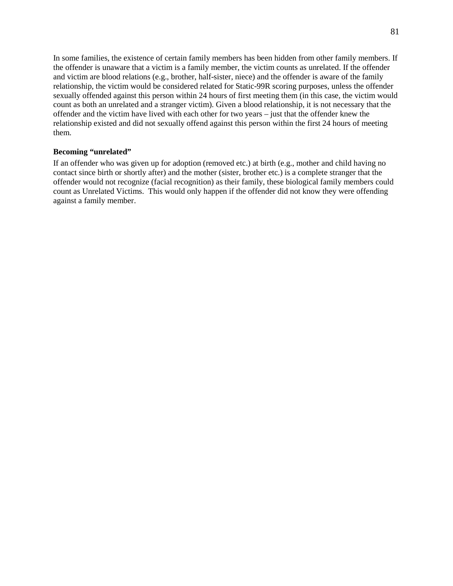In some families, the existence of certain family members has been hidden from other family members. If the offender is unaware that a victim is a family member, the victim counts as unrelated. If the offender and victim are blood relations (e.g., brother, half-sister, niece) and the offender is aware of the family relationship, the victim would be considered related for Static-99R scoring purposes, unless the offender sexually offended against this person within 24 hours of first meeting them (in this case, the victim would count as both an unrelated and a stranger victim). Given a blood relationship, it is not necessary that the offender and the victim have lived with each other for two years – just that the offender knew the relationship existed and did not sexually offend against this person within the first 24 hours of meeting them.

#### **Becoming "unrelated"**

If an offender who was given up for adoption (removed etc.) at birth (e.g., mother and child having no contact since birth or shortly after) and the mother (sister, brother etc.) is a complete stranger that the offender would not recognize (facial recognition) as their family, these biological family members could count as Unrelated Victims. This would only happen if the offender did not know they were offending against a family member.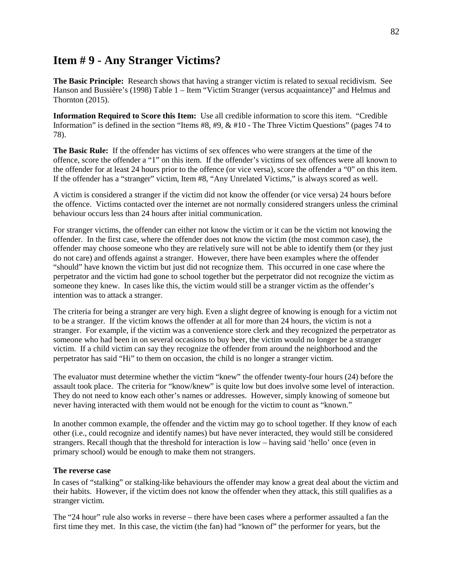## **Item # 9 - Any Stranger Victims?**

**The Basic Principle:** Research shows that having a stranger victim is related to sexual recidivism. See Hanson and Bussière's (1998) Table 1 – Item "Victim Stranger (versus acquaintance)" and Helmus and Thornton (2015).

**Information Required to Score this Item:** Use all credible information to score this item. "Credible Information" is defined in the section "Items #8, #9, & #10 - The Three Victim Questions" (pages 74 to 78).

**The Basic Rule:** If the offender has victims of sex offences who were strangers at the time of the offence, score the offender a "1" on this item. If the offender's victims of sex offences were all known to the offender for at least 24 hours prior to the offence (or vice versa), score the offender a "0" on this item. If the offender has a "stranger" victim, Item #8, "Any Unrelated Victims," is always scored as well.

A victim is considered a stranger if the victim did not know the offender (or vice versa) 24 hours before the offence. Victims contacted over the internet are not normally considered strangers unless the criminal behaviour occurs less than 24 hours after initial communication.

For stranger victims, the offender can either not know the victim or it can be the victim not knowing the offender. In the first case, where the offender does not know the victim (the most common case), the offender may choose someone who they are relatively sure will not be able to identify them (or they just do not care) and offends against a stranger. However, there have been examples where the offender "should" have known the victim but just did not recognize them. This occurred in one case where the perpetrator and the victim had gone to school together but the perpetrator did not recognize the victim as someone they knew. In cases like this, the victim would still be a stranger victim as the offender's intention was to attack a stranger.

The criteria for being a stranger are very high. Even a slight degree of knowing is enough for a victim not to be a stranger. If the victim knows the offender at all for more than 24 hours, the victim is not a stranger. For example, if the victim was a convenience store clerk and they recognized the perpetrator as someone who had been in on several occasions to buy beer, the victim would no longer be a stranger victim. If a child victim can say they recognize the offender from around the neighborhood and the perpetrator has said "Hi" to them on occasion, the child is no longer a stranger victim.

The evaluator must determine whether the victim "knew" the offender twenty-four hours (24) before the assault took place. The criteria for "know/knew" is quite low but does involve some level of interaction. They do not need to know each other's names or addresses. However, simply knowing of someone but never having interacted with them would not be enough for the victim to count as "known."

In another common example, the offender and the victim may go to school together. If they know of each other (i.e., could recognize and identify names) but have never interacted, they would still be considered strangers. Recall though that the threshold for interaction is low – having said 'hello' once (even in primary school) would be enough to make them not strangers.

#### **The reverse case**

In cases of "stalking" or stalking-like behaviours the offender may know a great deal about the victim and their habits. However, if the victim does not know the offender when they attack, this still qualifies as a stranger victim.

The "24 hour" rule also works in reverse – there have been cases where a performer assaulted a fan the first time they met. In this case, the victim (the fan) had "known of" the performer for years, but the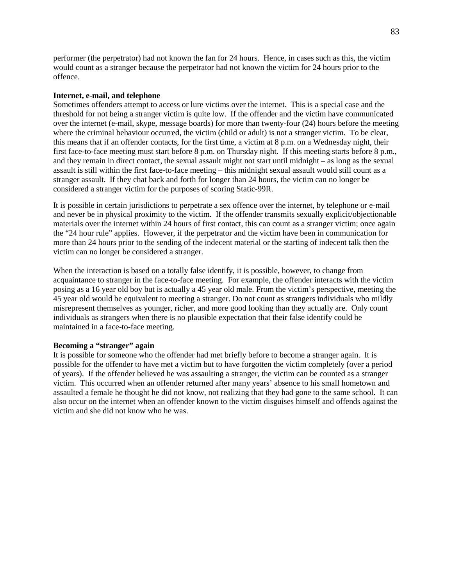performer (the perpetrator) had not known the fan for 24 hours. Hence, in cases such as this, the victim would count as a stranger because the perpetrator had not known the victim for 24 hours prior to the offence.

#### **Internet, e-mail, and telephone**

Sometimes offenders attempt to access or lure victims over the internet. This is a special case and the threshold for not being a stranger victim is quite low. If the offender and the victim have communicated over the internet (e-mail, skype, message boards) for more than twenty-four (24) hours before the meeting where the criminal behaviour occurred, the victim (child or adult) is not a stranger victim. To be clear, this means that if an offender contacts, for the first time, a victim at 8 p.m. on a Wednesday night, their first face-to-face meeting must start before 8 p.m. on Thursday night. If this meeting starts before 8 p.m., and they remain in direct contact, the sexual assault might not start until midnight – as long as the sexual assault is still within the first face-to-face meeting – this midnight sexual assault would still count as a stranger assault. If they chat back and forth for longer than 24 hours, the victim can no longer be considered a stranger victim for the purposes of scoring Static-99R.

It is possible in certain jurisdictions to perpetrate a sex offence over the internet, by telephone or e-mail and never be in physical proximity to the victim. If the offender transmits sexually explicit/objectionable materials over the internet within 24 hours of first contact, this can count as a stranger victim; once again the "24 hour rule" applies. However, if the perpetrator and the victim have been in communication for more than 24 hours prior to the sending of the indecent material or the starting of indecent talk then the victim can no longer be considered a stranger.

When the interaction is based on a totally false identify, it is possible, however, to change from acquaintance to stranger in the face-to-face meeting. For example, the offender interacts with the victim posing as a 16 year old boy but is actually a 45 year old male. From the victim's perspective, meeting the 45 year old would be equivalent to meeting a stranger. Do not count as strangers individuals who mildly misrepresent themselves as younger, richer, and more good looking than they actually are. Only count individuals as strangers when there is no plausible expectation that their false identify could be maintained in a face-to-face meeting.

#### **Becoming a "stranger" again**

It is possible for someone who the offender had met briefly before to become a stranger again. It is possible for the offender to have met a victim but to have forgotten the victim completely (over a period of years). If the offender believed he was assaulting a stranger, the victim can be counted as a stranger victim. This occurred when an offender returned after many years' absence to his small hometown and assaulted a female he thought he did not know, not realizing that they had gone to the same school. It can also occur on the internet when an offender known to the victim disguises himself and offends against the victim and she did not know who he was.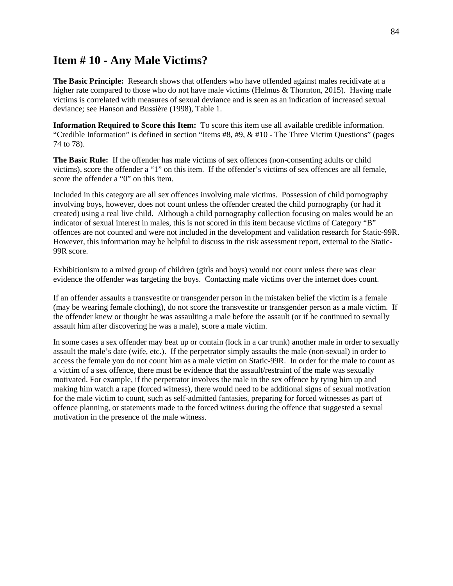### **Item # 10 - Any Male Victims?**

**The Basic Principle:** Research shows that offenders who have offended against males recidivate at a higher rate compared to those who do not have male victims (Helmus & Thornton, 2015). Having male victims is correlated with measures of sexual deviance and is seen as an indication of increased sexual deviance; see Hanson and Bussière (1998), Table 1.

**Information Required to Score this Item:** To score this item use all available credible information. "Credible Information" is defined in section "Items #8, #9, & #10 - The Three Victim Questions" (pages 74 to 78).

**The Basic Rule:** If the offender has male victims of sex offences (non-consenting adults or child victims), score the offender a "1" on this item. If the offender's victims of sex offences are all female, score the offender a "0" on this item.

Included in this category are all sex offences involving male victims. Possession of child pornography involving boys, however, does not count unless the offender created the child pornography (or had it created) using a real live child. Although a child pornography collection focusing on males would be an indicator of sexual interest in males, this is not scored in this item because victims of Category "B" offences are not counted and were not included in the development and validation research for Static-99R. However, this information may be helpful to discuss in the risk assessment report, external to the Static-99R score.

Exhibitionism to a mixed group of children (girls and boys) would not count unless there was clear evidence the offender was targeting the boys. Contacting male victims over the internet does count.

If an offender assaults a transvestite or transgender person in the mistaken belief the victim is a female (may be wearing female clothing), do not score the transvestite or transgender person as a male victim. If the offender knew or thought he was assaulting a male before the assault (or if he continued to sexually assault him after discovering he was a male), score a male victim.

In some cases a sex offender may beat up or contain (lock in a car trunk) another male in order to sexually assault the male's date (wife, etc.). If the perpetrator simply assaults the male (non-sexual) in order to access the female you do not count him as a male victim on Static-99R. In order for the male to count as a victim of a sex offence, there must be evidence that the assault/restraint of the male was sexually motivated. For example, if the perpetrator involves the male in the sex offence by tying him up and making him watch a rape (forced witness), there would need to be additional signs of sexual motivation for the male victim to count, such as self-admitted fantasies, preparing for forced witnesses as part of offence planning, or statements made to the forced witness during the offence that suggested a sexual motivation in the presence of the male witness.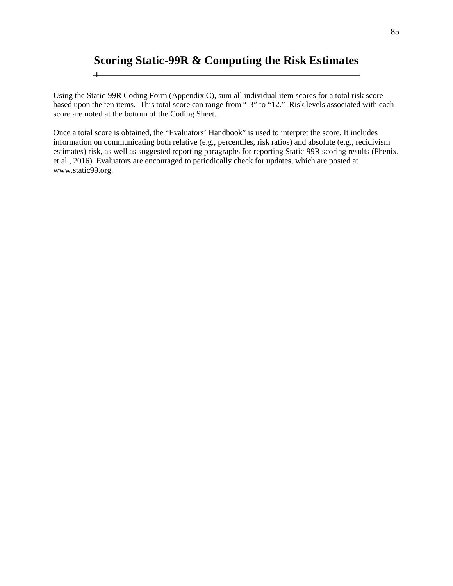## **Scoring Static-99R & Computing the Risk Estimates**

 $\overline{+}$ 

Using the Static-99R Coding Form (Appendix C), sum all individual item scores for a total risk score based upon the ten items. This total score can range from "-3" to "12." Risk levels associated with each score are noted at the bottom of the Coding Sheet.

Once a total score is obtained, the "Evaluators' Handbook" is used to interpret the score. It includes information on communicating both relative (e.g., percentiles, risk ratios) and absolute (e.g., recidivism estimates) risk, as well as suggested reporting paragraphs for reporting Static-99R scoring results (Phenix, et al., 2016). Evaluators are encouraged to periodically check for updates, which are posted at www.static99.org.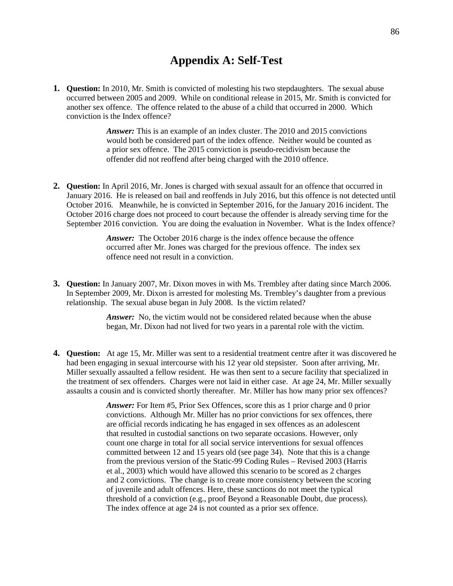## **Appendix A: Self-Test**

**1. Question:** In 2010, Mr. Smith is convicted of molesting his two stepdaughters. The sexual abuse occurred between 2005 and 2009. While on conditional release in 2015, Mr. Smith is convicted for another sex offence. The offence related to the abuse of a child that occurred in 2000. Which conviction is the Index offence?

> *Answer:* This is an example of an index cluster. The 2010 and 2015 convictions would both be considered part of the index offence. Neither would be counted as a prior sex offence. The 2015 conviction is pseudo-recidivism because the offender did not reoffend after being charged with the 2010 offence.

**2. Question:** In April 2016, Mr. Jones is charged with sexual assault for an offence that occurred in January 2016. He is released on bail and reoffends in July 2016, but this offence is not detected until October 2016. Meanwhile, he is convicted in September 2016, for the January 2016 incident. The October 2016 charge does not proceed to court because the offender is already serving time for the September 2016 conviction. You are doing the evaluation in November. What is the Index offence?

> *Answer:* The October 2016 charge is the index offence because the offence occurred after Mr. Jones was charged for the previous offence. The index sex offence need not result in a conviction.

**3. Question:** In January 2007, Mr. Dixon moves in with Ms. Trembley after dating since March 2006. In September 2009, Mr. Dixon is arrested for molesting Ms. Trembley's daughter from a previous relationship. The sexual abuse began in July 2008. Is the victim related?

> *Answer:* No, the victim would not be considered related because when the abuse began, Mr. Dixon had not lived for two years in a parental role with the victim.

**4. Question:** At age 15, Mr. Miller was sent to a residential treatment centre after it was discovered he had been engaging in sexual intercourse with his 12 year old stepsister. Soon after arriving, Mr. Miller sexually assaulted a fellow resident. He was then sent to a secure facility that specialized in the treatment of sex offenders. Charges were not laid in either case. At age 24, Mr. Miller sexually assaults a cousin and is convicted shortly thereafter. Mr. Miller has how many prior sex offences?

> *Answer:* For Item #5, Prior Sex Offences, score this as 1 prior charge and 0 prior convictions. Although Mr. Miller has no prior convictions for sex offences, there are official records indicating he has engaged in sex offences as an adolescent that resulted in custodial sanctions on two separate occasions. However, only count one charge in total for all social service interventions for sexual offences committed between 12 and 15 years old (see page 34). Note that this is a change from the previous version of the Static-99 Coding Rules – Revised 2003 (Harris et al., 2003) which would have allowed this scenario to be scored as 2 charges and 2 convictions. The change is to create more consistency between the scoring of juvenile and adult offences. Here, these sanctions do not meet the typical threshold of a conviction (e.g., proof Beyond a Reasonable Doubt, due process). The index offence at age 24 is not counted as a prior sex offence.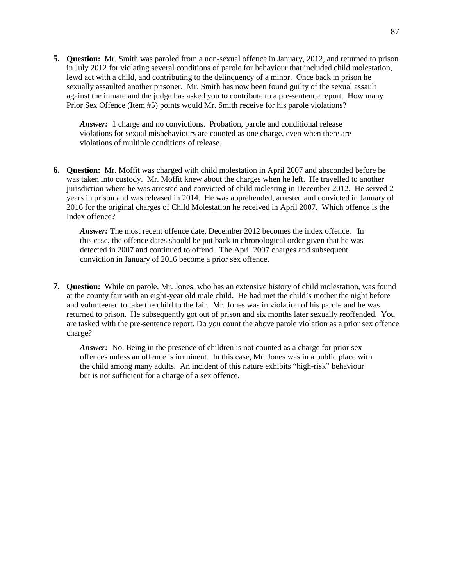**5. Question:** Mr. Smith was paroled from a non-sexual offence in January, 2012, and returned to prison in July 2012 for violating several conditions of parole for behaviour that included child molestation, lewd act with a child, and contributing to the delinquency of a minor. Once back in prison he sexually assaulted another prisoner. Mr. Smith has now been found guilty of the sexual assault against the inmate and the judge has asked you to contribute to a pre-sentence report. How many Prior Sex Offence (Item #5) points would Mr. Smith receive for his parole violations?

*Answer:* 1 charge and no convictions. Probation, parole and conditional release violations for sexual misbehaviours are counted as one charge, even when there are violations of multiple conditions of release.

**6. Question:** Mr. Moffit was charged with child molestation in April 2007 and absconded before he was taken into custody. Mr. Moffit knew about the charges when he left. He travelled to another jurisdiction where he was arrested and convicted of child molesting in December 2012. He served 2 years in prison and was released in 2014. He was apprehended, arrested and convicted in January of 2016 for the original charges of Child Molestation he received in April 2007. Which offence is the Index offence?

*Answer:* The most recent offence date, December 2012 becomes the index offence. In this case, the offence dates should be put back in chronological order given that he was detected in 2007 and continued to offend. The April 2007 charges and subsequent conviction in January of 2016 become a prior sex offence.

**7. Question:** While on parole, Mr. Jones, who has an extensive history of child molestation, was found at the county fair with an eight-year old male child. He had met the child's mother the night before and volunteered to take the child to the fair. Mr. Jones was in violation of his parole and he was returned to prison. He subsequently got out of prison and six months later sexually reoffended. You are tasked with the pre-sentence report. Do you count the above parole violation as a prior sex offence charge?

*Answer:* No. Being in the presence of children is not counted as a charge for prior sex offences unless an offence is imminent. In this case, Mr. Jones was in a public place with the child among many adults. An incident of this nature exhibits "high-risk" behaviour but is not sufficient for a charge of a sex offence.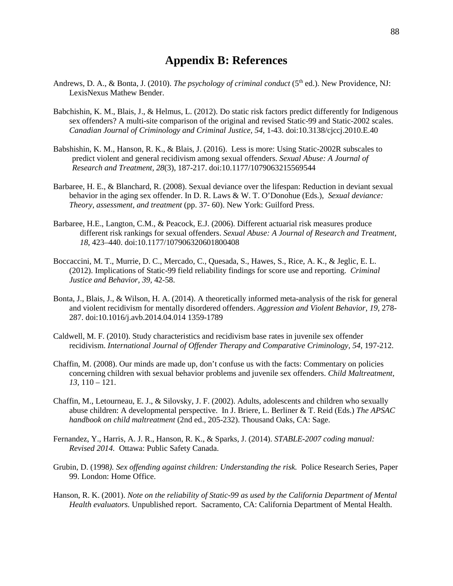### **Appendix B: References**

- Andrews, D. A., & Bonta, J. (2010). *The psychology of criminal conduct* (5th ed.). New Providence, NJ: LexisNexus Mathew Bender.
- Babchishin, K. M., Blais, J., & Helmus, L. (2012). Do static risk factors predict differently for Indigenous sex offenders? A multi-site comparison of the original and revised Static-99 and Static-2002 scales. *Canadian Journal of Criminology and Criminal Justice, 54*, 1-43. doi:10.3138/cjccj.2010.E.40
- Babshishin, K. M., Hanson, R. K., & Blais, J. (2016). Less is more: Using Static-2002R subscales to predict violent and general recidivism among sexual offenders. *Sexual Abuse: A Journal of Research and Treatment, 28*(3), 187-217. doi:10.1177/1079063215569544
- Barbaree, H. E., & Blanchard, R. (2008). Sexual deviance over the lifespan: Reduction in deviant sexual behavior in the aging sex offender. In D. R. Laws & W. T. O'Donohue (Eds.), *Sexual deviance: Theory, assessment, and treatment* (pp. 37- 60). New York: Guilford Press.
- Barbaree, H.E., Langton, C.M., & Peacock, E.J. (2006). Different actuarial risk measures produce different risk rankings for sexual offenders. *Sexual Abuse: A Journal of Research and Treatment, 18*, 423–440. doi:10.1177/107906320601800408
- Boccaccini, M. T., Murrie, D. C., Mercado, C., Quesada, S., Hawes, S., Rice, A. K., & Jeglic, E. L. (2012). Implications of Static-99 field reliability findings for score use and reporting. *Criminal Justice and Behavior, 39,* 42-58.
- Bonta, J., Blais, J., & Wilson, H. A. (2014). A theoretically informed meta-analysis of the risk for general and violent recidivism for mentally disordered offenders. *Aggression and Violent Behavior, 19*, 278- 287. doi:10.1016/j.avb.2014.04.014 1359-1789
- Caldwell, M. F. (2010). Study characteristics and recidivism base rates in juvenile sex offender recidivism. *International Journal of Offender Therapy and Comparative Criminology, 54*, 197-212.
- Chaffin, M. (2008). Our minds are made up, don't confuse us with the facts: Commentary on policies concerning children with sexual behavior problems and juvenile sex offenders. *Child Maltreatment, 13,* 110 – 121.
- Chaffin, M., Letourneau, E. J., & Silovsky, J. F. (2002). Adults, adolescents and children who sexually abuse children: A developmental perspective. In J. Briere, L. Berliner & T. Reid (Eds.) *The APSAC handbook on child maltreatment* (2nd ed., 205-232). Thousand Oaks, CA: Sage.
- Fernandez, Y., Harris, A. J. R., Hanson, R. K., & Sparks, J. (2014). *STABLE-2007 coding manual: Revised 2014.* Ottawa: Public Safety Canada.
- Grubin, D. (1998*). Sex offending against children: Understanding the risk.* Police Research Series, Paper 99. London: Home Office.
- Hanson, R. K. (2001). *Note on the reliability of Static-99 as used by the California Department of Mental Health evaluators.* Unpublished report. Sacramento, CA: California Department of Mental Health.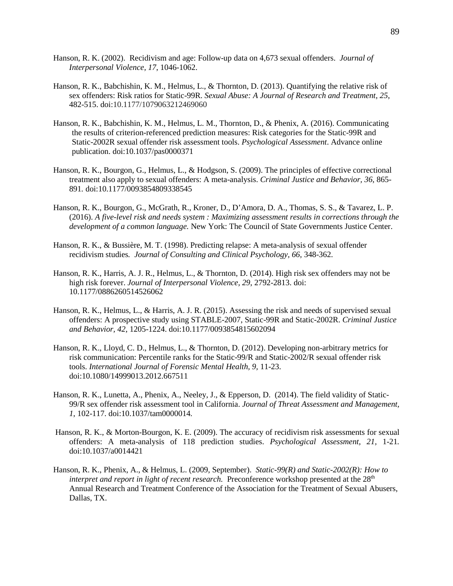- Hanson, R. K. (2002). Recidivism and age: Follow-up data on 4,673 sexual offenders. *Journal of Interpersonal Violence, 17*, 1046-1062.
- Hanson, R. K., Babchishin, K. M., Helmus, L., & Thornton, D. (2013). Quantifying the relative risk of sex offenders: Risk ratios for Static-99R. *Sexual Abuse: A Journal of Research and Treatment*, *25*, 482-515. doi:10.1177/1079063212469060
- Hanson, R. K., Babchishin, K. M., Helmus, L. M., Thornton, D., & Phenix, A. (2016). Communicating the results of criterion-referenced prediction measures: Risk categories for the Static-99R and Static-2002R sexual offender risk assessment tools. *Psychological Assessment*. Advance online publication. doi:10.1037/pas0000371
- Hanson, R. K., Bourgon, G., Helmus, L., & Hodgson, S. (2009). The principles of effective correctional treatment also apply to sexual offenders: A meta-analysis. *Criminal Justice and Behavior, 36*, 865- 891*.* doi:10.1177/0093854809338545
- Hanson, R. K., Bourgon, G., McGrath, R., Kroner, D., D'Amora, D. A., Thomas, S. S., & Tavarez, L. P. (2016). *A five-level risk and needs system : Maximizing assessment results in corrections through the development of a common language.* New York: The Council of State Governments Justice Center.
- Hanson, R. K., & Bussière, M. T. (1998). Predicting relapse: A meta-analysis of sexual offender recidivism studies*. Journal of Consulting and Clinical Psychology, 66,* 348-362.
- Hanson, R. K., Harris, A. J. R., Helmus, L., & Thornton, D. (2014). High risk sex offenders may not be high risk forever. *Journal of Interpersonal Violence, 29*, 2792-2813. doi: 10.1177/0886260514526062
- Hanson, R. K., Helmus, L., & Harris, A. J. R. (2015). Assessing the risk and needs of supervised sexual offenders: A prospective study using STABLE-2007, Static-99R and Static-2002R. *Criminal Justice and Behavior, 42*, 1205-1224. doi:10.1177/0093854815602094
- Hanson, R. K., Lloyd, C. D., Helmus, L., & Thornton, D. (2012). Developing non-arbitrary metrics for risk communication: Percentile ranks for the Static-99/R and Static-2002/R sexual offender risk tools. *International Journal of Forensic Mental Health, 9,* 11-23. doi:10.1080/14999013.2012.667511
- Hanson, R. K., Lunetta, A., Phenix, A., Neeley, J., & Epperson, D. (2014). The field validity of Static-99/R sex offender risk assessment tool in California. *Journal of Threat Assessment and Management, 1*, 102-117. doi:10.1037/tam0000014*.*
- Hanson, R. K., & Morton-Bourgon, K. E. (2009). The accuracy of recidivism risk assessments for sexual offenders: A meta-analysis of 118 prediction studies. *Psychological Assessment, 21,* 1-21*.*  doi:10.1037/a0014421
- Hanson, R. K., Phenix, A., & Helmus, L. (2009, September). *Static-99(R) and Static-2002(R): How to interpret and report in light of recent research.* Preconference workshop presented at the 28<sup>th</sup> Annual Research and Treatment Conference of the Association for the Treatment of Sexual Abusers, Dallas, TX.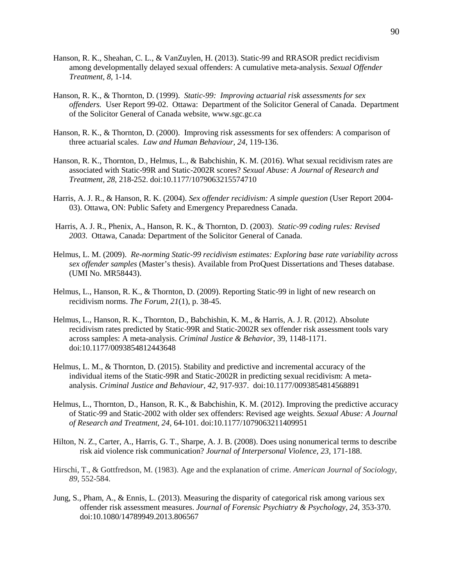- Hanson, R. K., Sheahan, C. L., & VanZuylen, H. (2013). Static-99 and RRASOR predict recidivism among developmentally delayed sexual offenders: A cumulative meta-analysis. *Sexual Offender Treatment, 8,* 1-14.
- Hanson, R. K., & Thornton, D. (1999). *Static-99: Improving actuarial risk assessments for sex offenders.* User Report 99-02. Ottawa: Department of the Solicitor General of Canada. Department of the Solicitor General of Canada website, www.sgc.gc.ca
- Hanson, R. K., & Thornton, D. (2000). Improving risk assessments for sex offenders: A comparison of three actuarial scales. *Law and Human Behaviour, 24*, 119-136.
- Hanson, R. K., Thornton, D., Helmus, L., & Babchishin, K. M. (2016). What sexual recidivism rates are associated with Static-99R and Static-2002R scores? *Sexual Abuse: A Journal of Research and Treatment, 28,* 218-252. doi:10.1177/1079063215574710
- Harris, A. J. R., & Hanson, R. K. (2004). *Sex offender recidivism: A simple question* (User Report 2004- 03). Ottawa, ON: Public Safety and Emergency Preparedness Canada.
- Harris, A. J. R., Phenix, A., Hanson, R. K., & Thornton, D. (2003). *Static-99 coding rules: Revised 2003*. Ottawa, Canada: Department of the Solicitor General of Canada.
- Helmus, L. M. (2009). *Re-norming Static-99 recidivism estimates: Exploring base rate variability across sex offender samples* (Master's thesis). Available from ProQuest Dissertations and Theses database. (UMI No. MR58443).
- Helmus, L., Hanson, R. K., & Thornton, D. (2009). Reporting Static-99 in light of new research on recidivism norms. *The Forum, 21*(1), p. 38-45.
- Helmus, L., Hanson, R. K., Thornton, D., Babchishin, K. M., & Harris, A. J. R. (2012). Absolute recidivism rates predicted by Static-99R and Static-2002R sex offender risk assessment tools vary across samples: A meta-analysis. *Criminal Justice & Behavior*, 39, 1148-1171. doi:10.1177/0093854812443648
- Helmus, L. M., & Thornton, D. (2015). Stability and predictive and incremental accuracy of the individual items of the Static-99R and Static-2002R in predicting sexual recidivism: A metaanalysis. *Criminal Justice and Behaviour, 42,* 917-937. doi:10.1177/0093854814568891
- Helmus, L., Thornton, D., Hanson, R. K., & Babchishin, K. M. (2012). Improving the predictive accuracy of Static-99 and Static-2002 with older sex offenders: Revised age weights. *Sexual Abuse: A Journal of Research and Treatment, 24,* 64-101. doi:10.1177/1079063211409951
- Hilton, N. Z., Carter, A., Harris, G. T., Sharpe, A. J. B. (2008). Does using nonumerical terms to describe risk aid violence risk communication? *Journal of Interpersonal Violence, 23,* 171-188.
- Hirschi, T., & Gottfredson, M. (1983). Age and the explanation of crime. *American Journal of Sociology*, *89,* 552-584.
- Jung, S., Pham, A., & Ennis, L. (2013). Measuring the disparity of categorical risk among various sex offender risk assessment measures. *Journal of Forensic Psychiatry & Psychology*, *24*, 353-370. doi:10.1080/14789949.2013.806567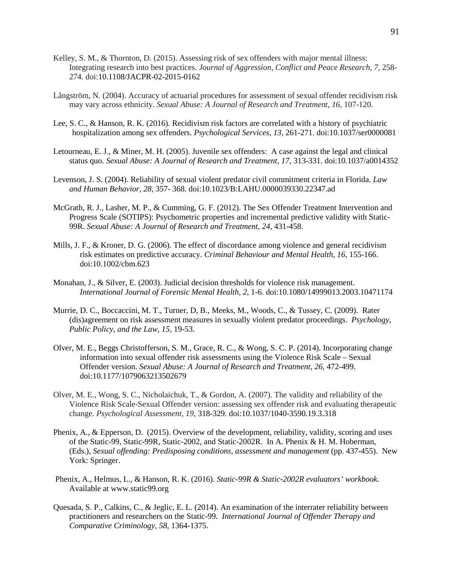- Kelley, S. M., & Thornton, D. (2015). Assessing risk of sex offenders with major mental illness: Integrating research into best practices. *Journal of Aggression, Conflict and Peace Research, 7*, 258- 274. doi:10.1108/JACPR-02-2015-0162
- Långström, N. (2004). Accuracy of actuarial procedures for assessment of sexual offender recidivism risk may vary across ethnicity. *Sexual Abuse: A Journal of Research and Treatment*, *16*, 107-120.
- Lee, S. C., & Hanson, R. K. (2016). Recidivism risk factors are correlated with a history of psychiatric hospitalization among sex offenders. *Psychological Services, 13,* 261-271. doi:10.1037/ser0000081
- Letourneau, E. J., & Miner, M. H. (2005). Juvenile sex offenders: A case against the legal and clinical status quo. *Sexual Abuse: A Journal of Research and Treatment, 17,* 313-331. doi:10.1037/a0014352
- Levenson, J. S. (2004). Reliability of sexual violent predator civil commitment criteria in Florida. *Law and Human Behavior, 28,* 357- 368. doi:10.1023/B:LAHU.0000039330.22347.ad
- McGrath, R. J., Lasher, M. P., & Cumming, G. F. (2012). The Sex Offender Treatment Intervention and Progress Scale (SOTIPS): Psychometric properties and incremental predictive validity with Static-99R. *Sexual Abuse: A Journal of Research and Treatment, 24,* 431-458.
- Mills, J. F., & Kroner, D. G. (2006). The effect of discordance among violence and general recidivism risk estimates on predictive accuracy. *Criminal Behaviour and Mental Health, 16*, 155-166. doi:10.1002/cbm.623
- Monahan, J., & Silver, E. (2003). Judicial decision thresholds for violence risk management. *International Journal of Forensic Mental Health, 2,* 1-6. doi:10.1080/14999013.2003.10471174
- Murrie, D. C., Boccaccini, M. T., Turner, D, B., Meeks, M., Woods, C., & Tussey, C. (2009). Rater (dis)agreement on risk assessment measures in sexually violent predator proceedings. *Psychology, Public Policy, and the Law, 15,* 19-53.
- Olver, M. E., Beggs Christofferson, S. M., Grace, R. C., & Wong, S. C. P. (2014). Incorporating change information into sexual offender risk assessments using the Violence Risk Scale – Sexual Offender version. *Sexual Abuse: A Journal of Research and Treatment, 26,* 472-499. doi:10.1177/1079063213502679
- Olver, M. E., Wong, S. C., Nicholaichuk, T., & Gordon, A. (2007). The validity and reliability of the Violence Risk Scale-Sexual Offender version: assessing sex offender risk and evaluating therapeutic change. *Psychological Assessment*, *19*, 318-329. doi:10.1037/1040-3590.19.3.318
- Phenix, A., & Epperson, D. (2015). Overview of the development, reliability, validity, scoring and uses of the Static-99, Static-99R, Static-2002, and Static-2002R. In A. Phenix & H. M. Hoberman, (Eds.), *Sexual offending: Predisposing conditions, assessment and management* (pp. 437-455). New York: Springer.
- Phenix, A., Helmus, L., & Hanson, R. K. (2016). *Static-99R & Static-2002R evaluators' workbook*. Available at www.static99.org
- Quesada, S. P., Calkins, C., & Jeglic, E. L. (2014). An examination of the interrater reliability between practitioners and researchers on the Static-99. *International Journal of Offender Therapy and Comparative Criminology, 58,* 1364-1375.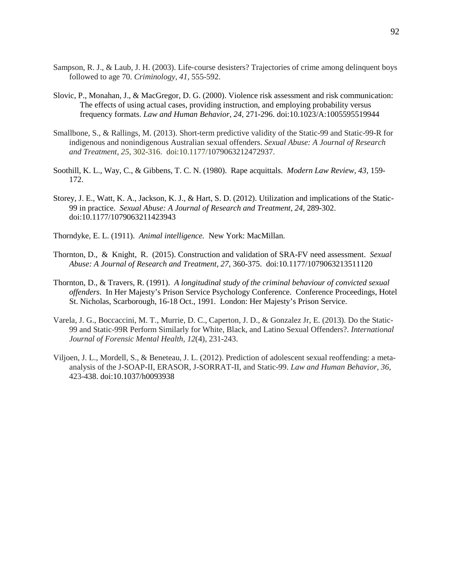- Sampson, R. J., & Laub, J. H. (2003). Life-course desisters? Trajectories of crime among delinquent boys followed to age 70. *Criminology*, *41*, 555-592.
- Slovic, P., Monahan, J., & MacGregor, D. G. (2000). Violence risk assessment and risk communication: The effects of using actual cases, providing instruction, and employing probability versus frequency formats. *Law and Human Behavior, 24*, 271-296. doi:10.1023/A:1005595519944
- Smallbone, S., & Rallings, M. (2013). Short-term predictive validity of the Static-99 and Static-99-R for indigenous and nonindigenous Australian sexual offenders. *Sexual Abuse: A Journal of Research and Treatment*, *25*, 302-316. doi:10.1177/1079063212472937.
- Soothill, K. L., Way, C., & Gibbens, T. C. N. (1980). Rape acquittals. *Modern Law Review, 43,* 159- 172.
- Storey, J. E., Watt, K. A., Jackson, K. J., & Hart, S. D. (2012). Utilization and implications of the Static-99 in practice. *Sexual Abuse: A Journal of Research and Treatment, 24,* 289-302. doi:10.1177/1079063211423943
- Thorndyke, E. L. (1911). *Animal intelligence.* New York: MacMillan.
- Thornton, D., & Knight, R. (2015). Construction and validation of SRA-FV need assessment. *Sexual Abuse: A Journal of Research and Treatment, 27,* 360-375. doi:10.1177/1079063213511120
- Thornton, D., & Travers, R. (1991). *A longitudinal study of the criminal behaviour of convicted sexual offenders*. In Her Majesty's Prison Service Psychology Conference. Conference Proceedings, Hotel St. Nicholas, Scarborough, 16-18 Oct., 1991. London: Her Majesty's Prison Service.
- Varela, J. G., Boccaccini, M. T., Murrie, D. C., Caperton, J. D., & Gonzalez Jr, E. (2013). Do the Static-99 and Static-99R Perform Similarly for White, Black, and Latino Sexual Offenders?. *International Journal of Forensic Mental Health*, *12*(4), 231-243.
- Viljoen, J. L., Mordell, S., & Beneteau, J. L. (2012). Prediction of adolescent sexual reoffending: a metaanalysis of the J-SOAP-II, ERASOR, J-SORRAT-II, and Static-99. *Law and Human Behavior*, *36*, 423-438. doi:10.1037/h0093938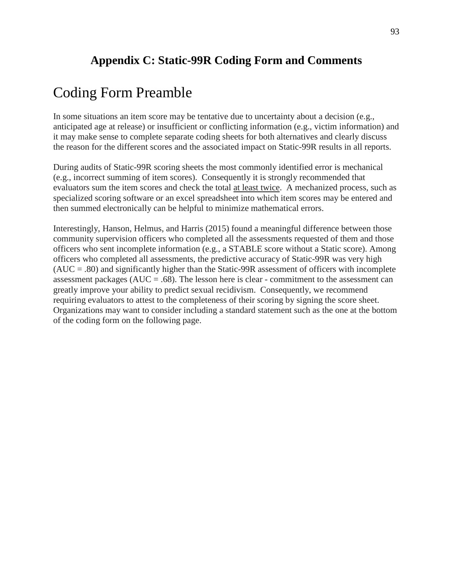## **Appendix C: Static-99R Coding Form and Comments**

# Coding Form Preamble

In some situations an item score may be tentative due to uncertainty about a decision (e.g., anticipated age at release) or insufficient or conflicting information (e.g., victim information) and it may make sense to complete separate coding sheets for both alternatives and clearly discuss the reason for the different scores and the associated impact on Static-99R results in all reports.

During audits of Static-99R scoring sheets the most commonly identified error is mechanical (e.g., incorrect summing of item scores). Consequently it is strongly recommended that evaluators sum the item scores and check the total at least twice. A mechanized process, such as specialized scoring software or an excel spreadsheet into which item scores may be entered and then summed electronically can be helpful to minimize mathematical errors.

Interestingly, Hanson, Helmus, and Harris (2015) found a meaningful difference between those community supervision officers who completed all the assessments requested of them and those officers who sent incomplete information (e.g., a STABLE score without a Static score). Among officers who completed all assessments, the predictive accuracy of Static-99R was very high  $(AUC = .80)$  and significantly higher than the Static-99R assessment of officers with incomplete assessment packages ( $AUC = .68$ ). The lesson here is clear - commitment to the assessment can greatly improve your ability to predict sexual recidivism. Consequently, we recommend requiring evaluators to attest to the completeness of their scoring by signing the score sheet. Organizations may want to consider including a standard statement such as the one at the bottom of the coding form on the following page.